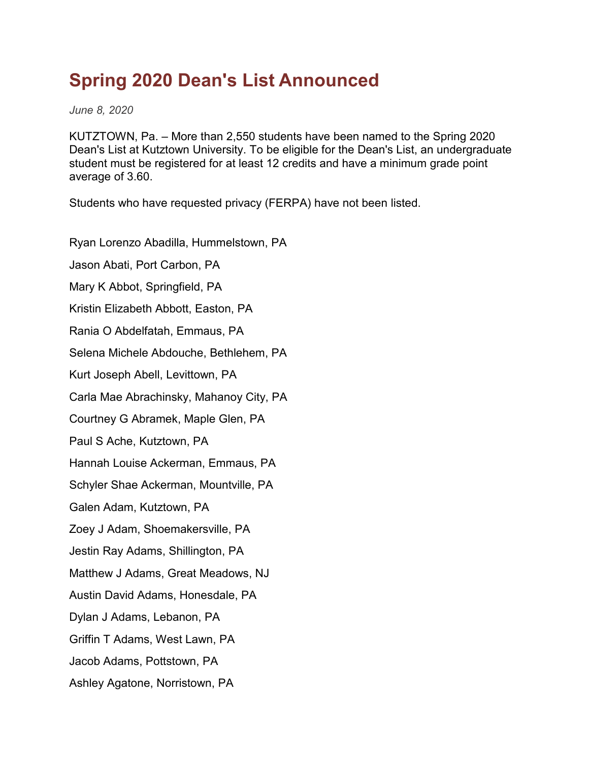## **Spring 2020 Dean's List Announced**

*June 8, 2020*

KUTZTOWN, Pa. – More than 2,550 students have been named to the Spring 2020 Dean's List at Kutztown University. To be eligible for the Dean's List, an undergraduate student must be registered for at least 12 credits and have a minimum grade point average of 3.60.

Students who have requested privacy (FERPA) have not been listed.

Ryan Lorenzo Abadilla, Hummelstown, PA Jason Abati, Port Carbon, PA Mary K Abbot, Springfield, PA Kristin Elizabeth Abbott, Easton, PA Rania O Abdelfatah, Emmaus, PA Selena Michele Abdouche, Bethlehem, PA Kurt Joseph Abell, Levittown, PA Carla Mae Abrachinsky, Mahanoy City, PA Courtney G Abramek, Maple Glen, PA Paul S Ache, Kutztown, PA Hannah Louise Ackerman, Emmaus, PA Schyler Shae Ackerman, Mountville, PA Galen Adam, Kutztown, PA Zoey J Adam, Shoemakersville, PA Jestin Ray Adams, Shillington, PA Matthew J Adams, Great Meadows, NJ Austin David Adams, Honesdale, PA Dylan J Adams, Lebanon, PA Griffin T Adams, West Lawn, PA Jacob Adams, Pottstown, PA Ashley Agatone, Norristown, PA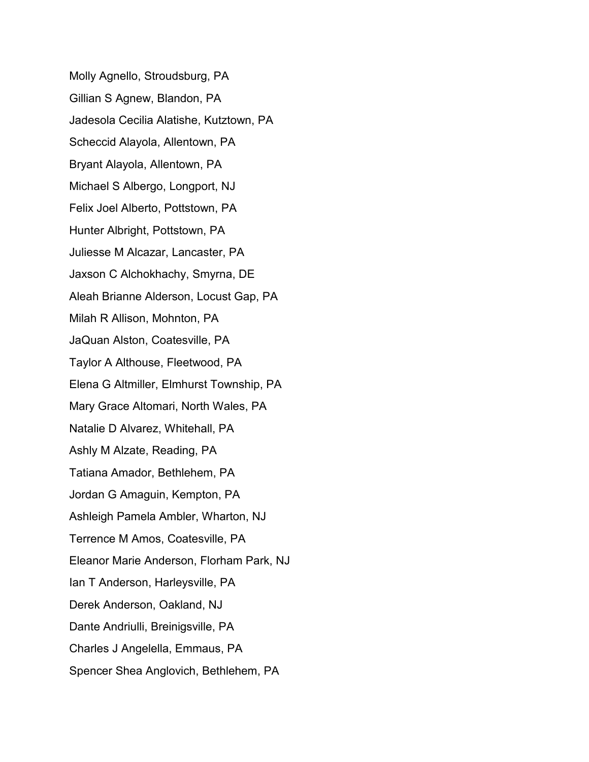Molly Agnello, Stroudsburg, PA Gillian S Agnew, Blandon, PA Jadesola Cecilia Alatishe, Kutztown, PA Scheccid Alayola, Allentown, PA Bryant Alayola, Allentown, PA Michael S Albergo, Longport, NJ Felix Joel Alberto, Pottstown, PA Hunter Albright, Pottstown, PA Juliesse M Alcazar, Lancaster, PA Jaxson C Alchokhachy, Smyrna, DE Aleah Brianne Alderson, Locust Gap, PA Milah R Allison, Mohnton, PA JaQuan Alston, Coatesville, PA Taylor A Althouse, Fleetwood, PA Elena G Altmiller, Elmhurst Township, PA Mary Grace Altomari, North Wales, PA Natalie D Alvarez, Whitehall, PA Ashly M Alzate, Reading, PA Tatiana Amador, Bethlehem, PA Jordan G Amaguin, Kempton, PA Ashleigh Pamela Ambler, Wharton, NJ Terrence M Amos, Coatesville, PA Eleanor Marie Anderson, Florham Park, NJ Ian T Anderson, Harleysville, PA Derek Anderson, Oakland, NJ Dante Andriulli, Breinigsville, PA Charles J Angelella, Emmaus, PA Spencer Shea Anglovich, Bethlehem, PA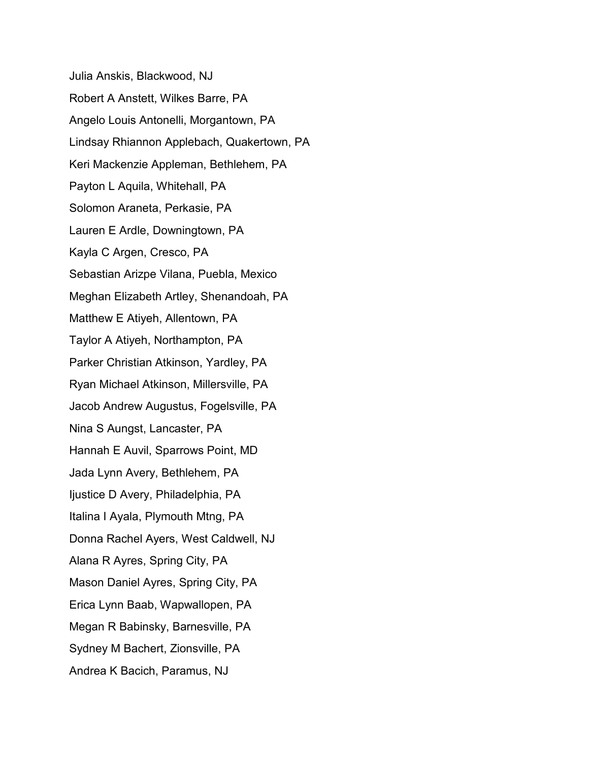Julia Anskis, Blackwood, NJ Robert A Anstett, Wilkes Barre, PA Angelo Louis Antonelli, Morgantown, PA Lindsay Rhiannon Applebach, Quakertown, PA Keri Mackenzie Appleman, Bethlehem, PA Payton L Aquila, Whitehall, PA Solomon Araneta, Perkasie, PA Lauren E Ardle, Downingtown, PA Kayla C Argen, Cresco, PA Sebastian Arizpe Vilana, Puebla, Mexico Meghan Elizabeth Artley, Shenandoah, PA Matthew E Atiyeh, Allentown, PA Taylor A Atiyeh, Northampton, PA Parker Christian Atkinson, Yardley, PA Ryan Michael Atkinson, Millersville, PA Jacob Andrew Augustus, Fogelsville, PA Nina S Aungst, Lancaster, PA Hannah E Auvil, Sparrows Point, MD Jada Lynn Avery, Bethlehem, PA Ijustice D Avery, Philadelphia, PA Italina I Ayala, Plymouth Mtng, PA Donna Rachel Ayers, West Caldwell, NJ Alana R Ayres, Spring City, PA Mason Daniel Ayres, Spring City, PA Erica Lynn Baab, Wapwallopen, PA Megan R Babinsky, Barnesville, PA Sydney M Bachert, Zionsville, PA Andrea K Bacich, Paramus, NJ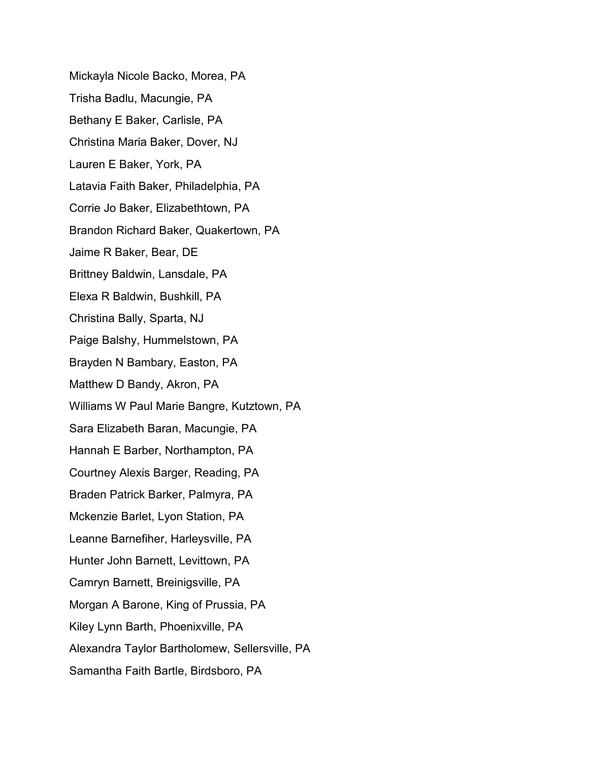Mickayla Nicole Backo, Morea, PA Trisha Badlu, Macungie, PA Bethany E Baker, Carlisle, PA Christina Maria Baker, Dover, NJ Lauren E Baker, York, PA Latavia Faith Baker, Philadelphia, PA Corrie Jo Baker, Elizabethtown, PA Brandon Richard Baker, Quakertown, PA Jaime R Baker, Bear, DE Brittney Baldwin, Lansdale, PA Elexa R Baldwin, Bushkill, PA Christina Bally, Sparta, NJ Paige Balshy, Hummelstown, PA Brayden N Bambary, Easton, PA Matthew D Bandy, Akron, PA Williams W Paul Marie Bangre, Kutztown, PA Sara Elizabeth Baran, Macungie, PA Hannah E Barber, Northampton, PA Courtney Alexis Barger, Reading, PA Braden Patrick Barker, Palmyra, PA Mckenzie Barlet, Lyon Station, PA Leanne Barnefiher, Harleysville, PA Hunter John Barnett, Levittown, PA Camryn Barnett, Breinigsville, PA Morgan A Barone, King of Prussia, PA Kiley Lynn Barth, Phoenixville, PA Alexandra Taylor Bartholomew, Sellersville, PA Samantha Faith Bartle, Birdsboro, PA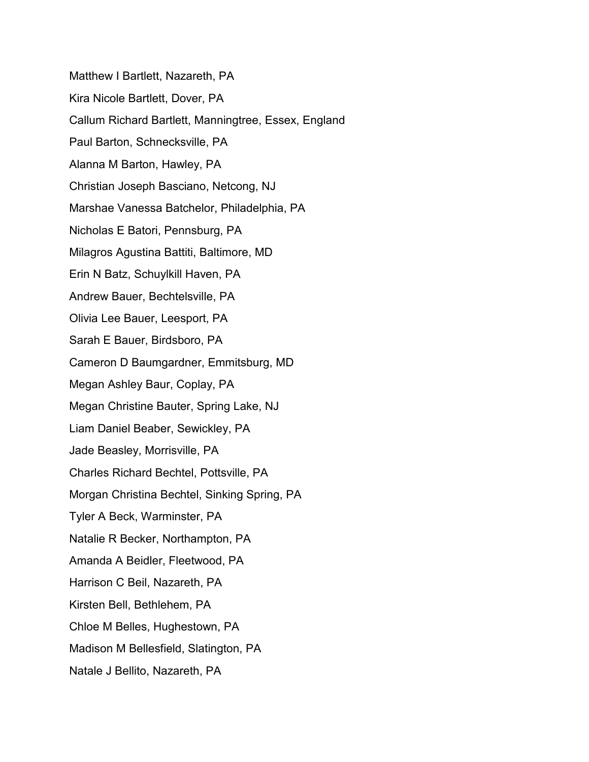Matthew I Bartlett, Nazareth, PA Kira Nicole Bartlett, Dover, PA Callum Richard Bartlett, Manningtree, Essex, England Paul Barton, Schnecksville, PA Alanna M Barton, Hawley, PA Christian Joseph Basciano, Netcong, NJ Marshae Vanessa Batchelor, Philadelphia, PA Nicholas E Batori, Pennsburg, PA Milagros Agustina Battiti, Baltimore, MD Erin N Batz, Schuylkill Haven, PA Andrew Bauer, Bechtelsville, PA Olivia Lee Bauer, Leesport, PA Sarah E Bauer, Birdsboro, PA Cameron D Baumgardner, Emmitsburg, MD Megan Ashley Baur, Coplay, PA Megan Christine Bauter, Spring Lake, NJ Liam Daniel Beaber, Sewickley, PA Jade Beasley, Morrisville, PA Charles Richard Bechtel, Pottsville, PA Morgan Christina Bechtel, Sinking Spring, PA Tyler A Beck, Warminster, PA Natalie R Becker, Northampton, PA Amanda A Beidler, Fleetwood, PA Harrison C Beil, Nazareth, PA Kirsten Bell, Bethlehem, PA Chloe M Belles, Hughestown, PA Madison M Bellesfield, Slatington, PA Natale J Bellito, Nazareth, PA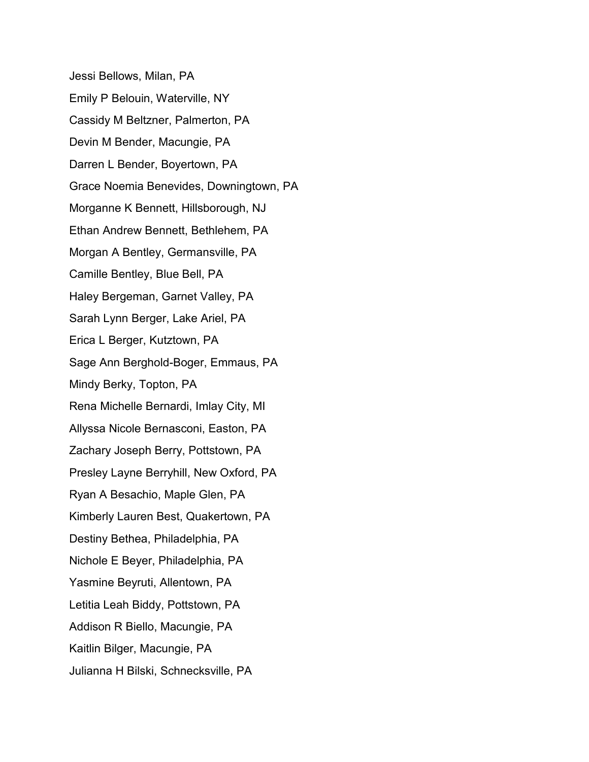Jessi Bellows, Milan, PA Emily P Belouin, Waterville, NY Cassidy M Beltzner, Palmerton, PA Devin M Bender, Macungie, PA Darren L Bender, Boyertown, PA Grace Noemia Benevides, Downingtown, PA Morganne K Bennett, Hillsborough, NJ Ethan Andrew Bennett, Bethlehem, PA Morgan A Bentley, Germansville, PA Camille Bentley, Blue Bell, PA Haley Bergeman, Garnet Valley, PA Sarah Lynn Berger, Lake Ariel, PA Erica L Berger, Kutztown, PA Sage Ann Berghold-Boger, Emmaus, PA Mindy Berky, Topton, PA Rena Michelle Bernardi, Imlay City, MI Allyssa Nicole Bernasconi, Easton, PA Zachary Joseph Berry, Pottstown, PA Presley Layne Berryhill, New Oxford, PA Ryan A Besachio, Maple Glen, PA Kimberly Lauren Best, Quakertown, PA Destiny Bethea, Philadelphia, PA Nichole E Beyer, Philadelphia, PA Yasmine Beyruti, Allentown, PA Letitia Leah Biddy, Pottstown, PA Addison R Biello, Macungie, PA Kaitlin Bilger, Macungie, PA Julianna H Bilski, Schnecksville, PA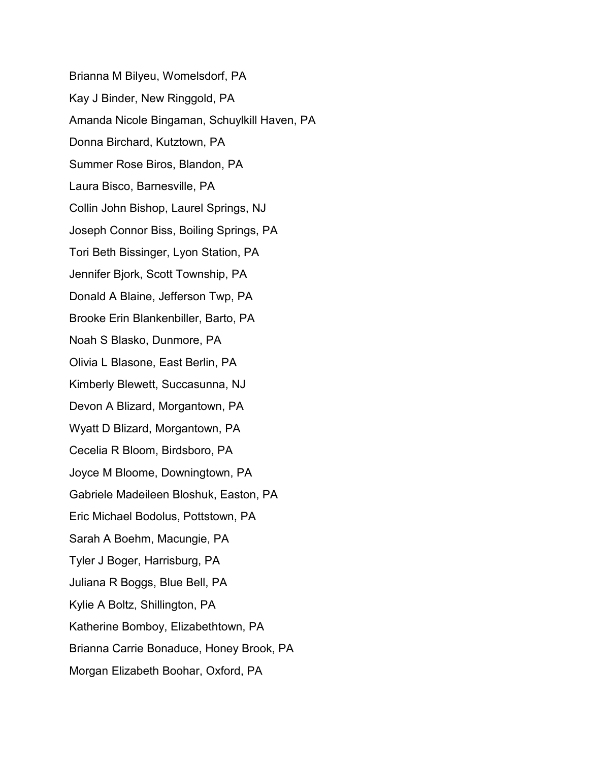Brianna M Bilyeu, Womelsdorf, PA Kay J Binder, New Ringgold, PA Amanda Nicole Bingaman, Schuylkill Haven, PA Donna Birchard, Kutztown, PA Summer Rose Biros, Blandon, PA Laura Bisco, Barnesville, PA Collin John Bishop, Laurel Springs, NJ Joseph Connor Biss, Boiling Springs, PA Tori Beth Bissinger, Lyon Station, PA Jennifer Bjork, Scott Township, PA Donald A Blaine, Jefferson Twp, PA Brooke Erin Blankenbiller, Barto, PA Noah S Blasko, Dunmore, PA Olivia L Blasone, East Berlin, PA Kimberly Blewett, Succasunna, NJ Devon A Blizard, Morgantown, PA Wyatt D Blizard, Morgantown, PA Cecelia R Bloom, Birdsboro, PA Joyce M Bloome, Downingtown, PA Gabriele Madeileen Bloshuk, Easton, PA Eric Michael Bodolus, Pottstown, PA Sarah A Boehm, Macungie, PA Tyler J Boger, Harrisburg, PA Juliana R Boggs, Blue Bell, PA Kylie A Boltz, Shillington, PA Katherine Bomboy, Elizabethtown, PA Brianna Carrie Bonaduce, Honey Brook, PA Morgan Elizabeth Boohar, Oxford, PA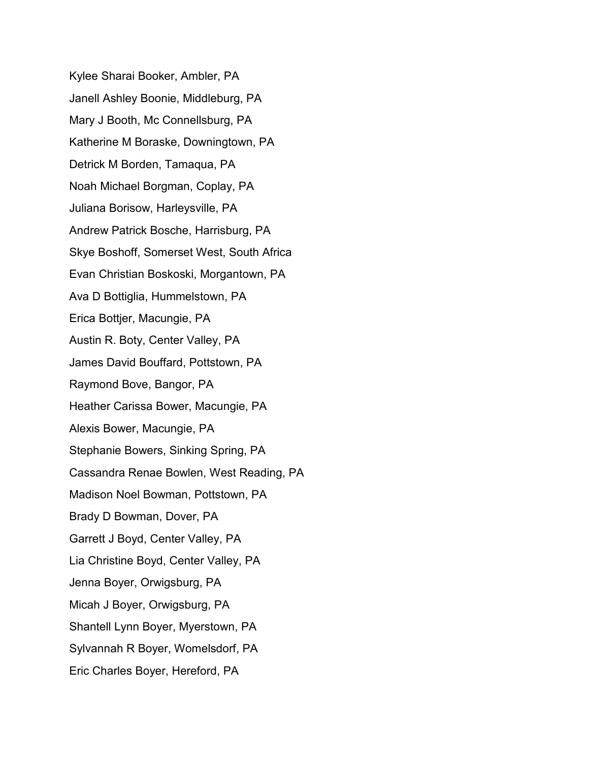Kylee Sharai Booker, Ambler, PA Janell Ashley Boonie, Middleburg, PA Mary J Booth, Mc Connellsburg, PA Katherine M Boraske, Downingtown, PA Detrick M Borden, Tamaqua, PA Noah Michael Borgman, Coplay, PA Juliana Borisow, Harleysville, PA Andrew Patrick Bosche, Harrisburg, PA Skye Boshoff, Somerset West, South Africa Evan Christian Boskoski, Morgantown, PA Ava D Bottiglia, Hummelstown, PA Erica Bottjer, Macungie, PA Austin R. Boty, Center Valley, PA James David Bouffard, Pottstown, PA Raymond Bove, Bangor, PA Heather Carissa Bower, Macungie, PA Alexis Bower, Macungie, PA Stephanie Bowers, Sinking Spring, PA Cassandra Renae Bowlen, West Reading, PA Madison Noel Bowman, Pottstown, PA Brady D Bowman, Dover, PA Garrett J Boyd, Center Valley, PA Lia Christine Boyd, Center Valley, PA Jenna Boyer, Orwigsburg, PA Micah J Boyer, Orwigsburg, PA Shantell Lynn Boyer, Myerstown, PA Sylvannah R Boyer, Womelsdorf, PA Eric Charles Boyer, Hereford, PA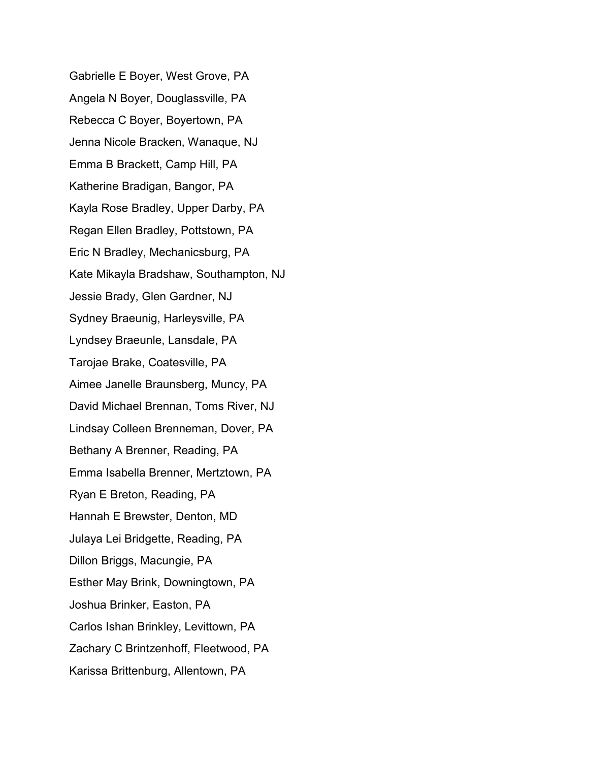Gabrielle E Boyer, West Grove, PA Angela N Boyer, Douglassville, PA Rebecca C Boyer, Boyertown, PA Jenna Nicole Bracken, Wanaque, NJ Emma B Brackett, Camp Hill, PA Katherine Bradigan, Bangor, PA Kayla Rose Bradley, Upper Darby, PA Regan Ellen Bradley, Pottstown, PA Eric N Bradley, Mechanicsburg, PA Kate Mikayla Bradshaw, Southampton, NJ Jessie Brady, Glen Gardner, NJ Sydney Braeunig, Harleysville, PA Lyndsey Braeunle, Lansdale, PA Tarojae Brake, Coatesville, PA Aimee Janelle Braunsberg, Muncy, PA David Michael Brennan, Toms River, NJ Lindsay Colleen Brenneman, Dover, PA Bethany A Brenner, Reading, PA Emma Isabella Brenner, Mertztown, PA Ryan E Breton, Reading, PA Hannah E Brewster, Denton, MD Julaya Lei Bridgette, Reading, PA Dillon Briggs, Macungie, PA Esther May Brink, Downingtown, PA Joshua Brinker, Easton, PA Carlos Ishan Brinkley, Levittown, PA Zachary C Brintzenhoff, Fleetwood, PA Karissa Brittenburg, Allentown, PA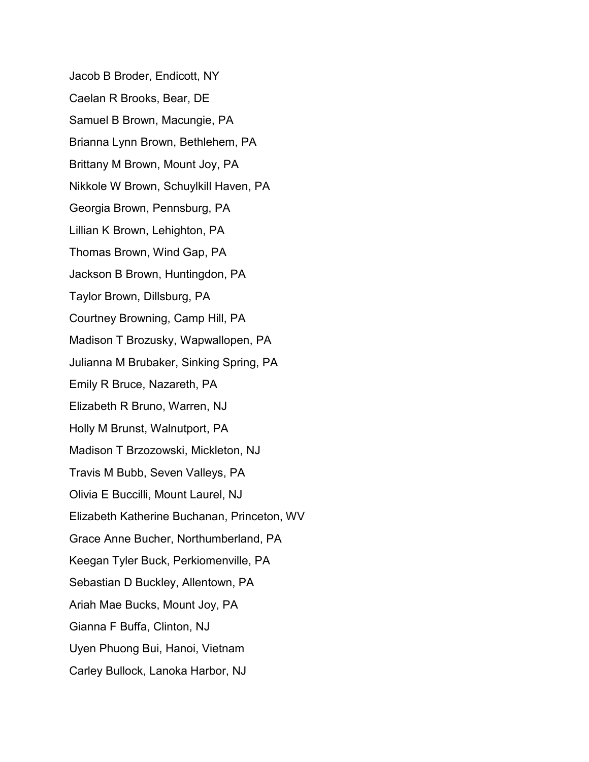Jacob B Broder, Endicott, NY Caelan R Brooks, Bear, DE Samuel B Brown, Macungie, PA Brianna Lynn Brown, Bethlehem, PA Brittany M Brown, Mount Joy, PA Nikkole W Brown, Schuylkill Haven, PA Georgia Brown, Pennsburg, PA Lillian K Brown, Lehighton, PA Thomas Brown, Wind Gap, PA Jackson B Brown, Huntingdon, PA Taylor Brown, Dillsburg, PA Courtney Browning, Camp Hill, PA Madison T Brozusky, Wapwallopen, PA Julianna M Brubaker, Sinking Spring, PA Emily R Bruce, Nazareth, PA Elizabeth R Bruno, Warren, NJ Holly M Brunst, Walnutport, PA Madison T Brzozowski, Mickleton, NJ Travis M Bubb, Seven Valleys, PA Olivia E Buccilli, Mount Laurel, NJ Elizabeth Katherine Buchanan, Princeton, WV Grace Anne Bucher, Northumberland, PA Keegan Tyler Buck, Perkiomenville, PA Sebastian D Buckley, Allentown, PA Ariah Mae Bucks, Mount Joy, PA Gianna F Buffa, Clinton, NJ Uyen Phuong Bui, Hanoi, Vietnam Carley Bullock, Lanoka Harbor, NJ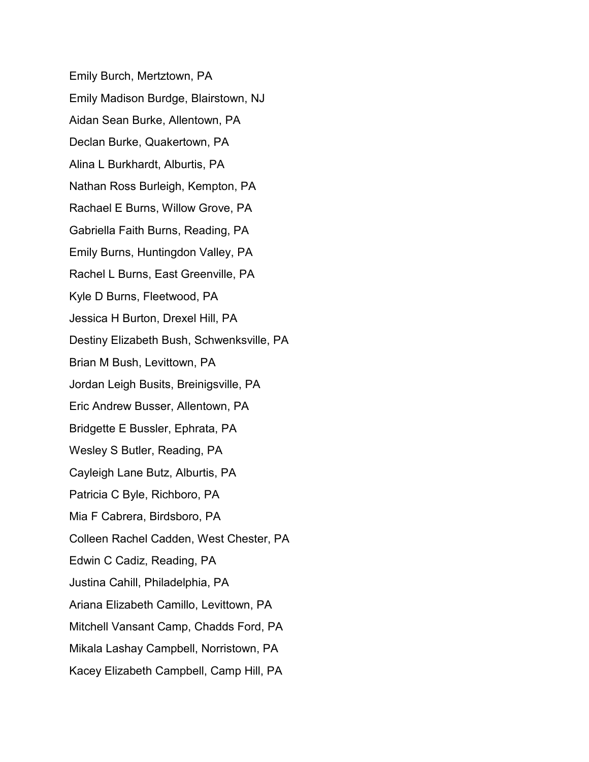Emily Burch, Mertztown, PA Emily Madison Burdge, Blairstown, NJ Aidan Sean Burke, Allentown, PA Declan Burke, Quakertown, PA Alina L Burkhardt, Alburtis, PA Nathan Ross Burleigh, Kempton, PA Rachael E Burns, Willow Grove, PA Gabriella Faith Burns, Reading, PA Emily Burns, Huntingdon Valley, PA Rachel L Burns, East Greenville, PA Kyle D Burns, Fleetwood, PA Jessica H Burton, Drexel Hill, PA Destiny Elizabeth Bush, Schwenksville, PA Brian M Bush, Levittown, PA Jordan Leigh Busits, Breinigsville, PA Eric Andrew Busser, Allentown, PA Bridgette E Bussler, Ephrata, PA Wesley S Butler, Reading, PA Cayleigh Lane Butz, Alburtis, PA Patricia C Byle, Richboro, PA Mia F Cabrera, Birdsboro, PA Colleen Rachel Cadden, West Chester, PA Edwin C Cadiz, Reading, PA Justina Cahill, Philadelphia, PA Ariana Elizabeth Camillo, Levittown, PA Mitchell Vansant Camp, Chadds Ford, PA Mikala Lashay Campbell, Norristown, PA Kacey Elizabeth Campbell, Camp Hill, PA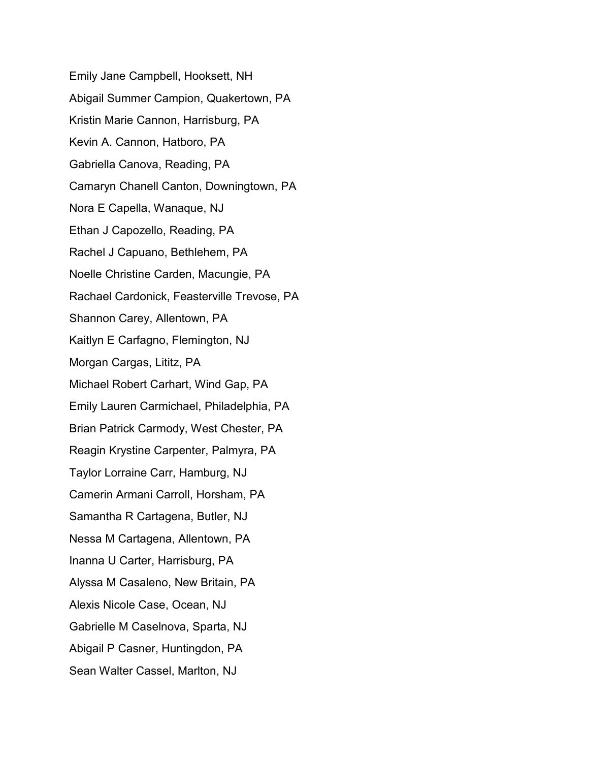Emily Jane Campbell, Hooksett, NH Abigail Summer Campion, Quakertown, PA Kristin Marie Cannon, Harrisburg, PA Kevin A. Cannon, Hatboro, PA Gabriella Canova, Reading, PA Camaryn Chanell Canton, Downingtown, PA Nora E Capella, Wanaque, NJ Ethan J Capozello, Reading, PA Rachel J Capuano, Bethlehem, PA Noelle Christine Carden, Macungie, PA Rachael Cardonick, Feasterville Trevose, PA Shannon Carey, Allentown, PA Kaitlyn E Carfagno, Flemington, NJ Morgan Cargas, Lititz, PA Michael Robert Carhart, Wind Gap, PA Emily Lauren Carmichael, Philadelphia, PA Brian Patrick Carmody, West Chester, PA Reagin Krystine Carpenter, Palmyra, PA Taylor Lorraine Carr, Hamburg, NJ Camerin Armani Carroll, Horsham, PA Samantha R Cartagena, Butler, NJ Nessa M Cartagena, Allentown, PA Inanna U Carter, Harrisburg, PA Alyssa M Casaleno, New Britain, PA Alexis Nicole Case, Ocean, NJ Gabrielle M Caselnova, Sparta, NJ Abigail P Casner, Huntingdon, PA Sean Walter Cassel, Marlton, NJ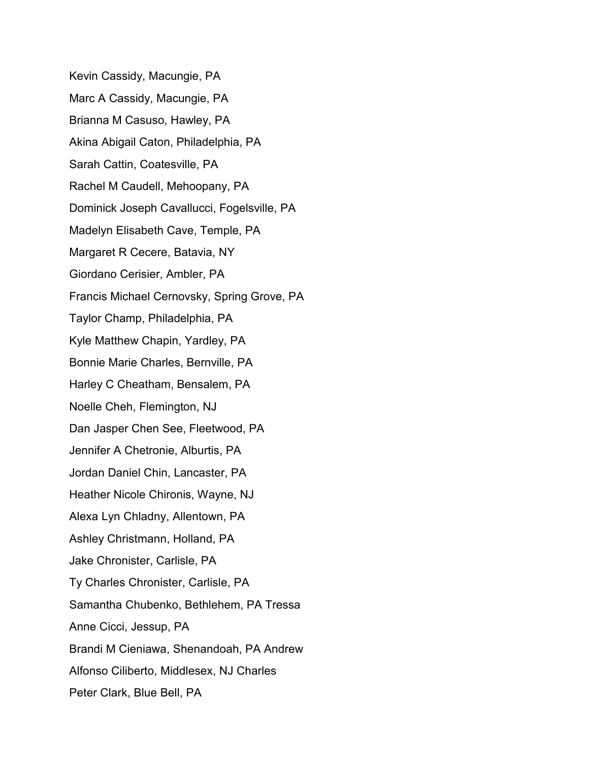Kevin Cassidy, Macungie, PA Marc A Cassidy, Macungie, PA Brianna M Casuso, Hawley, PA Akina Abigail Caton, Philadelphia, PA Sarah Cattin, Coatesville, PA Rachel M Caudell, Mehoopany, PA Dominick Joseph Cavallucci, Fogelsville, PA Madelyn Elisabeth Cave, Temple, PA Margaret R Cecere, Batavia, NY Giordano Cerisier, Ambler, PA Francis Michael Cernovsky, Spring Grove, PA Taylor Champ, Philadelphia, PA Kyle Matthew Chapin, Yardley, PA Bonnie Marie Charles, Bernville, PA Harley C Cheatham, Bensalem, PA Noelle Cheh, Flemington, NJ Dan Jasper Chen See, Fleetwood, PA Jennifer A Chetronie, Alburtis, PA Jordan Daniel Chin, Lancaster, PA Heather Nicole Chironis, Wayne, NJ Alexa Lyn Chladny, Allentown, PA Ashley Christmann, Holland, PA Jake Chronister, Carlisle, PA Ty Charles Chronister, Carlisle, PA Samantha Chubenko, Bethlehem, PA Tressa Anne Cicci, Jessup, PA Brandi M Cieniawa, Shenandoah, PA Andrew Alfonso Ciliberto, Middlesex, NJ Charles Peter Clark, Blue Bell, PA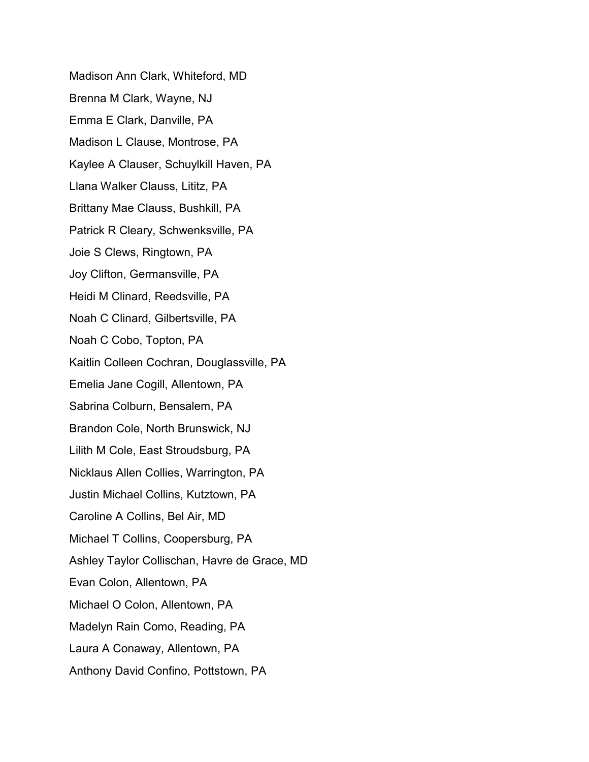Madison Ann Clark, Whiteford, MD Brenna M Clark, Wayne, NJ Emma E Clark, Danville, PA Madison L Clause, Montrose, PA Kaylee A Clauser, Schuylkill Haven, PA Llana Walker Clauss, Lititz, PA Brittany Mae Clauss, Bushkill, PA Patrick R Cleary, Schwenksville, PA Joie S Clews, Ringtown, PA Joy Clifton, Germansville, PA Heidi M Clinard, Reedsville, PA Noah C Clinard, Gilbertsville, PA Noah C Cobo, Topton, PA Kaitlin Colleen Cochran, Douglassville, PA Emelia Jane Cogill, Allentown, PA Sabrina Colburn, Bensalem, PA Brandon Cole, North Brunswick, NJ Lilith M Cole, East Stroudsburg, PA Nicklaus Allen Collies, Warrington, PA Justin Michael Collins, Kutztown, PA Caroline A Collins, Bel Air, MD Michael T Collins, Coopersburg, PA Ashley Taylor Collischan, Havre de Grace, MD Evan Colon, Allentown, PA Michael O Colon, Allentown, PA Madelyn Rain Como, Reading, PA Laura A Conaway, Allentown, PA Anthony David Confino, Pottstown, PA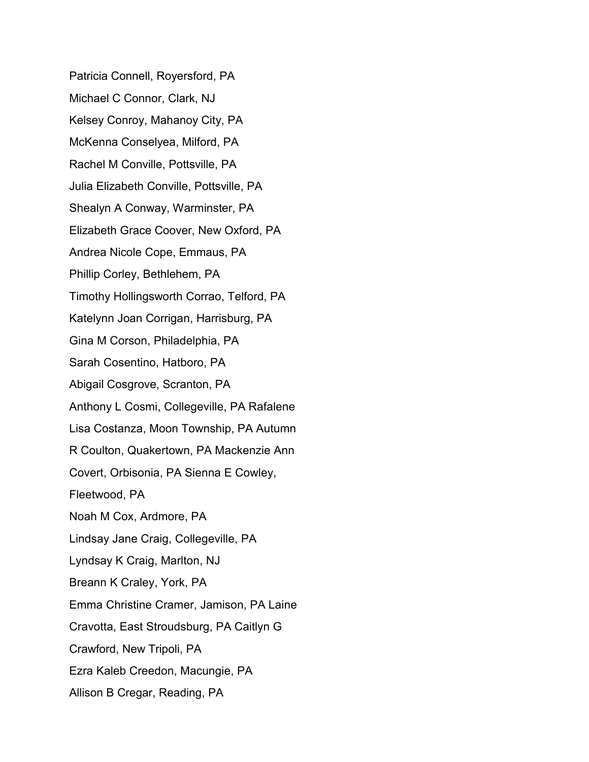Patricia Connell, Royersford, PA Michael C Connor, Clark, NJ Kelsey Conroy, Mahanoy City, PA McKenna Conselyea, Milford, PA Rachel M Conville, Pottsville, PA Julia Elizabeth Conville, Pottsville, PA Shealyn A Conway, Warminster, PA Elizabeth Grace Coover, New Oxford, PA Andrea Nicole Cope, Emmaus, PA Phillip Corley, Bethlehem, PA Timothy Hollingsworth Corrao, Telford, PA Katelynn Joan Corrigan, Harrisburg, PA Gina M Corson, Philadelphia, PA Sarah Cosentino, Hatboro, PA Abigail Cosgrove, Scranton, PA Anthony L Cosmi, Collegeville, PA Rafalene Lisa Costanza, Moon Township, PA Autumn R Coulton, Quakertown, PA Mackenzie Ann Covert, Orbisonia, PA Sienna E Cowley, Fleetwood, PA Noah M Cox, Ardmore, PA Lindsay Jane Craig, Collegeville, PA Lyndsay K Craig, Marlton, NJ Breann K Craley, York, PA Emma Christine Cramer, Jamison, PA Laine Cravotta, East Stroudsburg, PA Caitlyn G Crawford, New Tripoli, PA Ezra Kaleb Creedon, Macungie, PA Allison B Cregar, Reading, PA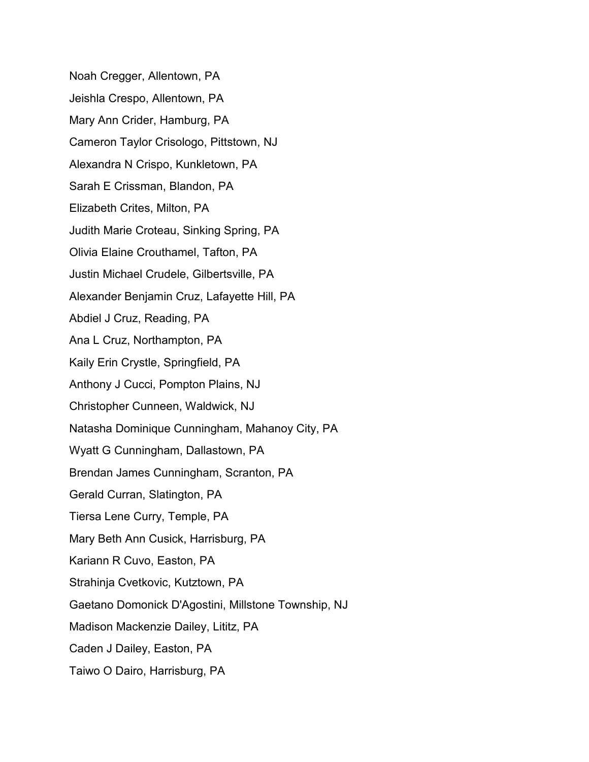Noah Cregger, Allentown, PA Jeishla Crespo, Allentown, PA Mary Ann Crider, Hamburg, PA Cameron Taylor Crisologo, Pittstown, NJ Alexandra N Crispo, Kunkletown, PA Sarah E Crissman, Blandon, PA Elizabeth Crites, Milton, PA Judith Marie Croteau, Sinking Spring, PA Olivia Elaine Crouthamel, Tafton, PA Justin Michael Crudele, Gilbertsville, PA Alexander Benjamin Cruz, Lafayette Hill, PA Abdiel J Cruz, Reading, PA Ana L Cruz, Northampton, PA Kaily Erin Crystle, Springfield, PA Anthony J Cucci, Pompton Plains, NJ Christopher Cunneen, Waldwick, NJ Natasha Dominique Cunningham, Mahanoy City, PA Wyatt G Cunningham, Dallastown, PA Brendan James Cunningham, Scranton, PA Gerald Curran, Slatington, PA Tiersa Lene Curry, Temple, PA Mary Beth Ann Cusick, Harrisburg, PA Kariann R Cuvo, Easton, PA Strahinja Cvetkovic, Kutztown, PA Gaetano Domonick D'Agostini, Millstone Township, NJ Madison Mackenzie Dailey, Lititz, PA Caden J Dailey, Easton, PA Taiwo O Dairo, Harrisburg, PA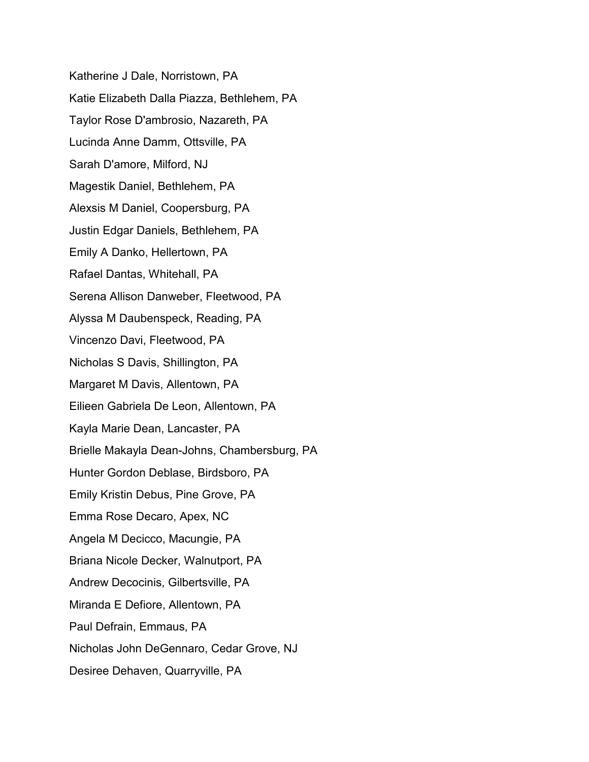Katherine J Dale, Norristown, PA Katie Elizabeth Dalla Piazza, Bethlehem, PA Taylor Rose D'ambrosio, Nazareth, PA Lucinda Anne Damm, Ottsville, PA Sarah D'amore, Milford, NJ Magestik Daniel, Bethlehem, PA Alexsis M Daniel, Coopersburg, PA Justin Edgar Daniels, Bethlehem, PA Emily A Danko, Hellertown, PA Rafael Dantas, Whitehall, PA Serena Allison Danweber, Fleetwood, PA Alyssa M Daubenspeck, Reading, PA Vincenzo Davi, Fleetwood, PA Nicholas S Davis, Shillington, PA Margaret M Davis, Allentown, PA Eilieen Gabriela De Leon, Allentown, PA Kayla Marie Dean, Lancaster, PA Brielle Makayla Dean-Johns, Chambersburg, PA Hunter Gordon Deblase, Birdsboro, PA Emily Kristin Debus, Pine Grove, PA Emma Rose Decaro, Apex, NC Angela M Decicco, Macungie, PA Briana Nicole Decker, Walnutport, PA Andrew Decocinis, Gilbertsville, PA Miranda E Defiore, Allentown, PA Paul Defrain, Emmaus, PA Nicholas John DeGennaro, Cedar Grove, NJ Desiree Dehaven, Quarryville, PA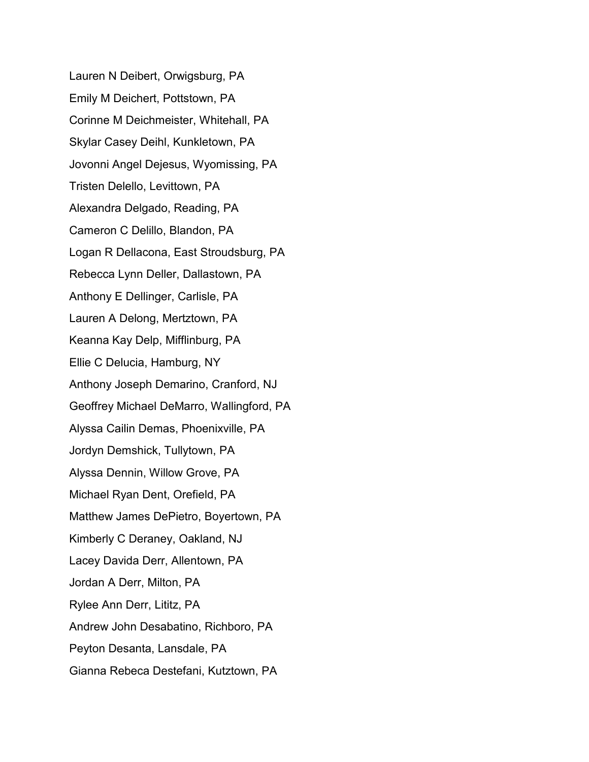Lauren N Deibert, Orwigsburg, PA Emily M Deichert, Pottstown, PA Corinne M Deichmeister, Whitehall, PA Skylar Casey Deihl, Kunkletown, PA Jovonni Angel Dejesus, Wyomissing, PA Tristen Delello, Levittown, PA Alexandra Delgado, Reading, PA Cameron C Delillo, Blandon, PA Logan R Dellacona, East Stroudsburg, PA Rebecca Lynn Deller, Dallastown, PA Anthony E Dellinger, Carlisle, PA Lauren A Delong, Mertztown, PA Keanna Kay Delp, Mifflinburg, PA Ellie C Delucia, Hamburg, NY Anthony Joseph Demarino, Cranford, NJ Geoffrey Michael DeMarro, Wallingford, PA Alyssa Cailin Demas, Phoenixville, PA Jordyn Demshick, Tullytown, PA Alyssa Dennin, Willow Grove, PA Michael Ryan Dent, Orefield, PA Matthew James DePietro, Boyertown, PA Kimberly C Deraney, Oakland, NJ Lacey Davida Derr, Allentown, PA Jordan A Derr, Milton, PA Rylee Ann Derr, Lititz, PA Andrew John Desabatino, Richboro, PA Peyton Desanta, Lansdale, PA Gianna Rebeca Destefani, Kutztown, PA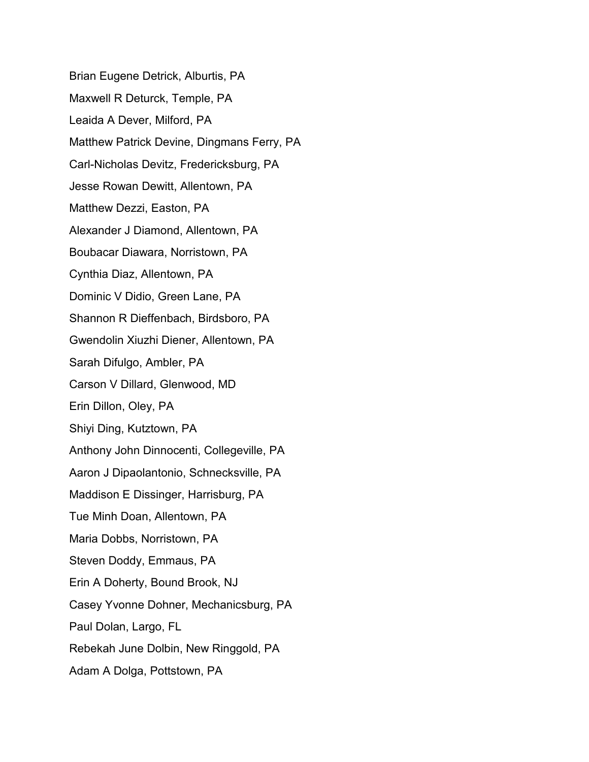Brian Eugene Detrick, Alburtis, PA Maxwell R Deturck, Temple, PA Leaida A Dever, Milford, PA Matthew Patrick Devine, Dingmans Ferry, PA Carl-Nicholas Devitz, Fredericksburg, PA Jesse Rowan Dewitt, Allentown, PA Matthew Dezzi, Easton, PA Alexander J Diamond, Allentown, PA Boubacar Diawara, Norristown, PA Cynthia Diaz, Allentown, PA Dominic V Didio, Green Lane, PA Shannon R Dieffenbach, Birdsboro, PA Gwendolin Xiuzhi Diener, Allentown, PA Sarah Difulgo, Ambler, PA Carson V Dillard, Glenwood, MD Erin Dillon, Oley, PA Shiyi Ding, Kutztown, PA Anthony John Dinnocenti, Collegeville, PA Aaron J Dipaolantonio, Schnecksville, PA Maddison E Dissinger, Harrisburg, PA Tue Minh Doan, Allentown, PA Maria Dobbs, Norristown, PA Steven Doddy, Emmaus, PA Erin A Doherty, Bound Brook, NJ Casey Yvonne Dohner, Mechanicsburg, PA Paul Dolan, Largo, FL Rebekah June Dolbin, New Ringgold, PA Adam A Dolga, Pottstown, PA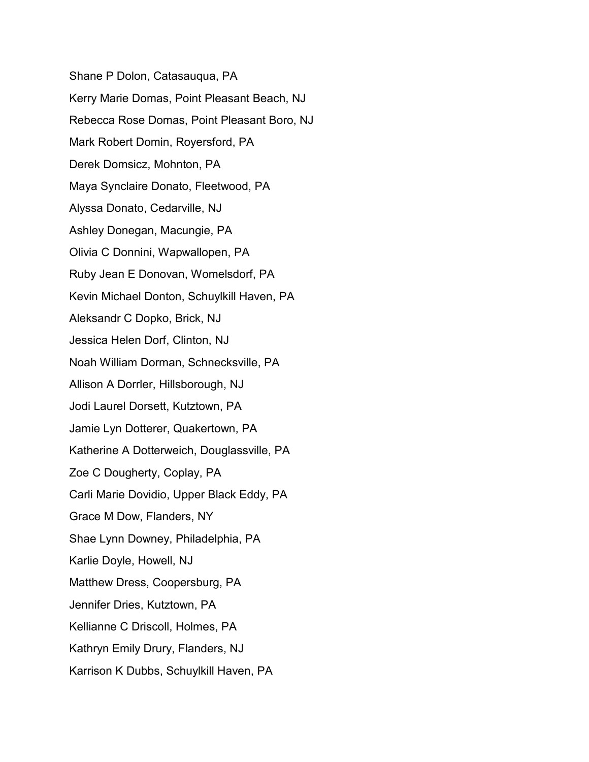Shane P Dolon, Catasauqua, PA Kerry Marie Domas, Point Pleasant Beach, NJ Rebecca Rose Domas, Point Pleasant Boro, NJ Mark Robert Domin, Royersford, PA Derek Domsicz, Mohnton, PA Maya Synclaire Donato, Fleetwood, PA Alyssa Donato, Cedarville, NJ Ashley Donegan, Macungie, PA Olivia C Donnini, Wapwallopen, PA Ruby Jean E Donovan, Womelsdorf, PA Kevin Michael Donton, Schuylkill Haven, PA Aleksandr C Dopko, Brick, NJ Jessica Helen Dorf, Clinton, NJ Noah William Dorman, Schnecksville, PA Allison A Dorrler, Hillsborough, NJ Jodi Laurel Dorsett, Kutztown, PA Jamie Lyn Dotterer, Quakertown, PA Katherine A Dotterweich, Douglassville, PA Zoe C Dougherty, Coplay, PA Carli Marie Dovidio, Upper Black Eddy, PA Grace M Dow, Flanders, NY Shae Lynn Downey, Philadelphia, PA Karlie Doyle, Howell, NJ Matthew Dress, Coopersburg, PA Jennifer Dries, Kutztown, PA Kellianne C Driscoll, Holmes, PA Kathryn Emily Drury, Flanders, NJ Karrison K Dubbs, Schuylkill Haven, PA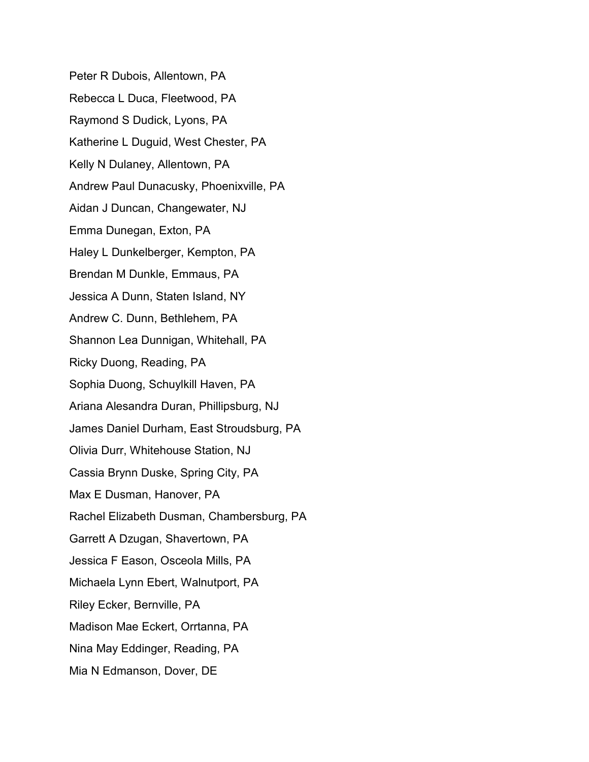Peter R Dubois, Allentown, PA Rebecca L Duca, Fleetwood, PA Raymond S Dudick, Lyons, PA Katherine L Duguid, West Chester, PA Kelly N Dulaney, Allentown, PA Andrew Paul Dunacusky, Phoenixville, PA Aidan J Duncan, Changewater, NJ Emma Dunegan, Exton, PA Haley L Dunkelberger, Kempton, PA Brendan M Dunkle, Emmaus, PA Jessica A Dunn, Staten Island, NY Andrew C. Dunn, Bethlehem, PA Shannon Lea Dunnigan, Whitehall, PA Ricky Duong, Reading, PA Sophia Duong, Schuylkill Haven, PA Ariana Alesandra Duran, Phillipsburg, NJ James Daniel Durham, East Stroudsburg, PA Olivia Durr, Whitehouse Station, NJ Cassia Brynn Duske, Spring City, PA Max E Dusman, Hanover, PA Rachel Elizabeth Dusman, Chambersburg, PA Garrett A Dzugan, Shavertown, PA Jessica F Eason, Osceola Mills, PA Michaela Lynn Ebert, Walnutport, PA Riley Ecker, Bernville, PA Madison Mae Eckert, Orrtanna, PA Nina May Eddinger, Reading, PA Mia N Edmanson, Dover, DE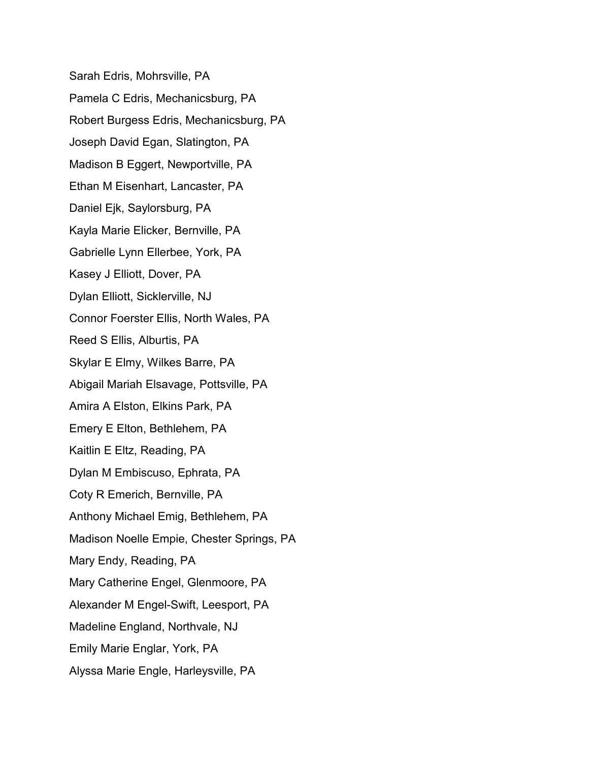Sarah Edris, Mohrsville, PA Pamela C Edris, Mechanicsburg, PA Robert Burgess Edris, Mechanicsburg, PA Joseph David Egan, Slatington, PA Madison B Eggert, Newportville, PA Ethan M Eisenhart, Lancaster, PA Daniel Ejk, Saylorsburg, PA Kayla Marie Elicker, Bernville, PA Gabrielle Lynn Ellerbee, York, PA Kasey J Elliott, Dover, PA Dylan Elliott, Sicklerville, NJ Connor Foerster Ellis, North Wales, PA Reed S Ellis, Alburtis, PA Skylar E Elmy, Wilkes Barre, PA Abigail Mariah Elsavage, Pottsville, PA Amira A Elston, Elkins Park, PA Emery E Elton, Bethlehem, PA Kaitlin E Eltz, Reading, PA Dylan M Embiscuso, Ephrata, PA Coty R Emerich, Bernville, PA Anthony Michael Emig, Bethlehem, PA Madison Noelle Empie, Chester Springs, PA Mary Endy, Reading, PA Mary Catherine Engel, Glenmoore, PA Alexander M Engel-Swift, Leesport, PA Madeline England, Northvale, NJ Emily Marie Englar, York, PA Alyssa Marie Engle, Harleysville, PA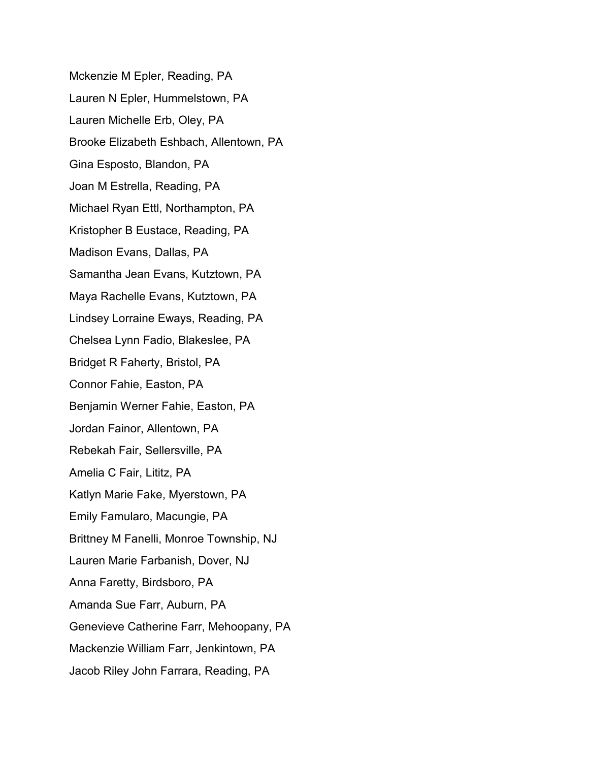Mckenzie M Epler, Reading, PA Lauren N Epler, Hummelstown, PA Lauren Michelle Erb, Oley, PA Brooke Elizabeth Eshbach, Allentown, PA Gina Esposto, Blandon, PA Joan M Estrella, Reading, PA Michael Ryan Ettl, Northampton, PA Kristopher B Eustace, Reading, PA Madison Evans, Dallas, PA Samantha Jean Evans, Kutztown, PA Maya Rachelle Evans, Kutztown, PA Lindsey Lorraine Eways, Reading, PA Chelsea Lynn Fadio, Blakeslee, PA Bridget R Faherty, Bristol, PA Connor Fahie, Easton, PA Benjamin Werner Fahie, Easton, PA Jordan Fainor, Allentown, PA Rebekah Fair, Sellersville, PA Amelia C Fair, Lititz, PA Katlyn Marie Fake, Myerstown, PA Emily Famularo, Macungie, PA Brittney M Fanelli, Monroe Township, NJ Lauren Marie Farbanish, Dover, NJ Anna Faretty, Birdsboro, PA Amanda Sue Farr, Auburn, PA Genevieve Catherine Farr, Mehoopany, PA Mackenzie William Farr, Jenkintown, PA Jacob Riley John Farrara, Reading, PA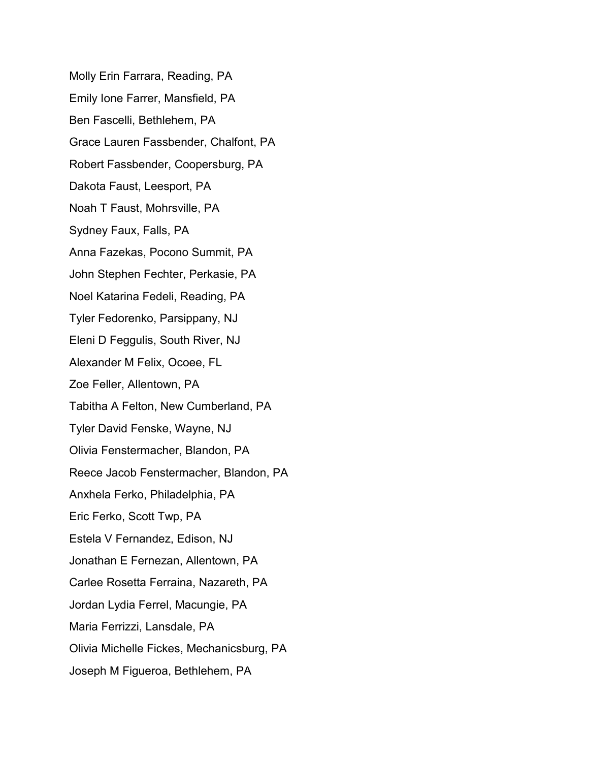Molly Erin Farrara, Reading, PA Emily Ione Farrer, Mansfield, PA Ben Fascelli, Bethlehem, PA Grace Lauren Fassbender, Chalfont, PA Robert Fassbender, Coopersburg, PA Dakota Faust, Leesport, PA Noah T Faust, Mohrsville, PA Sydney Faux, Falls, PA Anna Fazekas, Pocono Summit, PA John Stephen Fechter, Perkasie, PA Noel Katarina Fedeli, Reading, PA Tyler Fedorenko, Parsippany, NJ Eleni D Feggulis, South River, NJ Alexander M Felix, Ocoee, FL Zoe Feller, Allentown, PA Tabitha A Felton, New Cumberland, PA Tyler David Fenske, Wayne, NJ Olivia Fenstermacher, Blandon, PA Reece Jacob Fenstermacher, Blandon, PA Anxhela Ferko, Philadelphia, PA Eric Ferko, Scott Twp, PA Estela V Fernandez, Edison, NJ Jonathan E Fernezan, Allentown, PA Carlee Rosetta Ferraina, Nazareth, PA Jordan Lydia Ferrel, Macungie, PA Maria Ferrizzi, Lansdale, PA Olivia Michelle Fickes, Mechanicsburg, PA Joseph M Figueroa, Bethlehem, PA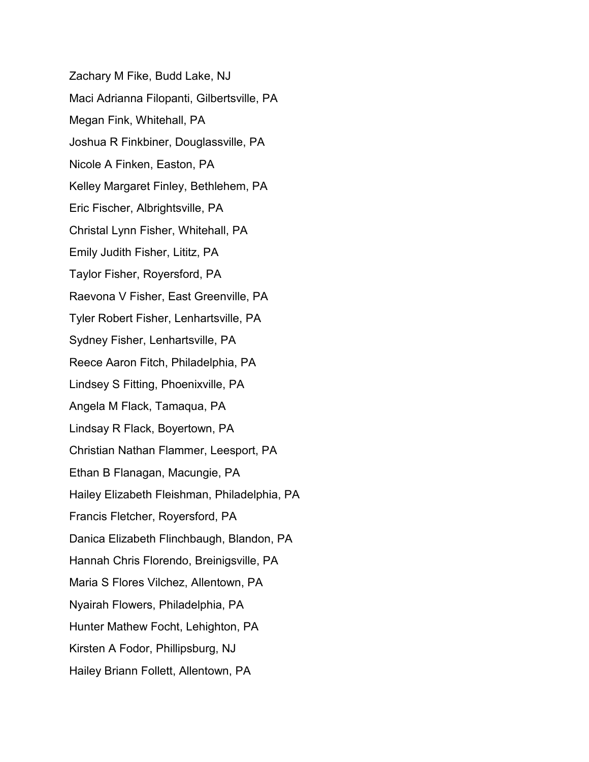Zachary M Fike, Budd Lake, NJ Maci Adrianna Filopanti, Gilbertsville, PA Megan Fink, Whitehall, PA Joshua R Finkbiner, Douglassville, PA Nicole A Finken, Easton, PA Kelley Margaret Finley, Bethlehem, PA Eric Fischer, Albrightsville, PA Christal Lynn Fisher, Whitehall, PA Emily Judith Fisher, Lititz, PA Taylor Fisher, Royersford, PA Raevona V Fisher, East Greenville, PA Tyler Robert Fisher, Lenhartsville, PA Sydney Fisher, Lenhartsville, PA Reece Aaron Fitch, Philadelphia, PA Lindsey S Fitting, Phoenixville, PA Angela M Flack, Tamaqua, PA Lindsay R Flack, Boyertown, PA Christian Nathan Flammer, Leesport, PA Ethan B Flanagan, Macungie, PA Hailey Elizabeth Fleishman, Philadelphia, PA Francis Fletcher, Royersford, PA Danica Elizabeth Flinchbaugh, Blandon, PA Hannah Chris Florendo, Breinigsville, PA Maria S Flores Vilchez, Allentown, PA Nyairah Flowers, Philadelphia, PA Hunter Mathew Focht, Lehighton, PA Kirsten A Fodor, Phillipsburg, NJ Hailey Briann Follett, Allentown, PA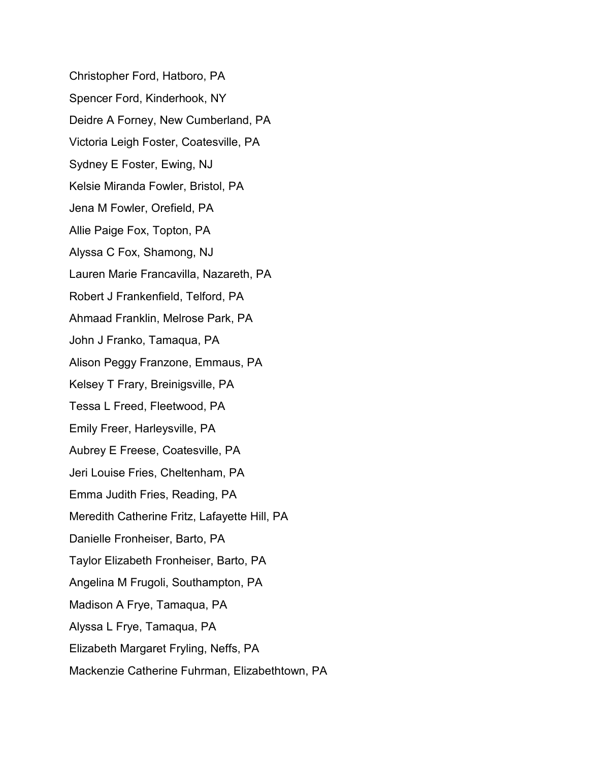Christopher Ford, Hatboro, PA Spencer Ford, Kinderhook, NY Deidre A Forney, New Cumberland, PA Victoria Leigh Foster, Coatesville, PA Sydney E Foster, Ewing, NJ Kelsie Miranda Fowler, Bristol, PA Jena M Fowler, Orefield, PA Allie Paige Fox, Topton, PA Alyssa C Fox, Shamong, NJ Lauren Marie Francavilla, Nazareth, PA Robert J Frankenfield, Telford, PA Ahmaad Franklin, Melrose Park, PA John J Franko, Tamaqua, PA Alison Peggy Franzone, Emmaus, PA Kelsey T Frary, Breinigsville, PA Tessa L Freed, Fleetwood, PA Emily Freer, Harleysville, PA Aubrey E Freese, Coatesville, PA Jeri Louise Fries, Cheltenham, PA Emma Judith Fries, Reading, PA Meredith Catherine Fritz, Lafayette Hill, PA Danielle Fronheiser, Barto, PA Taylor Elizabeth Fronheiser, Barto, PA Angelina M Frugoli, Southampton, PA Madison A Frye, Tamaqua, PA Alyssa L Frye, Tamaqua, PA Elizabeth Margaret Fryling, Neffs, PA Mackenzie Catherine Fuhrman, Elizabethtown, PA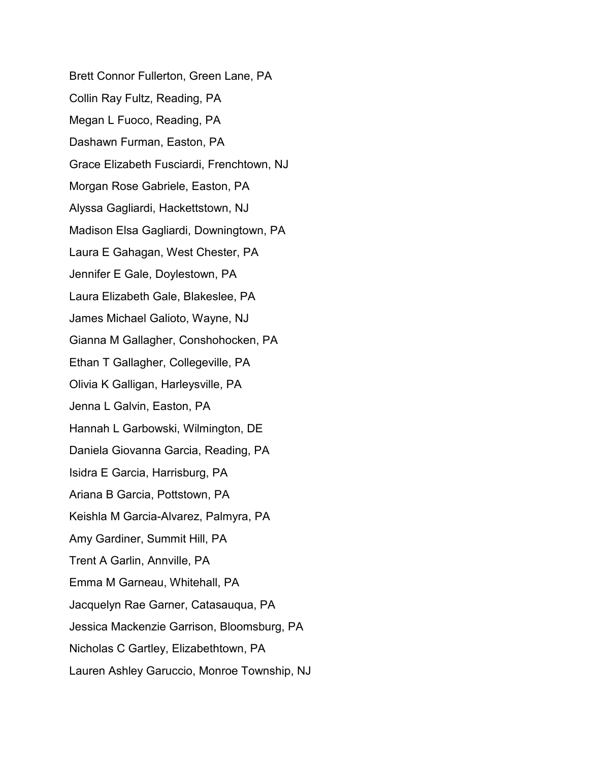Brett Connor Fullerton, Green Lane, PA Collin Ray Fultz, Reading, PA Megan L Fuoco, Reading, PA Dashawn Furman, Easton, PA Grace Elizabeth Fusciardi, Frenchtown, NJ Morgan Rose Gabriele, Easton, PA Alyssa Gagliardi, Hackettstown, NJ Madison Elsa Gagliardi, Downingtown, PA Laura E Gahagan, West Chester, PA Jennifer E Gale, Doylestown, PA Laura Elizabeth Gale, Blakeslee, PA James Michael Galioto, Wayne, NJ Gianna M Gallagher, Conshohocken, PA Ethan T Gallagher, Collegeville, PA Olivia K Galligan, Harleysville, PA Jenna L Galvin, Easton, PA Hannah L Garbowski, Wilmington, DE Daniela Giovanna Garcia, Reading, PA Isidra E Garcia, Harrisburg, PA Ariana B Garcia, Pottstown, PA Keishla M Garcia-Alvarez, Palmyra, PA Amy Gardiner, Summit Hill, PA Trent A Garlin, Annville, PA Emma M Garneau, Whitehall, PA Jacquelyn Rae Garner, Catasauqua, PA Jessica Mackenzie Garrison, Bloomsburg, PA Nicholas C Gartley, Elizabethtown, PA Lauren Ashley Garuccio, Monroe Township, NJ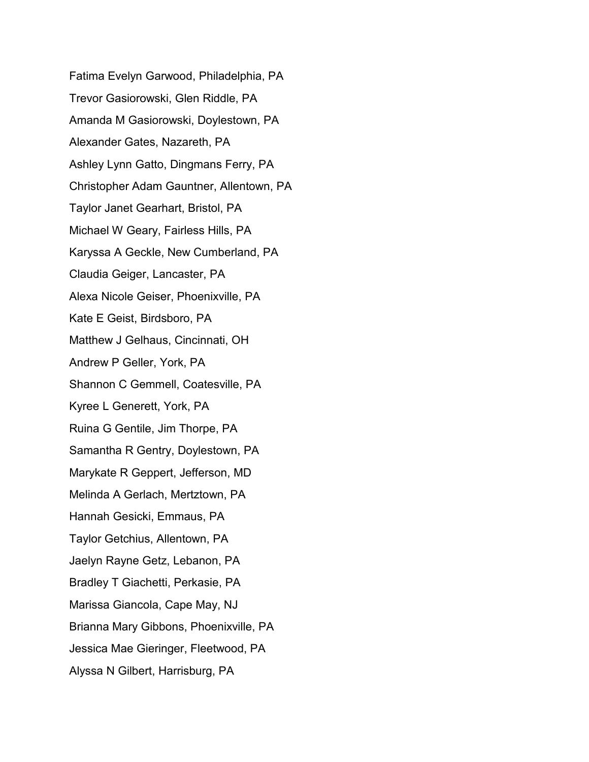Fatima Evelyn Garwood, Philadelphia, PA Trevor Gasiorowski, Glen Riddle, PA Amanda M Gasiorowski, Doylestown, PA Alexander Gates, Nazareth, PA Ashley Lynn Gatto, Dingmans Ferry, PA Christopher Adam Gauntner, Allentown, PA Taylor Janet Gearhart, Bristol, PA Michael W Geary, Fairless Hills, PA Karyssa A Geckle, New Cumberland, PA Claudia Geiger, Lancaster, PA Alexa Nicole Geiser, Phoenixville, PA Kate E Geist, Birdsboro, PA Matthew J Gelhaus, Cincinnati, OH Andrew P Geller, York, PA Shannon C Gemmell, Coatesville, PA Kyree L Generett, York, PA Ruina G Gentile, Jim Thorpe, PA Samantha R Gentry, Doylestown, PA Marykate R Geppert, Jefferson, MD Melinda A Gerlach, Mertztown, PA Hannah Gesicki, Emmaus, PA Taylor Getchius, Allentown, PA Jaelyn Rayne Getz, Lebanon, PA Bradley T Giachetti, Perkasie, PA Marissa Giancola, Cape May, NJ Brianna Mary Gibbons, Phoenixville, PA Jessica Mae Gieringer, Fleetwood, PA Alyssa N Gilbert, Harrisburg, PA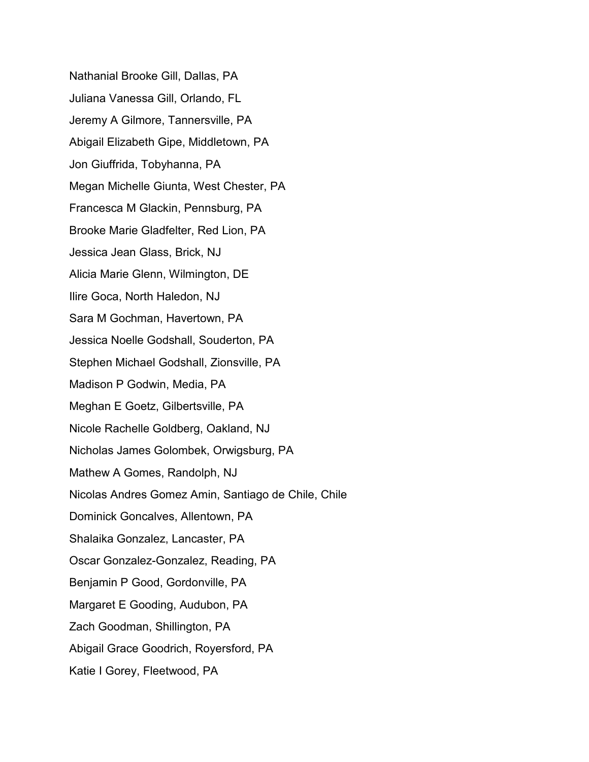Nathanial Brooke Gill, Dallas, PA Juliana Vanessa Gill, Orlando, FL Jeremy A Gilmore, Tannersville, PA Abigail Elizabeth Gipe, Middletown, PA Jon Giuffrida, Tobyhanna, PA Megan Michelle Giunta, West Chester, PA Francesca M Glackin, Pennsburg, PA Brooke Marie Gladfelter, Red Lion, PA Jessica Jean Glass, Brick, NJ Alicia Marie Glenn, Wilmington, DE Ilire Goca, North Haledon, NJ Sara M Gochman, Havertown, PA Jessica Noelle Godshall, Souderton, PA Stephen Michael Godshall, Zionsville, PA Madison P Godwin, Media, PA Meghan E Goetz, Gilbertsville, PA Nicole Rachelle Goldberg, Oakland, NJ Nicholas James Golombek, Orwigsburg, PA Mathew A Gomes, Randolph, NJ Nicolas Andres Gomez Amin, Santiago de Chile, Chile Dominick Goncalves, Allentown, PA Shalaika Gonzalez, Lancaster, PA Oscar Gonzalez-Gonzalez, Reading, PA Benjamin P Good, Gordonville, PA Margaret E Gooding, Audubon, PA Zach Goodman, Shillington, PA Abigail Grace Goodrich, Royersford, PA Katie I Gorey, Fleetwood, PA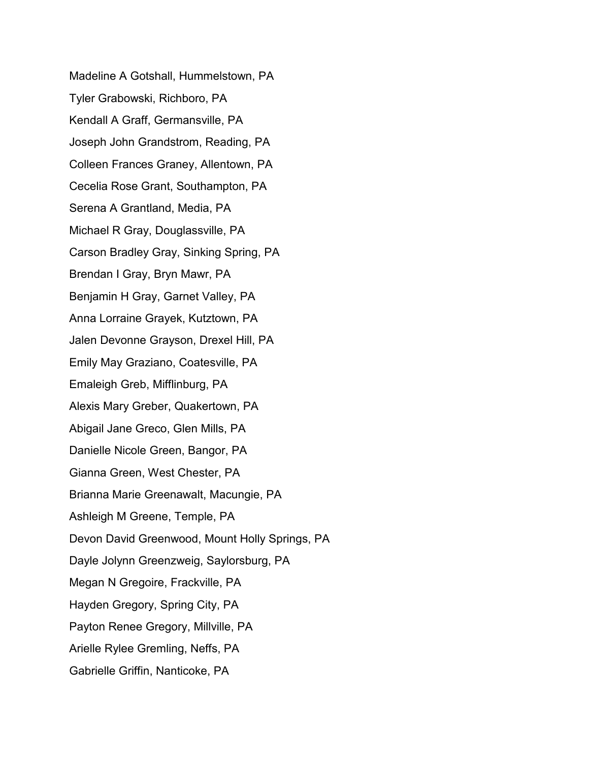Madeline A Gotshall, Hummelstown, PA Tyler Grabowski, Richboro, PA Kendall A Graff, Germansville, PA Joseph John Grandstrom, Reading, PA Colleen Frances Graney, Allentown, PA Cecelia Rose Grant, Southampton, PA Serena A Grantland, Media, PA Michael R Gray, Douglassville, PA Carson Bradley Gray, Sinking Spring, PA Brendan I Gray, Bryn Mawr, PA Benjamin H Gray, Garnet Valley, PA Anna Lorraine Grayek, Kutztown, PA Jalen Devonne Grayson, Drexel Hill, PA Emily May Graziano, Coatesville, PA Emaleigh Greb, Mifflinburg, PA Alexis Mary Greber, Quakertown, PA Abigail Jane Greco, Glen Mills, PA Danielle Nicole Green, Bangor, PA Gianna Green, West Chester, PA Brianna Marie Greenawalt, Macungie, PA Ashleigh M Greene, Temple, PA Devon David Greenwood, Mount Holly Springs, PA Dayle Jolynn Greenzweig, Saylorsburg, PA Megan N Gregoire, Frackville, PA Hayden Gregory, Spring City, PA Payton Renee Gregory, Millville, PA Arielle Rylee Gremling, Neffs, PA Gabrielle Griffin, Nanticoke, PA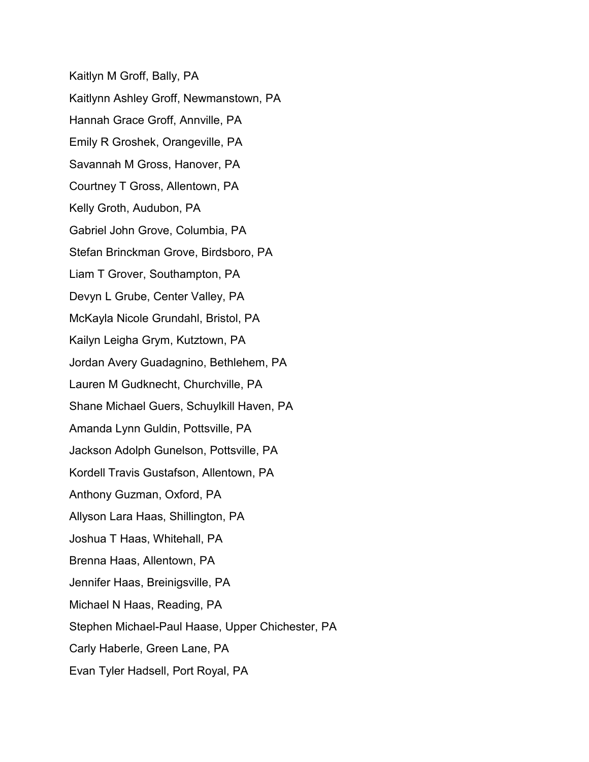Kaitlyn M Groff, Bally, PA Kaitlynn Ashley Groff, Newmanstown, PA Hannah Grace Groff, Annville, PA Emily R Groshek, Orangeville, PA Savannah M Gross, Hanover, PA Courtney T Gross, Allentown, PA Kelly Groth, Audubon, PA Gabriel John Grove, Columbia, PA Stefan Brinckman Grove, Birdsboro, PA Liam T Grover, Southampton, PA Devyn L Grube, Center Valley, PA McKayla Nicole Grundahl, Bristol, PA Kailyn Leigha Grym, Kutztown, PA Jordan Avery Guadagnino, Bethlehem, PA Lauren M Gudknecht, Churchville, PA Shane Michael Guers, Schuylkill Haven, PA Amanda Lynn Guldin, Pottsville, PA Jackson Adolph Gunelson, Pottsville, PA Kordell Travis Gustafson, Allentown, PA Anthony Guzman, Oxford, PA Allyson Lara Haas, Shillington, PA Joshua T Haas, Whitehall, PA Brenna Haas, Allentown, PA Jennifer Haas, Breinigsville, PA Michael N Haas, Reading, PA Stephen Michael-Paul Haase, Upper Chichester, PA Carly Haberle, Green Lane, PA Evan Tyler Hadsell, Port Royal, PA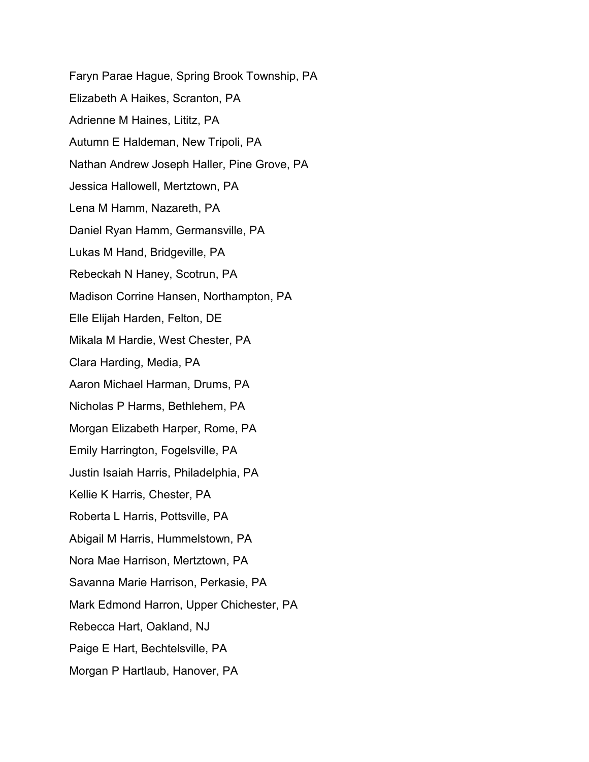Faryn Parae Hague, Spring Brook Township, PA Elizabeth A Haikes, Scranton, PA Adrienne M Haines, Lititz, PA Autumn E Haldeman, New Tripoli, PA Nathan Andrew Joseph Haller, Pine Grove, PA Jessica Hallowell, Mertztown, PA Lena M Hamm, Nazareth, PA Daniel Ryan Hamm, Germansville, PA Lukas M Hand, Bridgeville, PA Rebeckah N Haney, Scotrun, PA Madison Corrine Hansen, Northampton, PA Elle Elijah Harden, Felton, DE Mikala M Hardie, West Chester, PA Clara Harding, Media, PA Aaron Michael Harman, Drums, PA Nicholas P Harms, Bethlehem, PA Morgan Elizabeth Harper, Rome, PA Emily Harrington, Fogelsville, PA Justin Isaiah Harris, Philadelphia, PA Kellie K Harris, Chester, PA Roberta L Harris, Pottsville, PA Abigail M Harris, Hummelstown, PA Nora Mae Harrison, Mertztown, PA Savanna Marie Harrison, Perkasie, PA Mark Edmond Harron, Upper Chichester, PA Rebecca Hart, Oakland, NJ Paige E Hart, Bechtelsville, PA Morgan P Hartlaub, Hanover, PA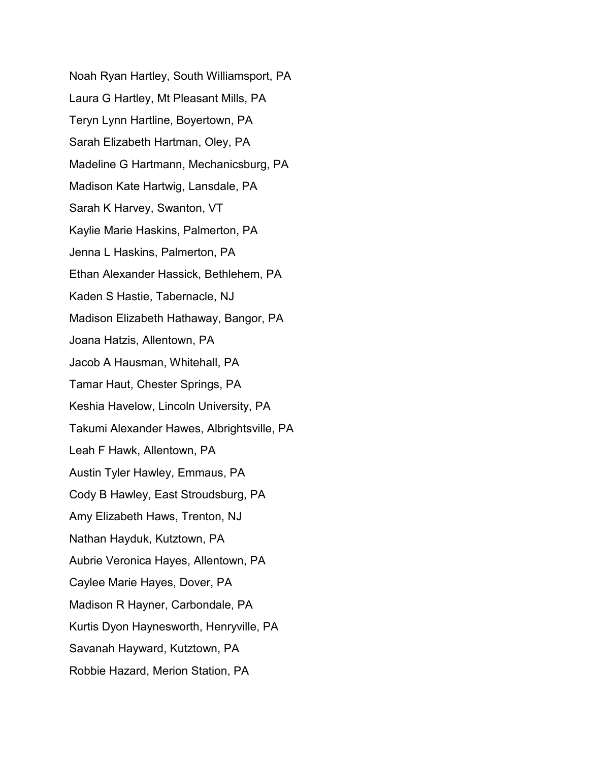Noah Ryan Hartley, South Williamsport, PA Laura G Hartley, Mt Pleasant Mills, PA Teryn Lynn Hartline, Boyertown, PA Sarah Elizabeth Hartman, Oley, PA Madeline G Hartmann, Mechanicsburg, PA Madison Kate Hartwig, Lansdale, PA Sarah K Harvey, Swanton, VT Kaylie Marie Haskins, Palmerton, PA Jenna L Haskins, Palmerton, PA Ethan Alexander Hassick, Bethlehem, PA Kaden S Hastie, Tabernacle, NJ Madison Elizabeth Hathaway, Bangor, PA Joana Hatzis, Allentown, PA Jacob A Hausman, Whitehall, PA Tamar Haut, Chester Springs, PA Keshia Havelow, Lincoln University, PA Takumi Alexander Hawes, Albrightsville, PA Leah F Hawk, Allentown, PA Austin Tyler Hawley, Emmaus, PA Cody B Hawley, East Stroudsburg, PA Amy Elizabeth Haws, Trenton, NJ Nathan Hayduk, Kutztown, PA Aubrie Veronica Hayes, Allentown, PA Caylee Marie Hayes, Dover, PA Madison R Hayner, Carbondale, PA Kurtis Dyon Haynesworth, Henryville, PA Savanah Hayward, Kutztown, PA Robbie Hazard, Merion Station, PA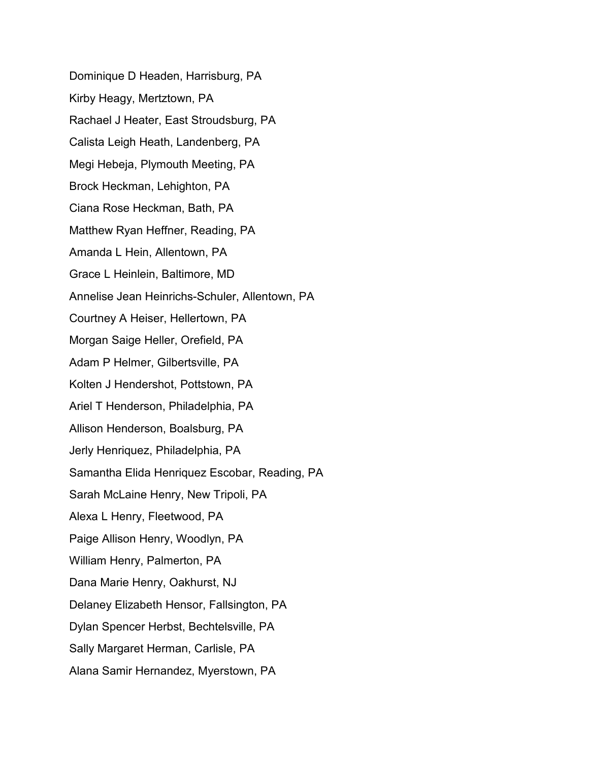Dominique D Headen, Harrisburg, PA Kirby Heagy, Mertztown, PA Rachael J Heater, East Stroudsburg, PA Calista Leigh Heath, Landenberg, PA Megi Hebeja, Plymouth Meeting, PA Brock Heckman, Lehighton, PA Ciana Rose Heckman, Bath, PA Matthew Ryan Heffner, Reading, PA Amanda L Hein, Allentown, PA Grace L Heinlein, Baltimore, MD Annelise Jean Heinrichs-Schuler, Allentown, PA Courtney A Heiser, Hellertown, PA Morgan Saige Heller, Orefield, PA Adam P Helmer, Gilbertsville, PA Kolten J Hendershot, Pottstown, PA Ariel T Henderson, Philadelphia, PA Allison Henderson, Boalsburg, PA Jerly Henriquez, Philadelphia, PA Samantha Elida Henriquez Escobar, Reading, PA Sarah McLaine Henry, New Tripoli, PA Alexa L Henry, Fleetwood, PA Paige Allison Henry, Woodlyn, PA William Henry, Palmerton, PA Dana Marie Henry, Oakhurst, NJ Delaney Elizabeth Hensor, Fallsington, PA Dylan Spencer Herbst, Bechtelsville, PA Sally Margaret Herman, Carlisle, PA Alana Samir Hernandez, Myerstown, PA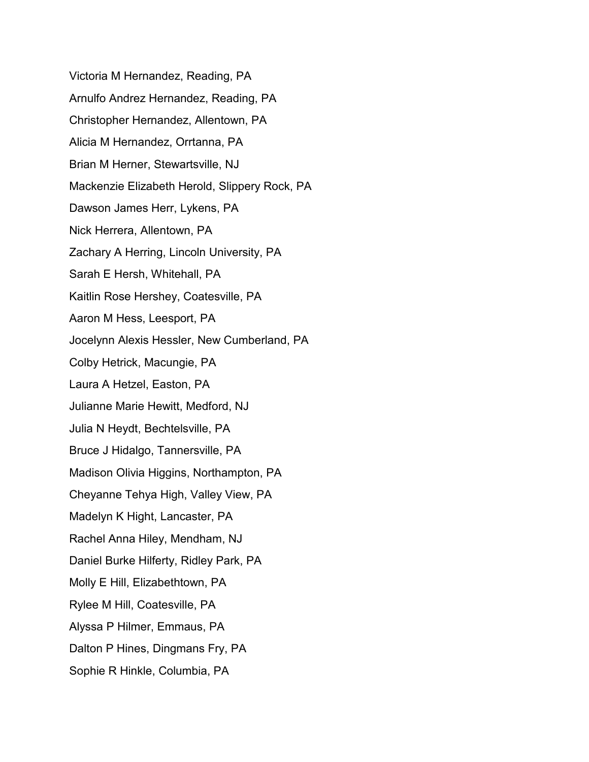Victoria M Hernandez, Reading, PA Arnulfo Andrez Hernandez, Reading, PA Christopher Hernandez, Allentown, PA Alicia M Hernandez, Orrtanna, PA Brian M Herner, Stewartsville, NJ Mackenzie Elizabeth Herold, Slippery Rock, PA Dawson James Herr, Lykens, PA Nick Herrera, Allentown, PA Zachary A Herring, Lincoln University, PA Sarah E Hersh, Whitehall, PA Kaitlin Rose Hershey, Coatesville, PA Aaron M Hess, Leesport, PA Jocelynn Alexis Hessler, New Cumberland, PA Colby Hetrick, Macungie, PA Laura A Hetzel, Easton, PA Julianne Marie Hewitt, Medford, NJ Julia N Heydt, Bechtelsville, PA Bruce J Hidalgo, Tannersville, PA Madison Olivia Higgins, Northampton, PA Cheyanne Tehya High, Valley View, PA Madelyn K Hight, Lancaster, PA Rachel Anna Hiley, Mendham, NJ Daniel Burke Hilferty, Ridley Park, PA Molly E Hill, Elizabethtown, PA Rylee M Hill, Coatesville, PA Alyssa P Hilmer, Emmaus, PA Dalton P Hines, Dingmans Fry, PA Sophie R Hinkle, Columbia, PA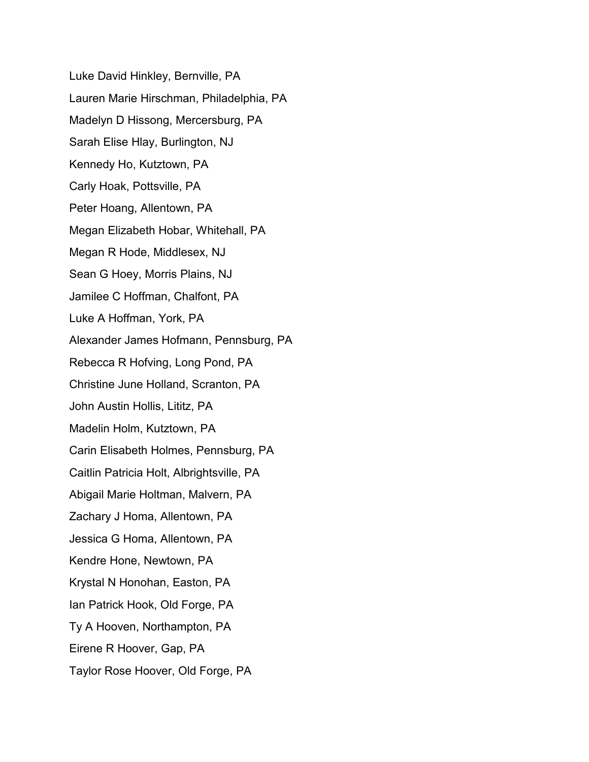Luke David Hinkley, Bernville, PA Lauren Marie Hirschman, Philadelphia, PA Madelyn D Hissong, Mercersburg, PA Sarah Elise Hlay, Burlington, NJ Kennedy Ho, Kutztown, PA Carly Hoak, Pottsville, PA Peter Hoang, Allentown, PA Megan Elizabeth Hobar, Whitehall, PA Megan R Hode, Middlesex, NJ Sean G Hoey, Morris Plains, NJ Jamilee C Hoffman, Chalfont, PA Luke A Hoffman, York, PA Alexander James Hofmann, Pennsburg, PA Rebecca R Hofving, Long Pond, PA Christine June Holland, Scranton, PA John Austin Hollis, Lititz, PA Madelin Holm, Kutztown, PA Carin Elisabeth Holmes, Pennsburg, PA Caitlin Patricia Holt, Albrightsville, PA Abigail Marie Holtman, Malvern, PA Zachary J Homa, Allentown, PA Jessica G Homa, Allentown, PA Kendre Hone, Newtown, PA Krystal N Honohan, Easton, PA Ian Patrick Hook, Old Forge, PA Ty A Hooven, Northampton, PA Eirene R Hoover, Gap, PA Taylor Rose Hoover, Old Forge, PA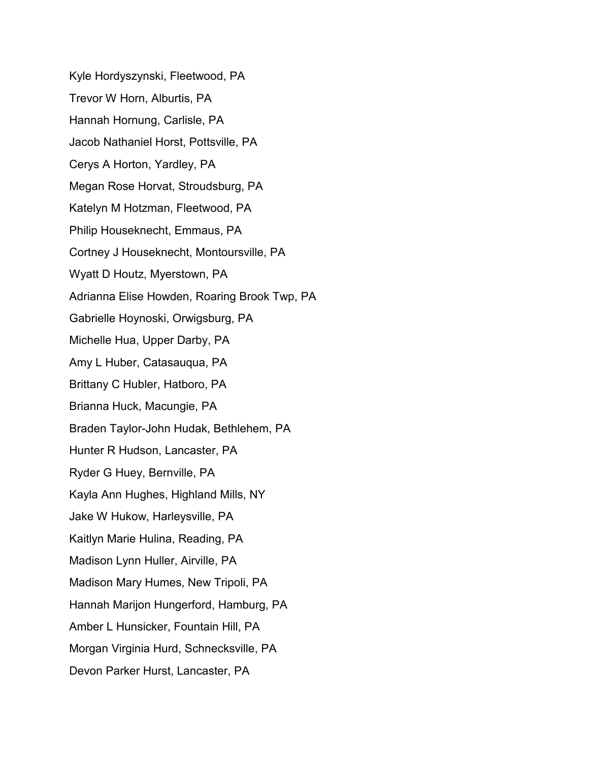Kyle Hordyszynski, Fleetwood, PA Trevor W Horn, Alburtis, PA Hannah Hornung, Carlisle, PA Jacob Nathaniel Horst, Pottsville, PA Cerys A Horton, Yardley, PA Megan Rose Horvat, Stroudsburg, PA Katelyn M Hotzman, Fleetwood, PA Philip Houseknecht, Emmaus, PA Cortney J Houseknecht, Montoursville, PA Wyatt D Houtz, Myerstown, PA Adrianna Elise Howden, Roaring Brook Twp, PA Gabrielle Hoynoski, Orwigsburg, PA Michelle Hua, Upper Darby, PA Amy L Huber, Catasauqua, PA Brittany C Hubler, Hatboro, PA Brianna Huck, Macungie, PA Braden Taylor-John Hudak, Bethlehem, PA Hunter R Hudson, Lancaster, PA Ryder G Huey, Bernville, PA Kayla Ann Hughes, Highland Mills, NY Jake W Hukow, Harleysville, PA Kaitlyn Marie Hulina, Reading, PA Madison Lynn Huller, Airville, PA Madison Mary Humes, New Tripoli, PA Hannah Marijon Hungerford, Hamburg, PA Amber L Hunsicker, Fountain Hill, PA Morgan Virginia Hurd, Schnecksville, PA Devon Parker Hurst, Lancaster, PA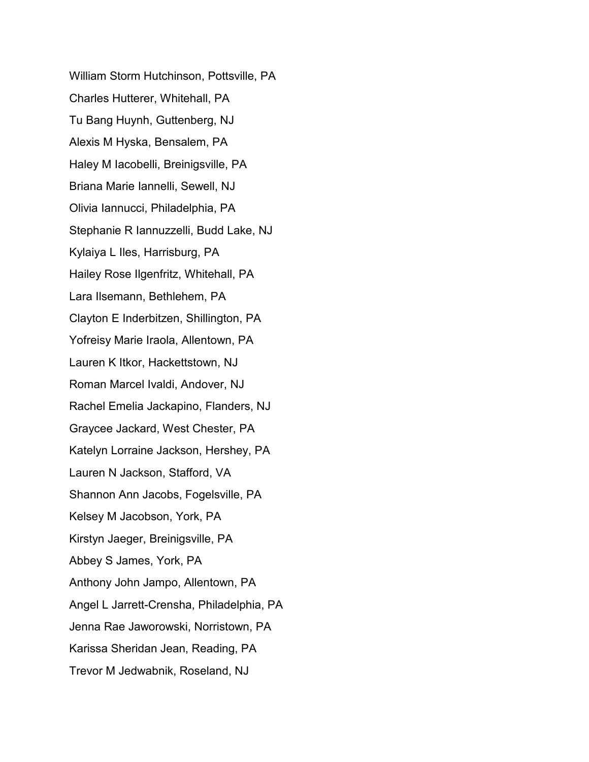William Storm Hutchinson, Pottsville, PA Charles Hutterer, Whitehall, PA Tu Bang Huynh, Guttenberg, NJ Alexis M Hyska, Bensalem, PA Haley M Iacobelli, Breinigsville, PA Briana Marie Iannelli, Sewell, NJ Olivia Iannucci, Philadelphia, PA Stephanie R Iannuzzelli, Budd Lake, NJ Kylaiya L Iles, Harrisburg, PA Hailey Rose Ilgenfritz, Whitehall, PA Lara Ilsemann, Bethlehem, PA Clayton E Inderbitzen, Shillington, PA Yofreisy Marie Iraola, Allentown, PA Lauren K Itkor, Hackettstown, NJ Roman Marcel Ivaldi, Andover, NJ Rachel Emelia Jackapino, Flanders, NJ Graycee Jackard, West Chester, PA Katelyn Lorraine Jackson, Hershey, PA Lauren N Jackson, Stafford, VA Shannon Ann Jacobs, Fogelsville, PA Kelsey M Jacobson, York, PA Kirstyn Jaeger, Breinigsville, PA Abbey S James, York, PA Anthony John Jampo, Allentown, PA Angel L Jarrett-Crensha, Philadelphia, PA Jenna Rae Jaworowski, Norristown, PA Karissa Sheridan Jean, Reading, PA Trevor M Jedwabnik, Roseland, NJ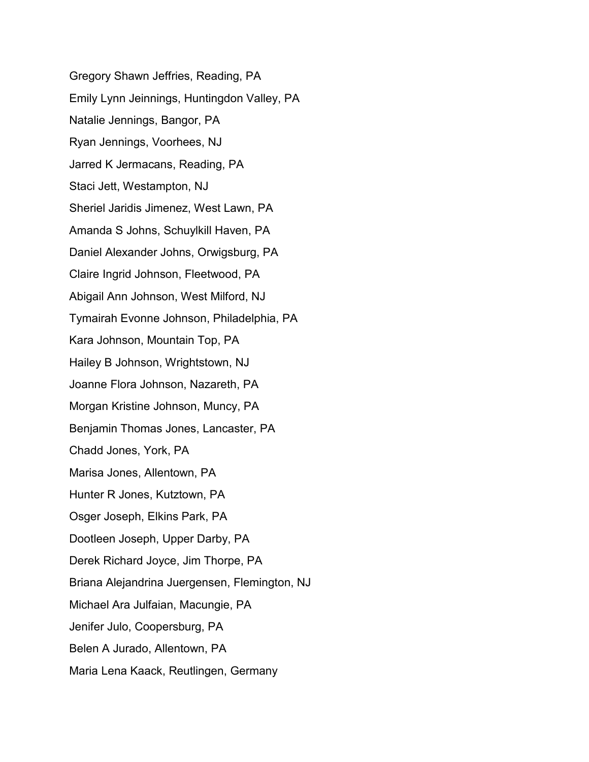Gregory Shawn Jeffries, Reading, PA Emily Lynn Jeinnings, Huntingdon Valley, PA Natalie Jennings, Bangor, PA Ryan Jennings, Voorhees, NJ Jarred K Jermacans, Reading, PA Staci Jett, Westampton, NJ Sheriel Jaridis Jimenez, West Lawn, PA Amanda S Johns, Schuylkill Haven, PA Daniel Alexander Johns, Orwigsburg, PA Claire Ingrid Johnson, Fleetwood, PA Abigail Ann Johnson, West Milford, NJ Tymairah Evonne Johnson, Philadelphia, PA Kara Johnson, Mountain Top, PA Hailey B Johnson, Wrightstown, NJ Joanne Flora Johnson, Nazareth, PA Morgan Kristine Johnson, Muncy, PA Benjamin Thomas Jones, Lancaster, PA Chadd Jones, York, PA Marisa Jones, Allentown, PA Hunter R Jones, Kutztown, PA Osger Joseph, Elkins Park, PA Dootleen Joseph, Upper Darby, PA Derek Richard Joyce, Jim Thorpe, PA Briana Alejandrina Juergensen, Flemington, NJ Michael Ara Julfaian, Macungie, PA Jenifer Julo, Coopersburg, PA Belen A Jurado, Allentown, PA Maria Lena Kaack, Reutlingen, Germany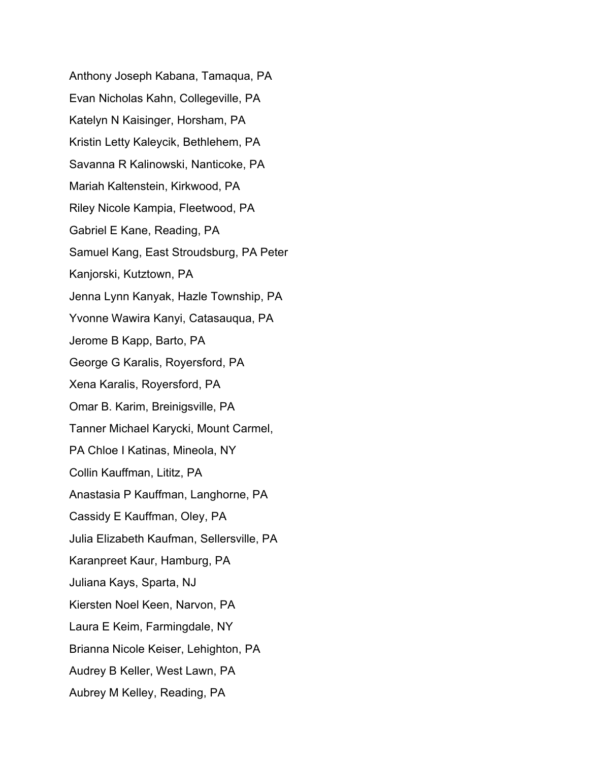Anthony Joseph Kabana, Tamaqua, PA Evan Nicholas Kahn, Collegeville, PA Katelyn N Kaisinger, Horsham, PA Kristin Letty Kaleycik, Bethlehem, PA Savanna R Kalinowski, Nanticoke, PA Mariah Kaltenstein, Kirkwood, PA Riley Nicole Kampia, Fleetwood, PA Gabriel E Kane, Reading, PA Samuel Kang, East Stroudsburg, PA Peter Kanjorski, Kutztown, PA Jenna Lynn Kanyak, Hazle Township, PA Yvonne Wawira Kanyi, Catasauqua, PA Jerome B Kapp, Barto, PA George G Karalis, Royersford, PA Xena Karalis, Royersford, PA Omar B. Karim, Breinigsville, PA Tanner Michael Karycki, Mount Carmel, PA Chloe I Katinas, Mineola, NY Collin Kauffman, Lititz, PA Anastasia P Kauffman, Langhorne, PA Cassidy E Kauffman, Oley, PA Julia Elizabeth Kaufman, Sellersville, PA Karanpreet Kaur, Hamburg, PA Juliana Kays, Sparta, NJ Kiersten Noel Keen, Narvon, PA Laura E Keim, Farmingdale, NY Brianna Nicole Keiser, Lehighton, PA Audrey B Keller, West Lawn, PA Aubrey M Kelley, Reading, PA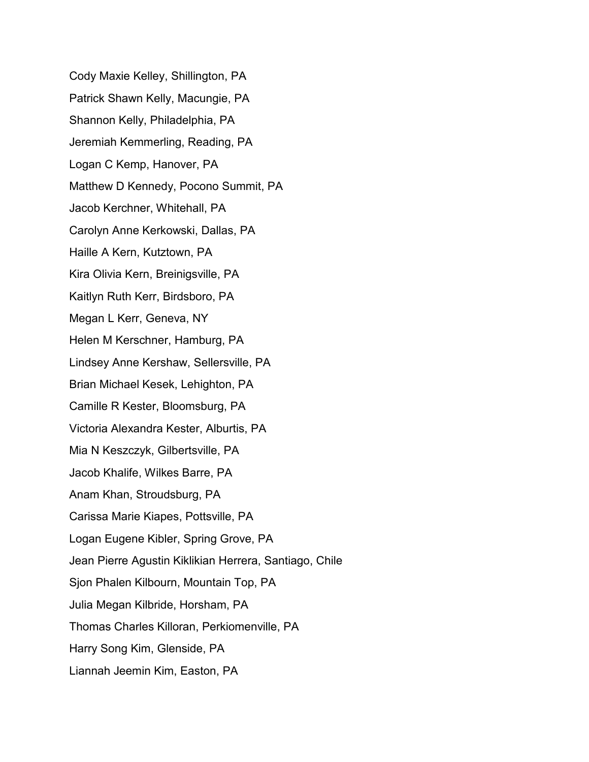Cody Maxie Kelley, Shillington, PA Patrick Shawn Kelly, Macungie, PA Shannon Kelly, Philadelphia, PA Jeremiah Kemmerling, Reading, PA Logan C Kemp, Hanover, PA Matthew D Kennedy, Pocono Summit, PA Jacob Kerchner, Whitehall, PA Carolyn Anne Kerkowski, Dallas, PA Haille A Kern, Kutztown, PA Kira Olivia Kern, Breinigsville, PA Kaitlyn Ruth Kerr, Birdsboro, PA Megan L Kerr, Geneva, NY Helen M Kerschner, Hamburg, PA Lindsey Anne Kershaw, Sellersville, PA Brian Michael Kesek, Lehighton, PA Camille R Kester, Bloomsburg, PA Victoria Alexandra Kester, Alburtis, PA Mia N Keszczyk, Gilbertsville, PA Jacob Khalife, Wilkes Barre, PA Anam Khan, Stroudsburg, PA Carissa Marie Kiapes, Pottsville, PA Logan Eugene Kibler, Spring Grove, PA Jean Pierre Agustin Kiklikian Herrera, Santiago, Chile Sjon Phalen Kilbourn, Mountain Top, PA Julia Megan Kilbride, Horsham, PA Thomas Charles Killoran, Perkiomenville, PA Harry Song Kim, Glenside, PA Liannah Jeemin Kim, Easton, PA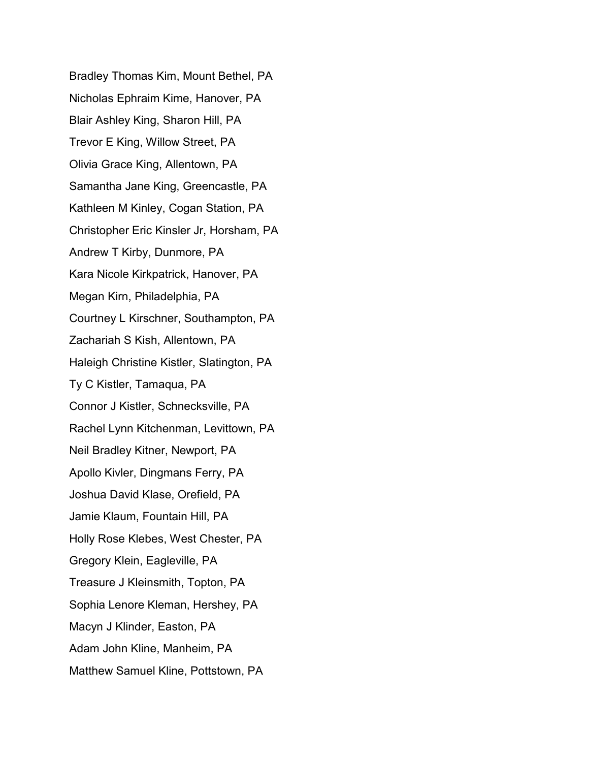Bradley Thomas Kim, Mount Bethel, PA Nicholas Ephraim Kime, Hanover, PA Blair Ashley King, Sharon Hill, PA Trevor E King, Willow Street, PA Olivia Grace King, Allentown, PA Samantha Jane King, Greencastle, PA Kathleen M Kinley, Cogan Station, PA Christopher Eric Kinsler Jr, Horsham, PA Andrew T Kirby, Dunmore, PA Kara Nicole Kirkpatrick, Hanover, PA Megan Kirn, Philadelphia, PA Courtney L Kirschner, Southampton, PA Zachariah S Kish, Allentown, PA Haleigh Christine Kistler, Slatington, PA Ty C Kistler, Tamaqua, PA Connor J Kistler, Schnecksville, PA Rachel Lynn Kitchenman, Levittown, PA Neil Bradley Kitner, Newport, PA Apollo Kivler, Dingmans Ferry, PA Joshua David Klase, Orefield, PA Jamie Klaum, Fountain Hill, PA Holly Rose Klebes, West Chester, PA Gregory Klein, Eagleville, PA Treasure J Kleinsmith, Topton, PA Sophia Lenore Kleman, Hershey, PA Macyn J Klinder, Easton, PA Adam John Kline, Manheim, PA Matthew Samuel Kline, Pottstown, PA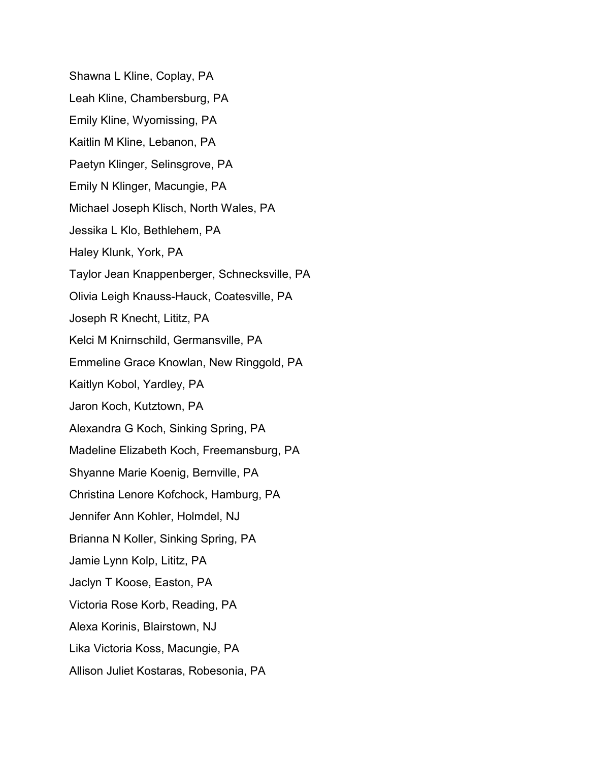Shawna L Kline, Coplay, PA Leah Kline, Chambersburg, PA Emily Kline, Wyomissing, PA Kaitlin M Kline, Lebanon, PA Paetyn Klinger, Selinsgrove, PA Emily N Klinger, Macungie, PA Michael Joseph Klisch, North Wales, PA Jessika L Klo, Bethlehem, PA Haley Klunk, York, PA Taylor Jean Knappenberger, Schnecksville, PA Olivia Leigh Knauss-Hauck, Coatesville, PA Joseph R Knecht, Lititz, PA Kelci M Knirnschild, Germansville, PA Emmeline Grace Knowlan, New Ringgold, PA Kaitlyn Kobol, Yardley, PA Jaron Koch, Kutztown, PA Alexandra G Koch, Sinking Spring, PA Madeline Elizabeth Koch, Freemansburg, PA Shyanne Marie Koenig, Bernville, PA Christina Lenore Kofchock, Hamburg, PA Jennifer Ann Kohler, Holmdel, NJ Brianna N Koller, Sinking Spring, PA Jamie Lynn Kolp, Lititz, PA Jaclyn T Koose, Easton, PA Victoria Rose Korb, Reading, PA Alexa Korinis, Blairstown, NJ Lika Victoria Koss, Macungie, PA Allison Juliet Kostaras, Robesonia, PA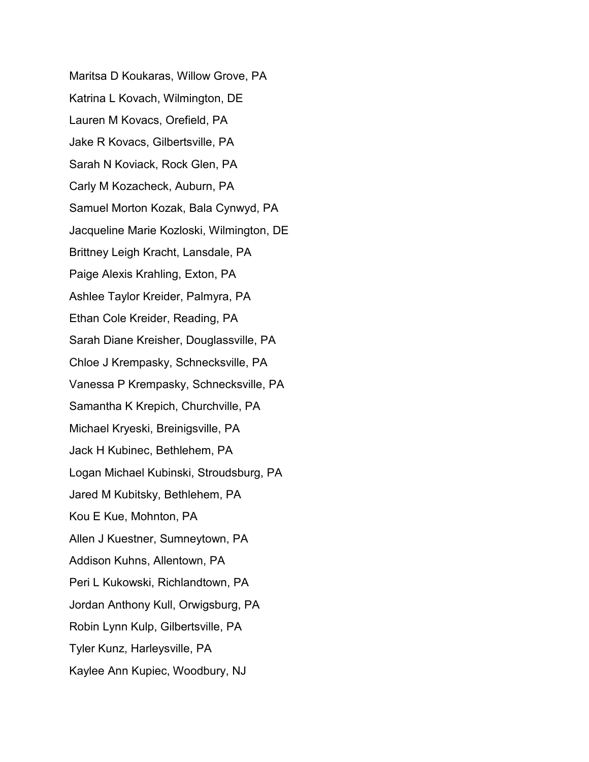Maritsa D Koukaras, Willow Grove, PA Katrina L Kovach, Wilmington, DE Lauren M Kovacs, Orefield, PA Jake R Kovacs, Gilbertsville, PA Sarah N Koviack, Rock Glen, PA Carly M Kozacheck, Auburn, PA Samuel Morton Kozak, Bala Cynwyd, PA Jacqueline Marie Kozloski, Wilmington, DE Brittney Leigh Kracht, Lansdale, PA Paige Alexis Krahling, Exton, PA Ashlee Taylor Kreider, Palmyra, PA Ethan Cole Kreider, Reading, PA Sarah Diane Kreisher, Douglassville, PA Chloe J Krempasky, Schnecksville, PA Vanessa P Krempasky, Schnecksville, PA Samantha K Krepich, Churchville, PA Michael Kryeski, Breinigsville, PA Jack H Kubinec, Bethlehem, PA Logan Michael Kubinski, Stroudsburg, PA Jared M Kubitsky, Bethlehem, PA Kou E Kue, Mohnton, PA Allen J Kuestner, Sumneytown, PA Addison Kuhns, Allentown, PA Peri L Kukowski, Richlandtown, PA Jordan Anthony Kull, Orwigsburg, PA Robin Lynn Kulp, Gilbertsville, PA Tyler Kunz, Harleysville, PA Kaylee Ann Kupiec, Woodbury, NJ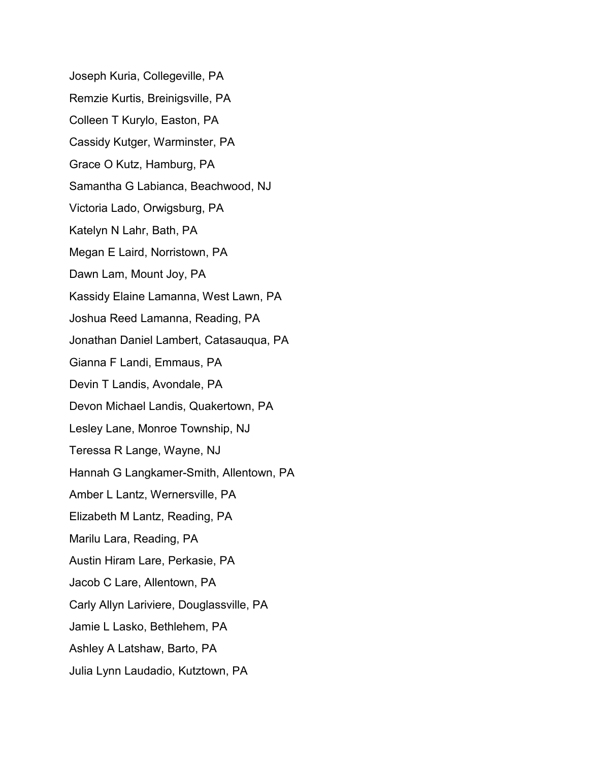Joseph Kuria, Collegeville, PA Remzie Kurtis, Breinigsville, PA Colleen T Kurylo, Easton, PA Cassidy Kutger, Warminster, PA Grace O Kutz, Hamburg, PA Samantha G Labianca, Beachwood, NJ Victoria Lado, Orwigsburg, PA Katelyn N Lahr, Bath, PA Megan E Laird, Norristown, PA Dawn Lam, Mount Joy, PA Kassidy Elaine Lamanna, West Lawn, PA Joshua Reed Lamanna, Reading, PA Jonathan Daniel Lambert, Catasauqua, PA Gianna F Landi, Emmaus, PA Devin T Landis, Avondale, PA Devon Michael Landis, Quakertown, PA Lesley Lane, Monroe Township, NJ Teressa R Lange, Wayne, NJ Hannah G Langkamer-Smith, Allentown, PA Amber L Lantz, Wernersville, PA Elizabeth M Lantz, Reading, PA Marilu Lara, Reading, PA Austin Hiram Lare, Perkasie, PA Jacob C Lare, Allentown, PA Carly Allyn Lariviere, Douglassville, PA Jamie L Lasko, Bethlehem, PA Ashley A Latshaw, Barto, PA Julia Lynn Laudadio, Kutztown, PA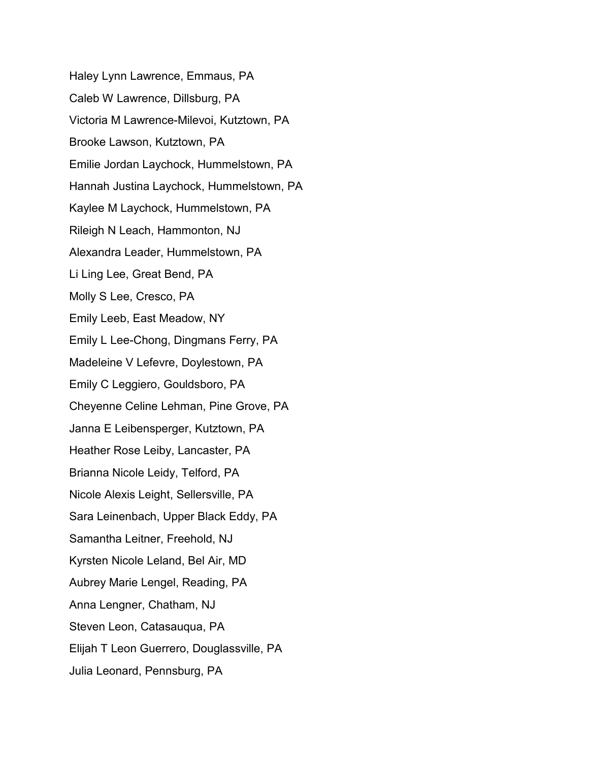Haley Lynn Lawrence, Emmaus, PA Caleb W Lawrence, Dillsburg, PA Victoria M Lawrence-Milevoi, Kutztown, PA Brooke Lawson, Kutztown, PA Emilie Jordan Laychock, Hummelstown, PA Hannah Justina Laychock, Hummelstown, PA Kaylee M Laychock, Hummelstown, PA Rileigh N Leach, Hammonton, NJ Alexandra Leader, Hummelstown, PA Li Ling Lee, Great Bend, PA Molly S Lee, Cresco, PA Emily Leeb, East Meadow, NY Emily L Lee-Chong, Dingmans Ferry, PA Madeleine V Lefevre, Doylestown, PA Emily C Leggiero, Gouldsboro, PA Cheyenne Celine Lehman, Pine Grove, PA Janna E Leibensperger, Kutztown, PA Heather Rose Leiby, Lancaster, PA Brianna Nicole Leidy, Telford, PA Nicole Alexis Leight, Sellersville, PA Sara Leinenbach, Upper Black Eddy, PA Samantha Leitner, Freehold, NJ Kyrsten Nicole Leland, Bel Air, MD Aubrey Marie Lengel, Reading, PA Anna Lengner, Chatham, NJ Steven Leon, Catasauqua, PA Elijah T Leon Guerrero, Douglassville, PA Julia Leonard, Pennsburg, PA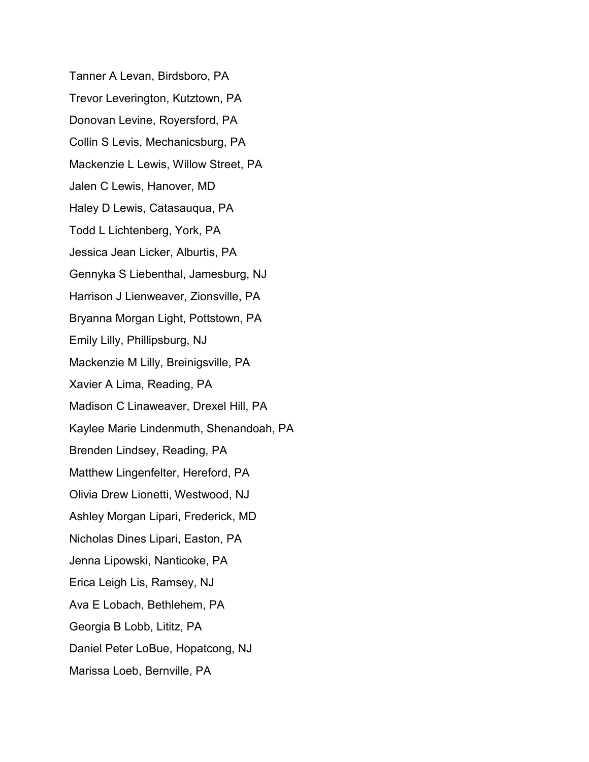Tanner A Levan, Birdsboro, PA Trevor Leverington, Kutztown, PA Donovan Levine, Royersford, PA Collin S Levis, Mechanicsburg, PA Mackenzie L Lewis, Willow Street, PA Jalen C Lewis, Hanover, MD Haley D Lewis, Catasauqua, PA Todd L Lichtenberg, York, PA Jessica Jean Licker, Alburtis, PA Gennyka S Liebenthal, Jamesburg, NJ Harrison J Lienweaver, Zionsville, PA Bryanna Morgan Light, Pottstown, PA Emily Lilly, Phillipsburg, NJ Mackenzie M Lilly, Breinigsville, PA Xavier A Lima, Reading, PA Madison C Linaweaver, Drexel Hill, PA Kaylee Marie Lindenmuth, Shenandoah, PA Brenden Lindsey, Reading, PA Matthew Lingenfelter, Hereford, PA Olivia Drew Lionetti, Westwood, NJ Ashley Morgan Lipari, Frederick, MD Nicholas Dines Lipari, Easton, PA Jenna Lipowski, Nanticoke, PA Erica Leigh Lis, Ramsey, NJ Ava E Lobach, Bethlehem, PA Georgia B Lobb, Lititz, PA Daniel Peter LoBue, Hopatcong, NJ Marissa Loeb, Bernville, PA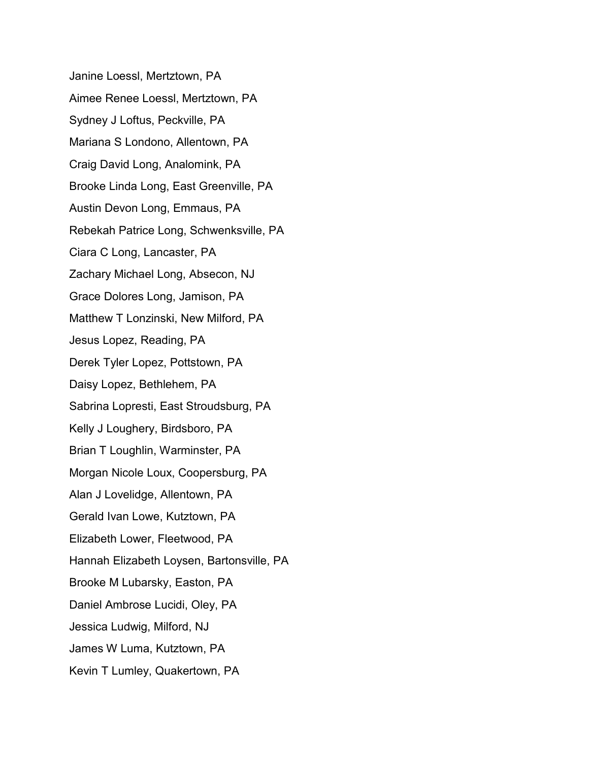Janine Loessl, Mertztown, PA Aimee Renee Loessl, Mertztown, PA Sydney J Loftus, Peckville, PA Mariana S Londono, Allentown, PA Craig David Long, Analomink, PA Brooke Linda Long, East Greenville, PA Austin Devon Long, Emmaus, PA Rebekah Patrice Long, Schwenksville, PA Ciara C Long, Lancaster, PA Zachary Michael Long, Absecon, NJ Grace Dolores Long, Jamison, PA Matthew T Lonzinski, New Milford, PA Jesus Lopez, Reading, PA Derek Tyler Lopez, Pottstown, PA Daisy Lopez, Bethlehem, PA Sabrina Lopresti, East Stroudsburg, PA Kelly J Loughery, Birdsboro, PA Brian T Loughlin, Warminster, PA Morgan Nicole Loux, Coopersburg, PA Alan J Lovelidge, Allentown, PA Gerald Ivan Lowe, Kutztown, PA Elizabeth Lower, Fleetwood, PA Hannah Elizabeth Loysen, Bartonsville, PA Brooke M Lubarsky, Easton, PA Daniel Ambrose Lucidi, Oley, PA Jessica Ludwig, Milford, NJ James W Luma, Kutztown, PA Kevin T Lumley, Quakertown, PA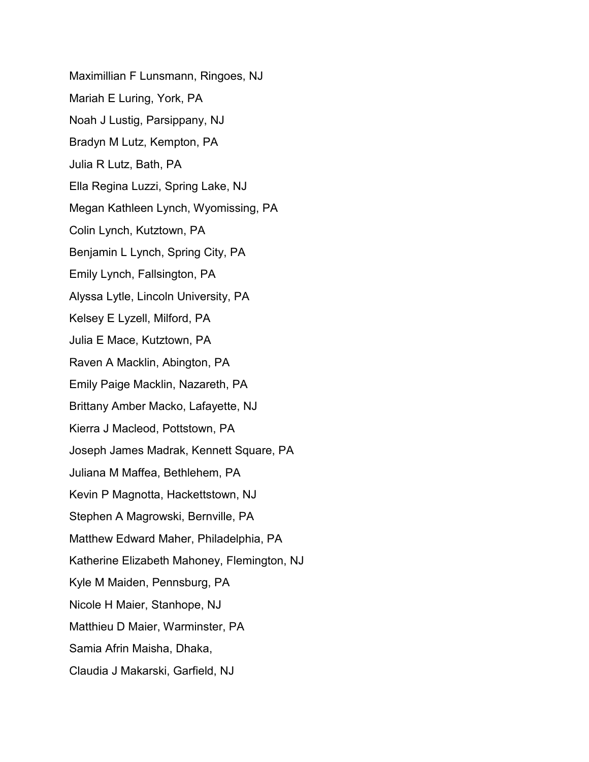Maximillian F Lunsmann, Ringoes, NJ Mariah E Luring, York, PA Noah J Lustig, Parsippany, NJ Bradyn M Lutz, Kempton, PA Julia R Lutz, Bath, PA Ella Regina Luzzi, Spring Lake, NJ Megan Kathleen Lynch, Wyomissing, PA Colin Lynch, Kutztown, PA Benjamin L Lynch, Spring City, PA Emily Lynch, Fallsington, PA Alyssa Lytle, Lincoln University, PA Kelsey E Lyzell, Milford, PA Julia E Mace, Kutztown, PA Raven A Macklin, Abington, PA Emily Paige Macklin, Nazareth, PA Brittany Amber Macko, Lafayette, NJ Kierra J Macleod, Pottstown, PA Joseph James Madrak, Kennett Square, PA Juliana M Maffea, Bethlehem, PA Kevin P Magnotta, Hackettstown, NJ Stephen A Magrowski, Bernville, PA Matthew Edward Maher, Philadelphia, PA Katherine Elizabeth Mahoney, Flemington, NJ Kyle M Maiden, Pennsburg, PA Nicole H Maier, Stanhope, NJ Matthieu D Maier, Warminster, PA Samia Afrin Maisha, Dhaka, Claudia J Makarski, Garfield, NJ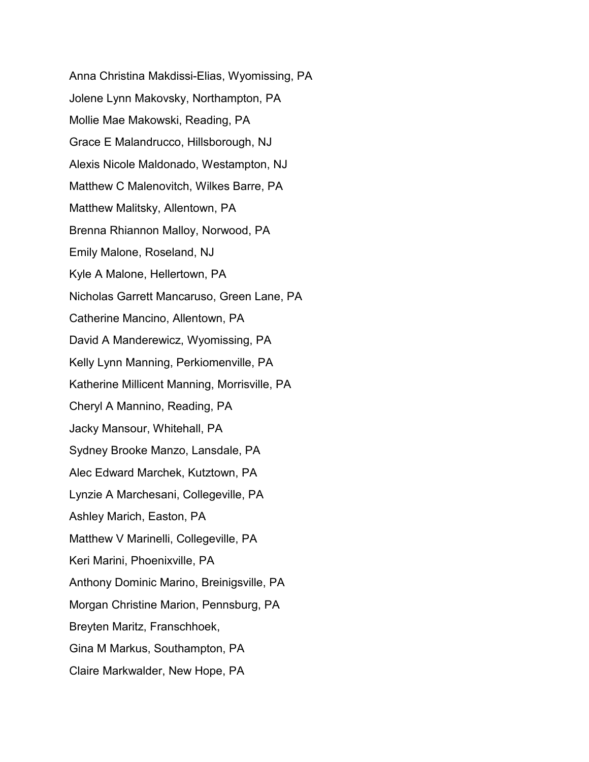Anna Christina Makdissi-Elias, Wyomissing, PA Jolene Lynn Makovsky, Northampton, PA Mollie Mae Makowski, Reading, PA Grace E Malandrucco, Hillsborough, NJ Alexis Nicole Maldonado, Westampton, NJ Matthew C Malenovitch, Wilkes Barre, PA Matthew Malitsky, Allentown, PA Brenna Rhiannon Malloy, Norwood, PA Emily Malone, Roseland, NJ Kyle A Malone, Hellertown, PA Nicholas Garrett Mancaruso, Green Lane, PA Catherine Mancino, Allentown, PA David A Manderewicz, Wyomissing, PA Kelly Lynn Manning, Perkiomenville, PA Katherine Millicent Manning, Morrisville, PA Cheryl A Mannino, Reading, PA Jacky Mansour, Whitehall, PA Sydney Brooke Manzo, Lansdale, PA Alec Edward Marchek, Kutztown, PA Lynzie A Marchesani, Collegeville, PA Ashley Marich, Easton, PA Matthew V Marinelli, Collegeville, PA Keri Marini, Phoenixville, PA Anthony Dominic Marino, Breinigsville, PA Morgan Christine Marion, Pennsburg, PA Breyten Maritz, Franschhoek, Gina M Markus, Southampton, PA Claire Markwalder, New Hope, PA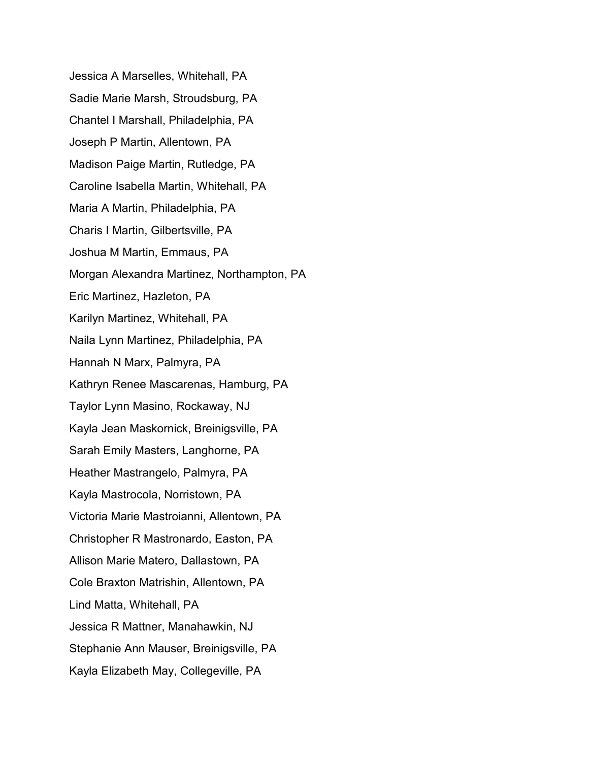Jessica A Marselles, Whitehall, PA Sadie Marie Marsh, Stroudsburg, PA Chantel I Marshall, Philadelphia, PA Joseph P Martin, Allentown, PA Madison Paige Martin, Rutledge, PA Caroline Isabella Martin, Whitehall, PA Maria A Martin, Philadelphia, PA Charis I Martin, Gilbertsville, PA Joshua M Martin, Emmaus, PA Morgan Alexandra Martinez, Northampton, PA Eric Martinez, Hazleton, PA Karilyn Martinez, Whitehall, PA Naila Lynn Martinez, Philadelphia, PA Hannah N Marx, Palmyra, PA Kathryn Renee Mascarenas, Hamburg, PA Taylor Lynn Masino, Rockaway, NJ Kayla Jean Maskornick, Breinigsville, PA Sarah Emily Masters, Langhorne, PA Heather Mastrangelo, Palmyra, PA Kayla Mastrocola, Norristown, PA Victoria Marie Mastroianni, Allentown, PA Christopher R Mastronardo, Easton, PA Allison Marie Matero, Dallastown, PA Cole Braxton Matrishin, Allentown, PA Lind Matta, Whitehall, PA Jessica R Mattner, Manahawkin, NJ Stephanie Ann Mauser, Breinigsville, PA Kayla Elizabeth May, Collegeville, PA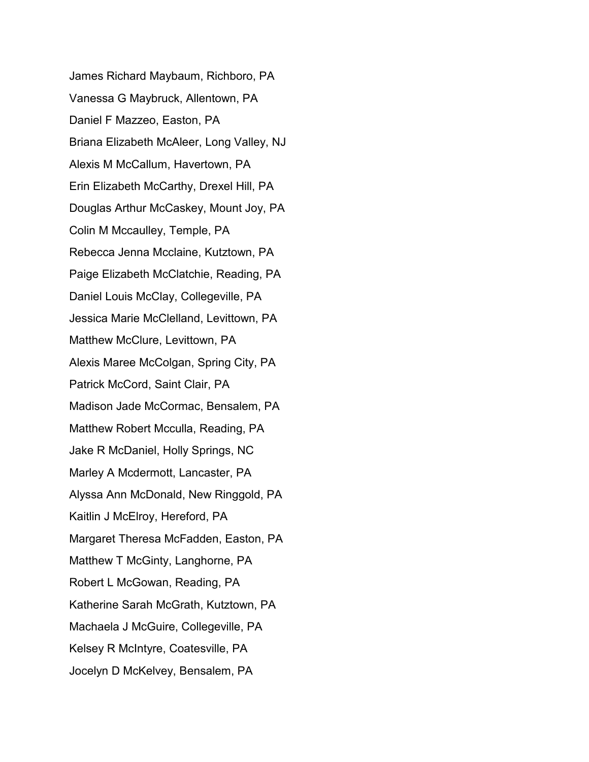James Richard Maybaum, Richboro, PA Vanessa G Maybruck, Allentown, PA Daniel F Mazzeo, Easton, PA Briana Elizabeth McAleer, Long Valley, NJ Alexis M McCallum, Havertown, PA Erin Elizabeth McCarthy, Drexel Hill, PA Douglas Arthur McCaskey, Mount Joy, PA Colin M Mccaulley, Temple, PA Rebecca Jenna Mcclaine, Kutztown, PA Paige Elizabeth McClatchie, Reading, PA Daniel Louis McClay, Collegeville, PA Jessica Marie McClelland, Levittown, PA Matthew McClure, Levittown, PA Alexis Maree McColgan, Spring City, PA Patrick McCord, Saint Clair, PA Madison Jade McCormac, Bensalem, PA Matthew Robert Mcculla, Reading, PA Jake R McDaniel, Holly Springs, NC Marley A Mcdermott, Lancaster, PA Alyssa Ann McDonald, New Ringgold, PA Kaitlin J McElroy, Hereford, PA Margaret Theresa McFadden, Easton, PA Matthew T McGinty, Langhorne, PA Robert L McGowan, Reading, PA Katherine Sarah McGrath, Kutztown, PA Machaela J McGuire, Collegeville, PA Kelsey R McIntyre, Coatesville, PA Jocelyn D McKelvey, Bensalem, PA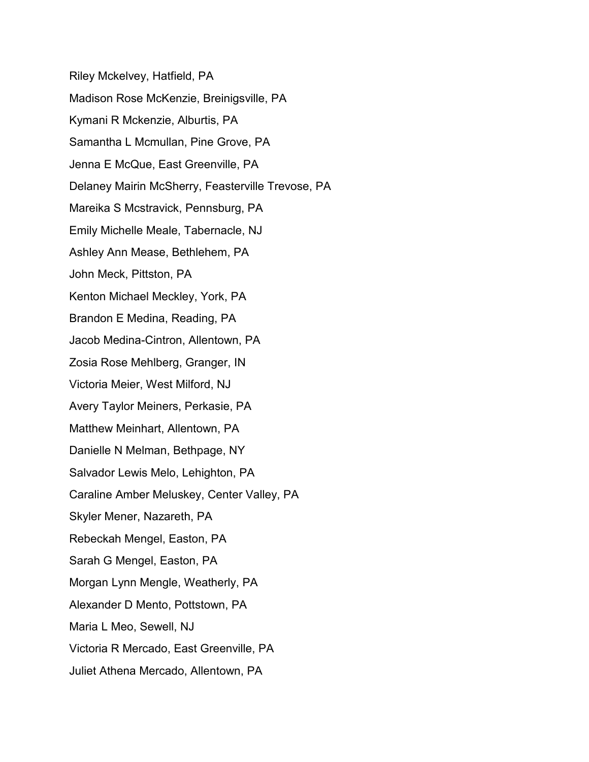Riley Mckelvey, Hatfield, PA Madison Rose McKenzie, Breinigsville, PA Kymani R Mckenzie, Alburtis, PA Samantha L Mcmullan, Pine Grove, PA Jenna E McQue, East Greenville, PA Delaney Mairin McSherry, Feasterville Trevose, PA Mareika S Mcstravick, Pennsburg, PA Emily Michelle Meale, Tabernacle, NJ Ashley Ann Mease, Bethlehem, PA John Meck, Pittston, PA Kenton Michael Meckley, York, PA Brandon E Medina, Reading, PA Jacob Medina-Cintron, Allentown, PA Zosia Rose Mehlberg, Granger, IN Victoria Meier, West Milford, NJ Avery Taylor Meiners, Perkasie, PA Matthew Meinhart, Allentown, PA Danielle N Melman, Bethpage, NY Salvador Lewis Melo, Lehighton, PA Caraline Amber Meluskey, Center Valley, PA Skyler Mener, Nazareth, PA Rebeckah Mengel, Easton, PA Sarah G Mengel, Easton, PA Morgan Lynn Mengle, Weatherly, PA Alexander D Mento, Pottstown, PA Maria L Meo, Sewell, NJ Victoria R Mercado, East Greenville, PA Juliet Athena Mercado, Allentown, PA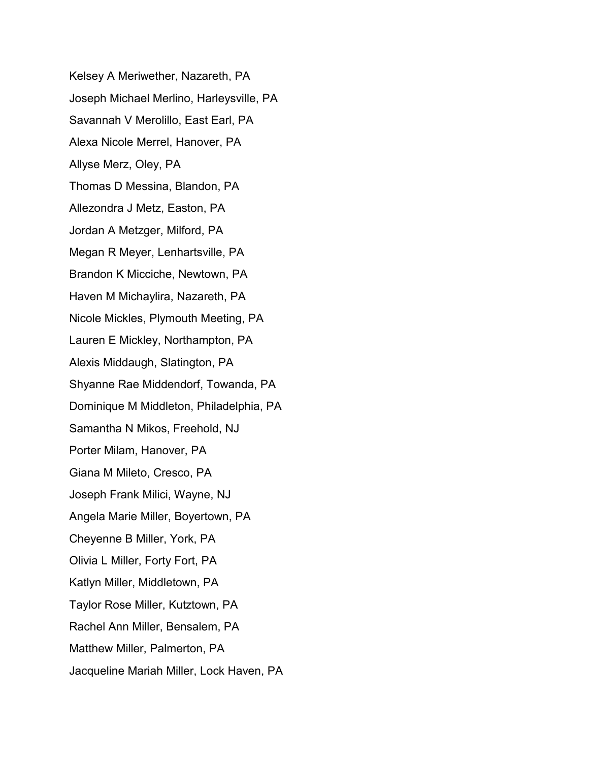Kelsey A Meriwether, Nazareth, PA Joseph Michael Merlino, Harleysville, PA Savannah V Merolillo, East Earl, PA Alexa Nicole Merrel, Hanover, PA Allyse Merz, Oley, PA Thomas D Messina, Blandon, PA Allezondra J Metz, Easton, PA Jordan A Metzger, Milford, PA Megan R Meyer, Lenhartsville, PA Brandon K Micciche, Newtown, PA Haven M Michaylira, Nazareth, PA Nicole Mickles, Plymouth Meeting, PA Lauren E Mickley, Northampton, PA Alexis Middaugh, Slatington, PA Shyanne Rae Middendorf, Towanda, PA Dominique M Middleton, Philadelphia, PA Samantha N Mikos, Freehold, NJ Porter Milam, Hanover, PA Giana M Mileto, Cresco, PA Joseph Frank Milici, Wayne, NJ Angela Marie Miller, Boyertown, PA Cheyenne B Miller, York, PA Olivia L Miller, Forty Fort, PA Katlyn Miller, Middletown, PA Taylor Rose Miller, Kutztown, PA Rachel Ann Miller, Bensalem, PA Matthew Miller, Palmerton, PA Jacqueline Mariah Miller, Lock Haven, PA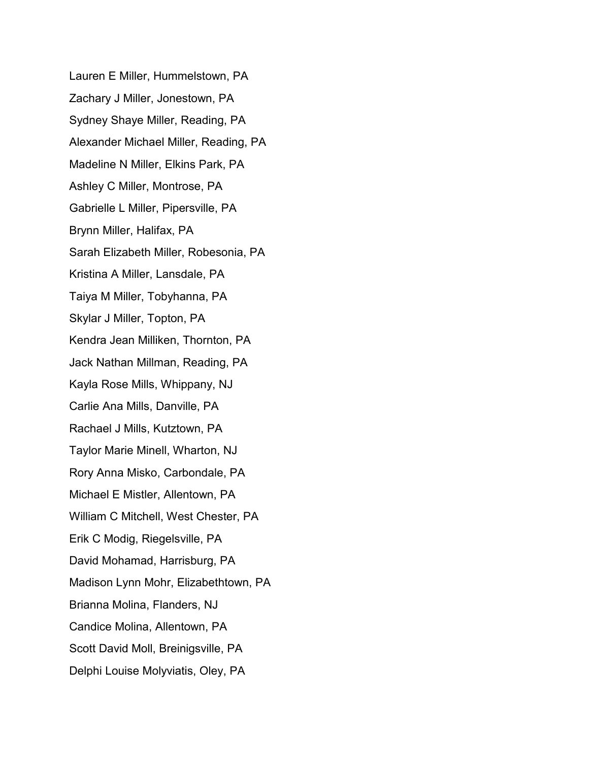Lauren E Miller, Hummelstown, PA Zachary J Miller, Jonestown, PA Sydney Shaye Miller, Reading, PA Alexander Michael Miller, Reading, PA Madeline N Miller, Elkins Park, PA Ashley C Miller, Montrose, PA Gabrielle L Miller, Pipersville, PA Brynn Miller, Halifax, PA Sarah Elizabeth Miller, Robesonia, PA Kristina A Miller, Lansdale, PA Taiya M Miller, Tobyhanna, PA Skylar J Miller, Topton, PA Kendra Jean Milliken, Thornton, PA Jack Nathan Millman, Reading, PA Kayla Rose Mills, Whippany, NJ Carlie Ana Mills, Danville, PA Rachael J Mills, Kutztown, PA Taylor Marie Minell, Wharton, NJ Rory Anna Misko, Carbondale, PA Michael E Mistler, Allentown, PA William C Mitchell, West Chester, PA Erik C Modig, Riegelsville, PA David Mohamad, Harrisburg, PA Madison Lynn Mohr, Elizabethtown, PA Brianna Molina, Flanders, NJ Candice Molina, Allentown, PA Scott David Moll, Breinigsville, PA Delphi Louise Molyviatis, Oley, PA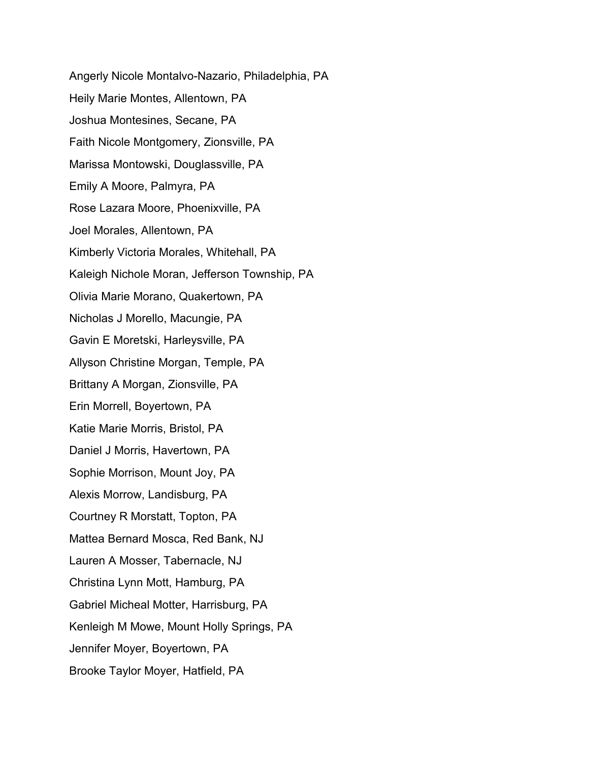Angerly Nicole Montalvo-Nazario, Philadelphia, PA Heily Marie Montes, Allentown, PA Joshua Montesines, Secane, PA Faith Nicole Montgomery, Zionsville, PA Marissa Montowski, Douglassville, PA Emily A Moore, Palmyra, PA Rose Lazara Moore, Phoenixville, PA Joel Morales, Allentown, PA Kimberly Victoria Morales, Whitehall, PA Kaleigh Nichole Moran, Jefferson Township, PA Olivia Marie Morano, Quakertown, PA Nicholas J Morello, Macungie, PA Gavin E Moretski, Harleysville, PA Allyson Christine Morgan, Temple, PA Brittany A Morgan, Zionsville, PA Erin Morrell, Boyertown, PA Katie Marie Morris, Bristol, PA Daniel J Morris, Havertown, PA Sophie Morrison, Mount Joy, PA Alexis Morrow, Landisburg, PA Courtney R Morstatt, Topton, PA Mattea Bernard Mosca, Red Bank, NJ Lauren A Mosser, Tabernacle, NJ Christina Lynn Mott, Hamburg, PA Gabriel Micheal Motter, Harrisburg, PA Kenleigh M Mowe, Mount Holly Springs, PA Jennifer Moyer, Boyertown, PA Brooke Taylor Moyer, Hatfield, PA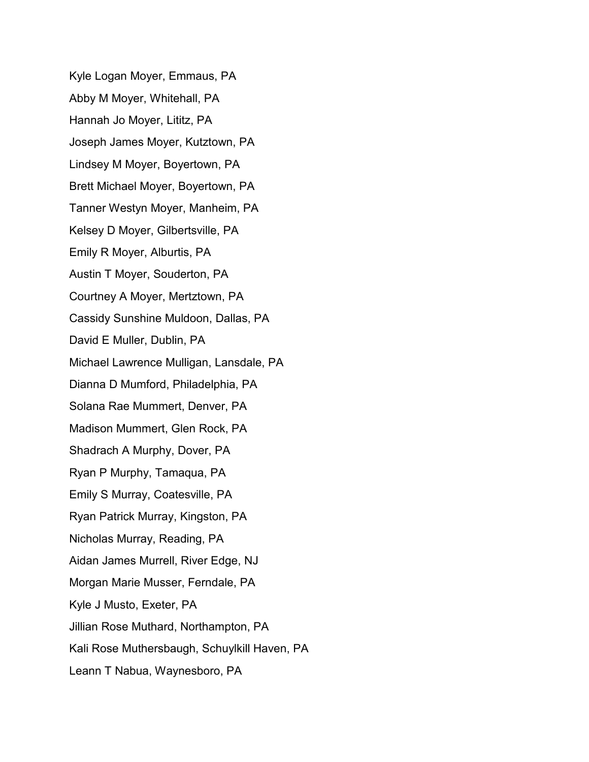Kyle Logan Moyer, Emmaus, PA Abby M Moyer, Whitehall, PA Hannah Jo Moyer, Lititz, PA Joseph James Moyer, Kutztown, PA Lindsey M Moyer, Boyertown, PA Brett Michael Moyer, Boyertown, PA Tanner Westyn Moyer, Manheim, PA Kelsey D Moyer, Gilbertsville, PA Emily R Moyer, Alburtis, PA Austin T Moyer, Souderton, PA Courtney A Moyer, Mertztown, PA Cassidy Sunshine Muldoon, Dallas, PA David E Muller, Dublin, PA Michael Lawrence Mulligan, Lansdale, PA Dianna D Mumford, Philadelphia, PA Solana Rae Mummert, Denver, PA Madison Mummert, Glen Rock, PA Shadrach A Murphy, Dover, PA Ryan P Murphy, Tamaqua, PA Emily S Murray, Coatesville, PA Ryan Patrick Murray, Kingston, PA Nicholas Murray, Reading, PA Aidan James Murrell, River Edge, NJ Morgan Marie Musser, Ferndale, PA Kyle J Musto, Exeter, PA Jillian Rose Muthard, Northampton, PA Kali Rose Muthersbaugh, Schuylkill Haven, PA Leann T Nabua, Waynesboro, PA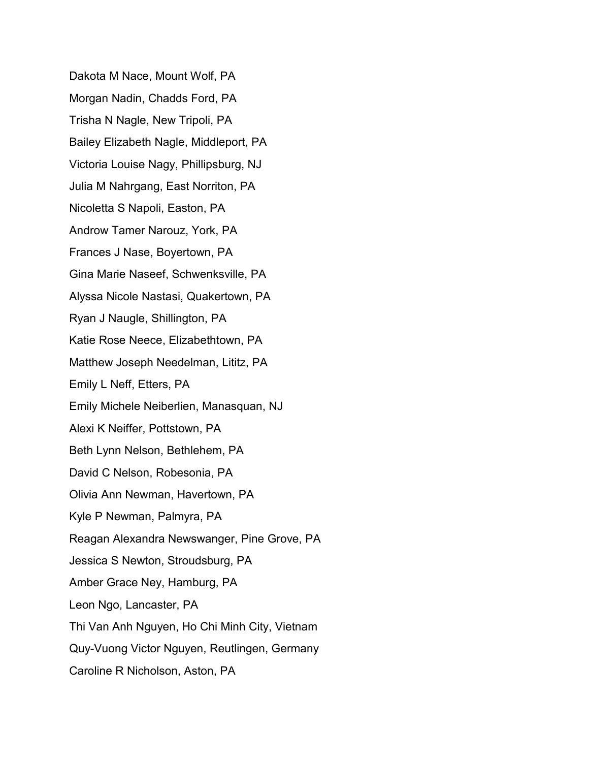Dakota M Nace, Mount Wolf, PA Morgan Nadin, Chadds Ford, PA Trisha N Nagle, New Tripoli, PA Bailey Elizabeth Nagle, Middleport, PA Victoria Louise Nagy, Phillipsburg, NJ Julia M Nahrgang, East Norriton, PA Nicoletta S Napoli, Easton, PA Androw Tamer Narouz, York, PA Frances J Nase, Boyertown, PA Gina Marie Naseef, Schwenksville, PA Alyssa Nicole Nastasi, Quakertown, PA Ryan J Naugle, Shillington, PA Katie Rose Neece, Elizabethtown, PA Matthew Joseph Needelman, Lititz, PA Emily L Neff, Etters, PA Emily Michele Neiberlien, Manasquan, NJ Alexi K Neiffer, Pottstown, PA Beth Lynn Nelson, Bethlehem, PA David C Nelson, Robesonia, PA Olivia Ann Newman, Havertown, PA Kyle P Newman, Palmyra, PA Reagan Alexandra Newswanger, Pine Grove, PA Jessica S Newton, Stroudsburg, PA Amber Grace Ney, Hamburg, PA Leon Ngo, Lancaster, PA Thi Van Anh Nguyen, Ho Chi Minh City, Vietnam Quy-Vuong Victor Nguyen, Reutlingen, Germany Caroline R Nicholson, Aston, PA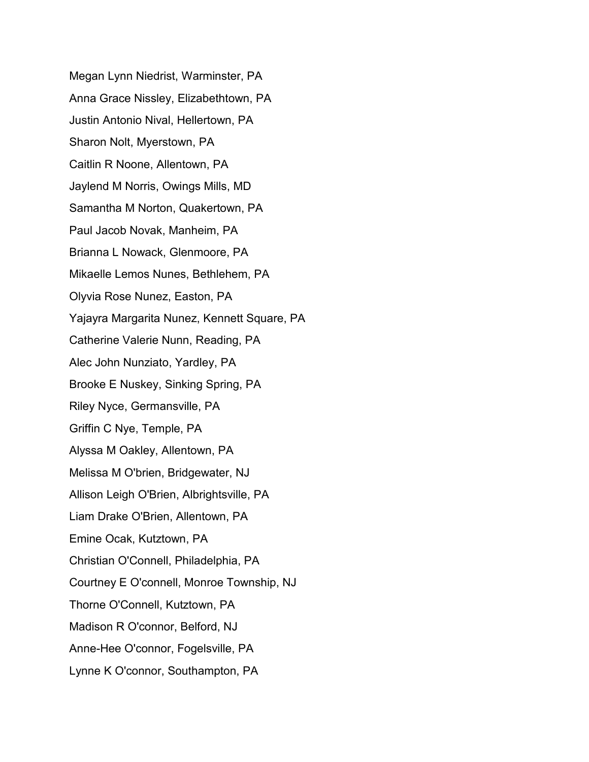Megan Lynn Niedrist, Warminster, PA Anna Grace Nissley, Elizabethtown, PA Justin Antonio Nival, Hellertown, PA Sharon Nolt, Myerstown, PA Caitlin R Noone, Allentown, PA Jaylend M Norris, Owings Mills, MD Samantha M Norton, Quakertown, PA Paul Jacob Novak, Manheim, PA Brianna L Nowack, Glenmoore, PA Mikaelle Lemos Nunes, Bethlehem, PA Olyvia Rose Nunez, Easton, PA Yajayra Margarita Nunez, Kennett Square, PA Catherine Valerie Nunn, Reading, PA Alec John Nunziato, Yardley, PA Brooke E Nuskey, Sinking Spring, PA Riley Nyce, Germansville, PA Griffin C Nye, Temple, PA Alyssa M Oakley, Allentown, PA Melissa M O'brien, Bridgewater, NJ Allison Leigh O'Brien, Albrightsville, PA Liam Drake O'Brien, Allentown, PA Emine Ocak, Kutztown, PA Christian O'Connell, Philadelphia, PA Courtney E O'connell, Monroe Township, NJ Thorne O'Connell, Kutztown, PA Madison R O'connor, Belford, NJ Anne-Hee O'connor, Fogelsville, PA Lynne K O'connor, Southampton, PA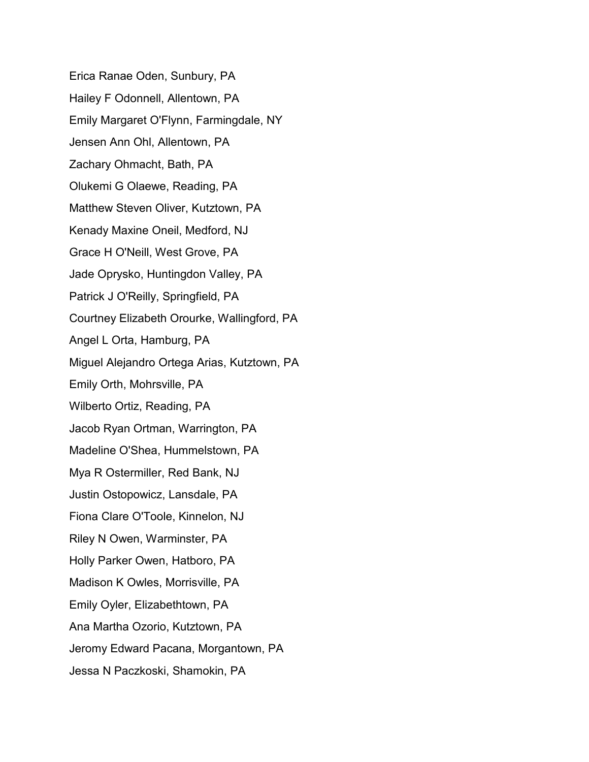Erica Ranae Oden, Sunbury, PA Hailey F Odonnell, Allentown, PA Emily Margaret O'Flynn, Farmingdale, NY Jensen Ann Ohl, Allentown, PA Zachary Ohmacht, Bath, PA Olukemi G Olaewe, Reading, PA Matthew Steven Oliver, Kutztown, PA Kenady Maxine Oneil, Medford, NJ Grace H O'Neill, West Grove, PA Jade Oprysko, Huntingdon Valley, PA Patrick J O'Reilly, Springfield, PA Courtney Elizabeth Orourke, Wallingford, PA Angel L Orta, Hamburg, PA Miguel Alejandro Ortega Arias, Kutztown, PA Emily Orth, Mohrsville, PA Wilberto Ortiz, Reading, PA Jacob Ryan Ortman, Warrington, PA Madeline O'Shea, Hummelstown, PA Mya R Ostermiller, Red Bank, NJ Justin Ostopowicz, Lansdale, PA Fiona Clare O'Toole, Kinnelon, NJ Riley N Owen, Warminster, PA Holly Parker Owen, Hatboro, PA Madison K Owles, Morrisville, PA Emily Oyler, Elizabethtown, PA Ana Martha Ozorio, Kutztown, PA Jeromy Edward Pacana, Morgantown, PA Jessa N Paczkoski, Shamokin, PA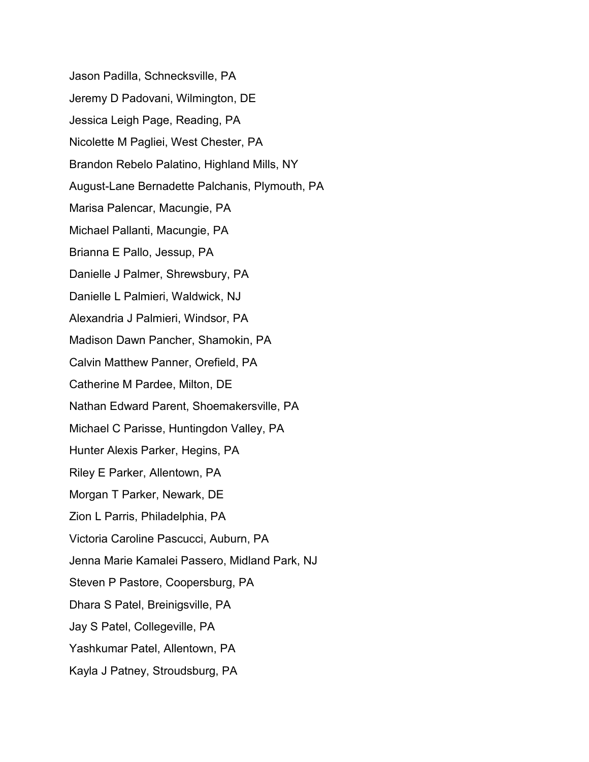Jason Padilla, Schnecksville, PA Jeremy D Padovani, Wilmington, DE Jessica Leigh Page, Reading, PA Nicolette M Pagliei, West Chester, PA Brandon Rebelo Palatino, Highland Mills, NY August-Lane Bernadette Palchanis, Plymouth, PA Marisa Palencar, Macungie, PA Michael Pallanti, Macungie, PA Brianna E Pallo, Jessup, PA Danielle J Palmer, Shrewsbury, PA Danielle L Palmieri, Waldwick, NJ Alexandria J Palmieri, Windsor, PA Madison Dawn Pancher, Shamokin, PA Calvin Matthew Panner, Orefield, PA Catherine M Pardee, Milton, DE Nathan Edward Parent, Shoemakersville, PA Michael C Parisse, Huntingdon Valley, PA Hunter Alexis Parker, Hegins, PA Riley E Parker, Allentown, PA Morgan T Parker, Newark, DE Zion L Parris, Philadelphia, PA Victoria Caroline Pascucci, Auburn, PA Jenna Marie Kamalei Passero, Midland Park, NJ Steven P Pastore, Coopersburg, PA Dhara S Patel, Breinigsville, PA Jay S Patel, Collegeville, PA Yashkumar Patel, Allentown, PA Kayla J Patney, Stroudsburg, PA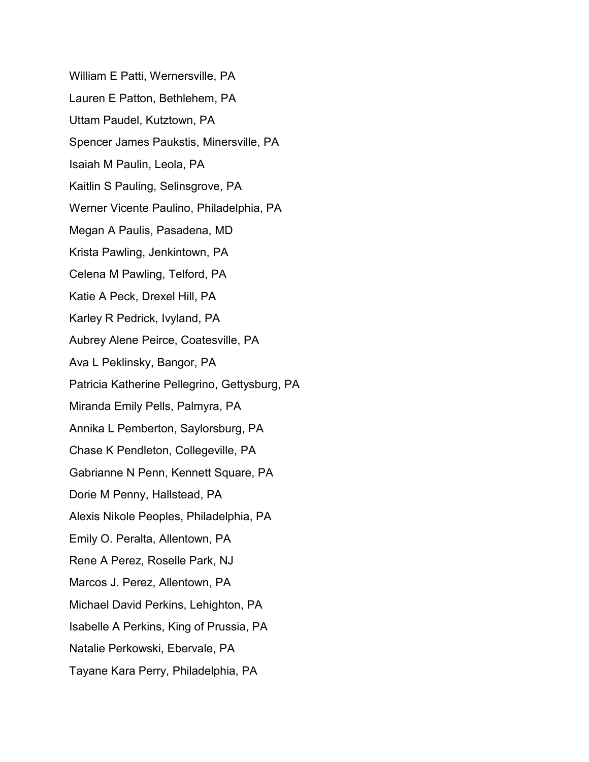William E Patti, Wernersville, PA Lauren E Patton, Bethlehem, PA Uttam Paudel, Kutztown, PA Spencer James Paukstis, Minersville, PA Isaiah M Paulin, Leola, PA Kaitlin S Pauling, Selinsgrove, PA Werner Vicente Paulino, Philadelphia, PA Megan A Paulis, Pasadena, MD Krista Pawling, Jenkintown, PA Celena M Pawling, Telford, PA Katie A Peck, Drexel Hill, PA Karley R Pedrick, Ivyland, PA Aubrey Alene Peirce, Coatesville, PA Ava L Peklinsky, Bangor, PA Patricia Katherine Pellegrino, Gettysburg, PA Miranda Emily Pells, Palmyra, PA Annika L Pemberton, Saylorsburg, PA Chase K Pendleton, Collegeville, PA Gabrianne N Penn, Kennett Square, PA Dorie M Penny, Hallstead, PA Alexis Nikole Peoples, Philadelphia, PA Emily O. Peralta, Allentown, PA Rene A Perez, Roselle Park, NJ Marcos J. Perez, Allentown, PA Michael David Perkins, Lehighton, PA Isabelle A Perkins, King of Prussia, PA Natalie Perkowski, Ebervale, PA Tayane Kara Perry, Philadelphia, PA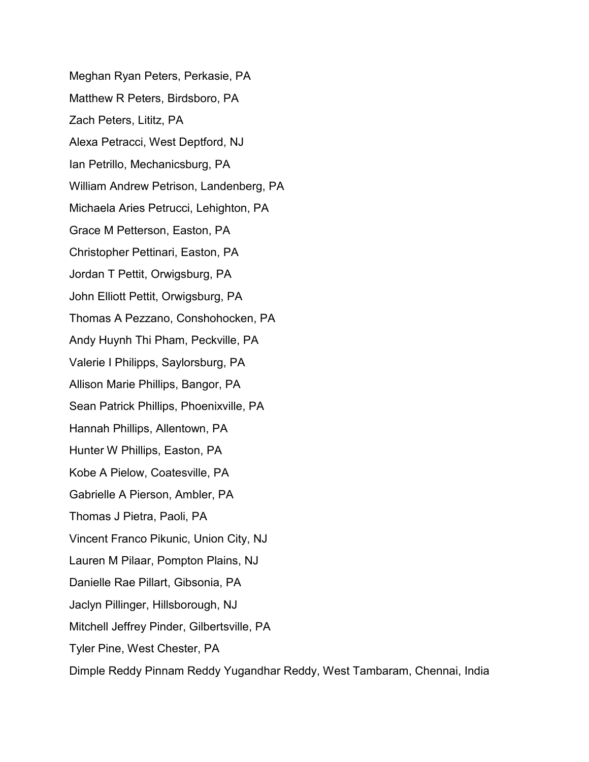Meghan Ryan Peters, Perkasie, PA Matthew R Peters, Birdsboro, PA Zach Peters, Lititz, PA Alexa Petracci, West Deptford, NJ Ian Petrillo, Mechanicsburg, PA William Andrew Petrison, Landenberg, PA Michaela Aries Petrucci, Lehighton, PA Grace M Petterson, Easton, PA Christopher Pettinari, Easton, PA Jordan T Pettit, Orwigsburg, PA John Elliott Pettit, Orwigsburg, PA Thomas A Pezzano, Conshohocken, PA Andy Huynh Thi Pham, Peckville, PA Valerie I Philipps, Saylorsburg, PA Allison Marie Phillips, Bangor, PA Sean Patrick Phillips, Phoenixville, PA Hannah Phillips, Allentown, PA Hunter W Phillips, Easton, PA Kobe A Pielow, Coatesville, PA Gabrielle A Pierson, Ambler, PA Thomas J Pietra, Paoli, PA Vincent Franco Pikunic, Union City, NJ Lauren M Pilaar, Pompton Plains, NJ Danielle Rae Pillart, Gibsonia, PA Jaclyn Pillinger, Hillsborough, NJ Mitchell Jeffrey Pinder, Gilbertsville, PA Tyler Pine, West Chester, PA Dimple Reddy Pinnam Reddy Yugandhar Reddy, West Tambaram, Chennai, India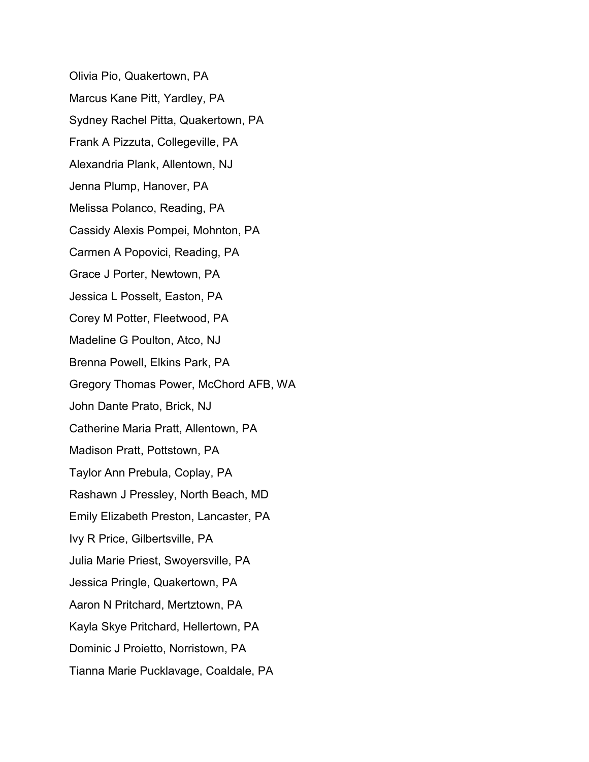Olivia Pio, Quakertown, PA Marcus Kane Pitt, Yardley, PA Sydney Rachel Pitta, Quakertown, PA Frank A Pizzuta, Collegeville, PA Alexandria Plank, Allentown, NJ Jenna Plump, Hanover, PA Melissa Polanco, Reading, PA Cassidy Alexis Pompei, Mohnton, PA Carmen A Popovici, Reading, PA Grace J Porter, Newtown, PA Jessica L Posselt, Easton, PA Corey M Potter, Fleetwood, PA Madeline G Poulton, Atco, NJ Brenna Powell, Elkins Park, PA Gregory Thomas Power, McChord AFB, WA John Dante Prato, Brick, NJ Catherine Maria Pratt, Allentown, PA Madison Pratt, Pottstown, PA Taylor Ann Prebula, Coplay, PA Rashawn J Pressley, North Beach, MD Emily Elizabeth Preston, Lancaster, PA Ivy R Price, Gilbertsville, PA Julia Marie Priest, Swoyersville, PA Jessica Pringle, Quakertown, PA Aaron N Pritchard, Mertztown, PA Kayla Skye Pritchard, Hellertown, PA Dominic J Proietto, Norristown, PA Tianna Marie Pucklavage, Coaldale, PA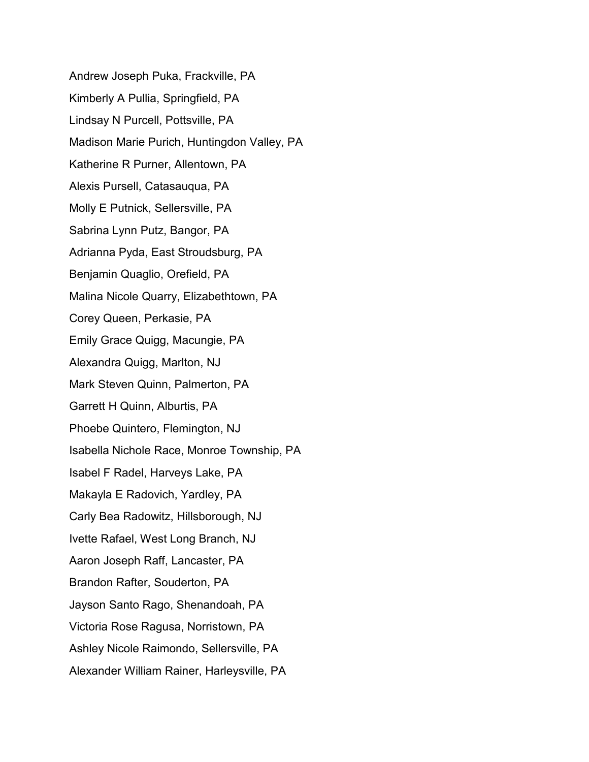Andrew Joseph Puka, Frackville, PA Kimberly A Pullia, Springfield, PA Lindsay N Purcell, Pottsville, PA Madison Marie Purich, Huntingdon Valley, PA Katherine R Purner, Allentown, PA Alexis Pursell, Catasauqua, PA Molly E Putnick, Sellersville, PA Sabrina Lynn Putz, Bangor, PA Adrianna Pyda, East Stroudsburg, PA Benjamin Quaglio, Orefield, PA Malina Nicole Quarry, Elizabethtown, PA Corey Queen, Perkasie, PA Emily Grace Quigg, Macungie, PA Alexandra Quigg, Marlton, NJ Mark Steven Quinn, Palmerton, PA Garrett H Quinn, Alburtis, PA Phoebe Quintero, Flemington, NJ Isabella Nichole Race, Monroe Township, PA Isabel F Radel, Harveys Lake, PA Makayla E Radovich, Yardley, PA Carly Bea Radowitz, Hillsborough, NJ Ivette Rafael, West Long Branch, NJ Aaron Joseph Raff, Lancaster, PA Brandon Rafter, Souderton, PA Jayson Santo Rago, Shenandoah, PA Victoria Rose Ragusa, Norristown, PA Ashley Nicole Raimondo, Sellersville, PA Alexander William Rainer, Harleysville, PA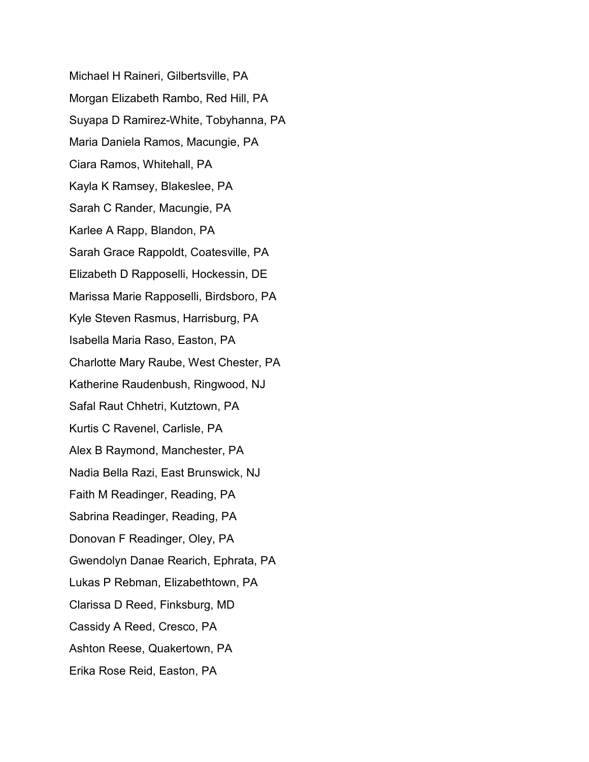Michael H Raineri, Gilbertsville, PA Morgan Elizabeth Rambo, Red Hill, PA Suyapa D Ramirez-White, Tobyhanna, PA Maria Daniela Ramos, Macungie, PA Ciara Ramos, Whitehall, PA Kayla K Ramsey, Blakeslee, PA Sarah C Rander, Macungie, PA Karlee A Rapp, Blandon, PA Sarah Grace Rappoldt, Coatesville, PA Elizabeth D Rapposelli, Hockessin, DE Marissa Marie Rapposelli, Birdsboro, PA Kyle Steven Rasmus, Harrisburg, PA Isabella Maria Raso, Easton, PA Charlotte Mary Raube, West Chester, PA Katherine Raudenbush, Ringwood, NJ Safal Raut Chhetri, Kutztown, PA Kurtis C Ravenel, Carlisle, PA Alex B Raymond, Manchester, PA Nadia Bella Razi, East Brunswick, NJ Faith M Readinger, Reading, PA Sabrina Readinger, Reading, PA Donovan F Readinger, Oley, PA Gwendolyn Danae Rearich, Ephrata, PA Lukas P Rebman, Elizabethtown, PA Clarissa D Reed, Finksburg, MD Cassidy A Reed, Cresco, PA Ashton Reese, Quakertown, PA Erika Rose Reid, Easton, PA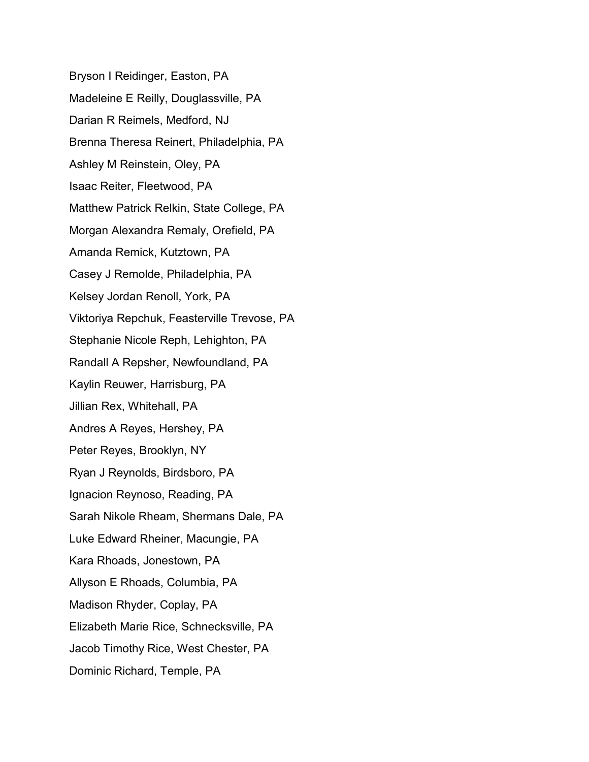Bryson I Reidinger, Easton, PA Madeleine E Reilly, Douglassville, PA Darian R Reimels, Medford, NJ Brenna Theresa Reinert, Philadelphia, PA Ashley M Reinstein, Oley, PA Isaac Reiter, Fleetwood, PA Matthew Patrick Relkin, State College, PA Morgan Alexandra Remaly, Orefield, PA Amanda Remick, Kutztown, PA Casey J Remolde, Philadelphia, PA Kelsey Jordan Renoll, York, PA Viktoriya Repchuk, Feasterville Trevose, PA Stephanie Nicole Reph, Lehighton, PA Randall A Repsher, Newfoundland, PA Kaylin Reuwer, Harrisburg, PA Jillian Rex, Whitehall, PA Andres A Reyes, Hershey, PA Peter Reyes, Brooklyn, NY Ryan J Reynolds, Birdsboro, PA Ignacion Reynoso, Reading, PA Sarah Nikole Rheam, Shermans Dale, PA Luke Edward Rheiner, Macungie, PA Kara Rhoads, Jonestown, PA Allyson E Rhoads, Columbia, PA Madison Rhyder, Coplay, PA Elizabeth Marie Rice, Schnecksville, PA Jacob Timothy Rice, West Chester, PA Dominic Richard, Temple, PA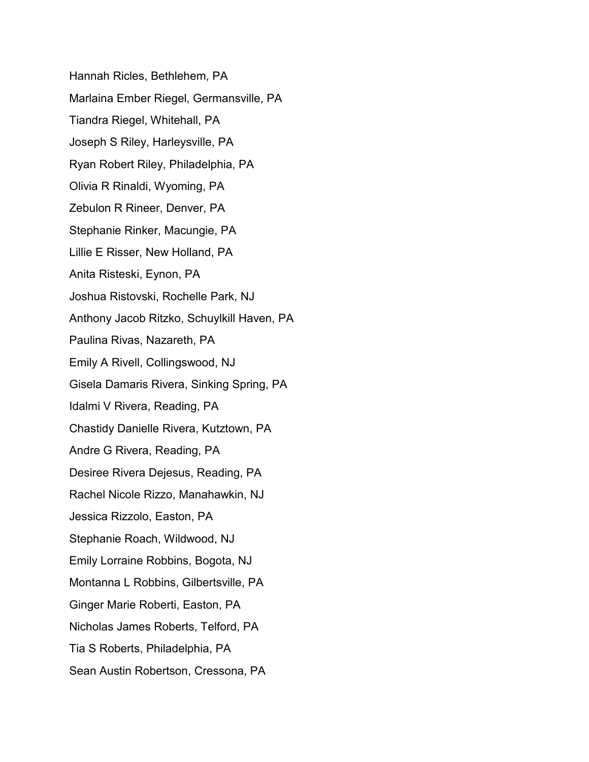Hannah Ricles, Bethlehem, PA Marlaina Ember Riegel, Germansville, PA Tiandra Riegel, Whitehall, PA Joseph S Riley, Harleysville, PA Ryan Robert Riley, Philadelphia, PA Olivia R Rinaldi, Wyoming, PA Zebulon R Rineer, Denver, PA Stephanie Rinker, Macungie, PA Lillie E Risser, New Holland, PA Anita Risteski, Eynon, PA Joshua Ristovski, Rochelle Park, NJ Anthony Jacob Ritzko, Schuylkill Haven, PA Paulina Rivas, Nazareth, PA Emily A Rivell, Collingswood, NJ Gisela Damaris Rivera, Sinking Spring, PA Idalmi V Rivera, Reading, PA Chastidy Danielle Rivera, Kutztown, PA Andre G Rivera, Reading, PA Desiree Rivera Dejesus, Reading, PA Rachel Nicole Rizzo, Manahawkin, NJ Jessica Rizzolo, Easton, PA Stephanie Roach, Wildwood, NJ Emily Lorraine Robbins, Bogota, NJ Montanna L Robbins, Gilbertsville, PA Ginger Marie Roberti, Easton, PA Nicholas James Roberts, Telford, PA Tia S Roberts, Philadelphia, PA Sean Austin Robertson, Cressona, PA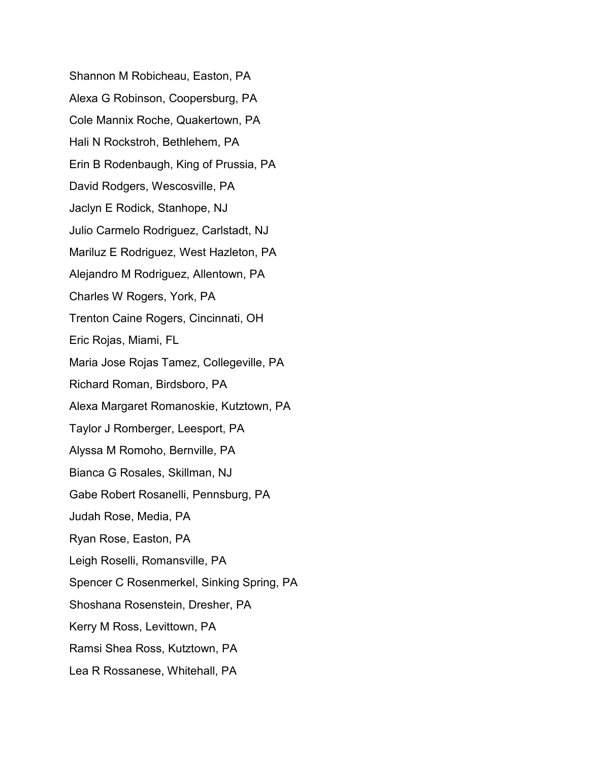Shannon M Robicheau, Easton, PA Alexa G Robinson, Coopersburg, PA Cole Mannix Roche, Quakertown, PA Hali N Rockstroh, Bethlehem, PA Erin B Rodenbaugh, King of Prussia, PA David Rodgers, Wescosville, PA Jaclyn E Rodick, Stanhope, NJ Julio Carmelo Rodriguez, Carlstadt, NJ Mariluz E Rodriguez, West Hazleton, PA Alejandro M Rodriguez, Allentown, PA Charles W Rogers, York, PA Trenton Caine Rogers, Cincinnati, OH Eric Rojas, Miami, FL Maria Jose Rojas Tamez, Collegeville, PA Richard Roman, Birdsboro, PA Alexa Margaret Romanoskie, Kutztown, PA Taylor J Romberger, Leesport, PA Alyssa M Romoho, Bernville, PA Bianca G Rosales, Skillman, NJ Gabe Robert Rosanelli, Pennsburg, PA Judah Rose, Media, PA Ryan Rose, Easton, PA Leigh Roselli, Romansville, PA Spencer C Rosenmerkel, Sinking Spring, PA Shoshana Rosenstein, Dresher, PA Kerry M Ross, Levittown, PA Ramsi Shea Ross, Kutztown, PA Lea R Rossanese, Whitehall, PA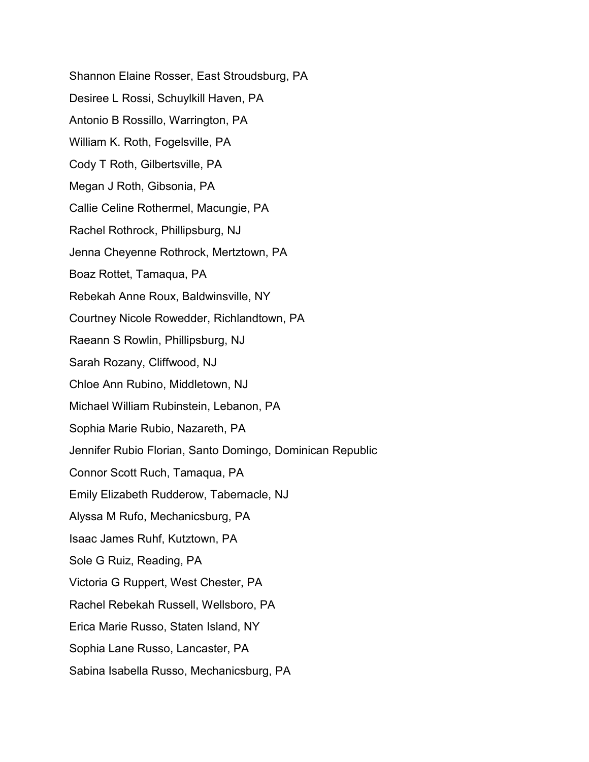Shannon Elaine Rosser, East Stroudsburg, PA Desiree L Rossi, Schuylkill Haven, PA Antonio B Rossillo, Warrington, PA William K. Roth, Fogelsville, PA Cody T Roth, Gilbertsville, PA Megan J Roth, Gibsonia, PA Callie Celine Rothermel, Macungie, PA Rachel Rothrock, Phillipsburg, NJ Jenna Cheyenne Rothrock, Mertztown, PA Boaz Rottet, Tamaqua, PA Rebekah Anne Roux, Baldwinsville, NY Courtney Nicole Rowedder, Richlandtown, PA Raeann S Rowlin, Phillipsburg, NJ Sarah Rozany, Cliffwood, NJ Chloe Ann Rubino, Middletown, NJ Michael William Rubinstein, Lebanon, PA Sophia Marie Rubio, Nazareth, PA Jennifer Rubio Florian, Santo Domingo, Dominican Republic Connor Scott Ruch, Tamaqua, PA Emily Elizabeth Rudderow, Tabernacle, NJ Alyssa M Rufo, Mechanicsburg, PA Isaac James Ruhf, Kutztown, PA Sole G Ruiz, Reading, PA Victoria G Ruppert, West Chester, PA Rachel Rebekah Russell, Wellsboro, PA Erica Marie Russo, Staten Island, NY Sophia Lane Russo, Lancaster, PA Sabina Isabella Russo, Mechanicsburg, PA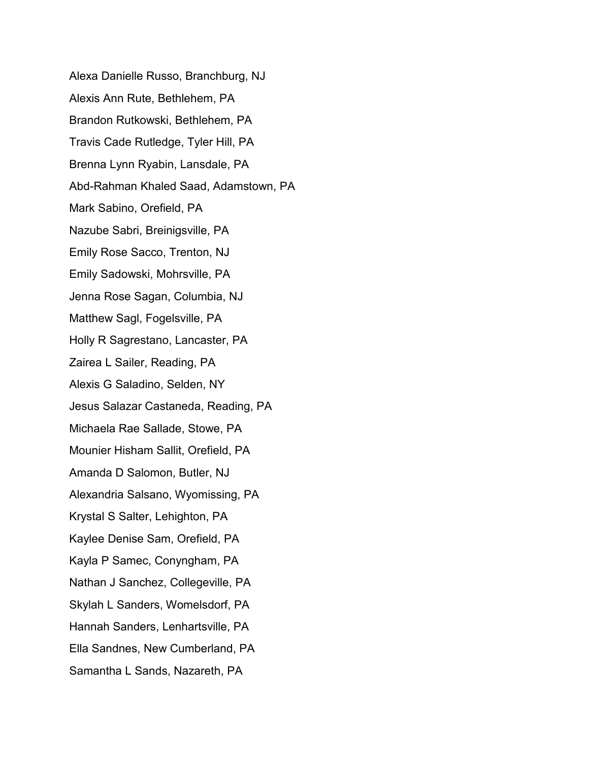Alexa Danielle Russo, Branchburg, NJ Alexis Ann Rute, Bethlehem, PA Brandon Rutkowski, Bethlehem, PA Travis Cade Rutledge, Tyler Hill, PA Brenna Lynn Ryabin, Lansdale, PA Abd-Rahman Khaled Saad, Adamstown, PA Mark Sabino, Orefield, PA Nazube Sabri, Breinigsville, PA Emily Rose Sacco, Trenton, NJ Emily Sadowski, Mohrsville, PA Jenna Rose Sagan, Columbia, NJ Matthew Sagl, Fogelsville, PA Holly R Sagrestano, Lancaster, PA Zairea L Sailer, Reading, PA Alexis G Saladino, Selden, NY Jesus Salazar Castaneda, Reading, PA Michaela Rae Sallade, Stowe, PA Mounier Hisham Sallit, Orefield, PA Amanda D Salomon, Butler, NJ Alexandria Salsano, Wyomissing, PA Krystal S Salter, Lehighton, PA Kaylee Denise Sam, Orefield, PA Kayla P Samec, Conyngham, PA Nathan J Sanchez, Collegeville, PA Skylah L Sanders, Womelsdorf, PA Hannah Sanders, Lenhartsville, PA Ella Sandnes, New Cumberland, PA Samantha L Sands, Nazareth, PA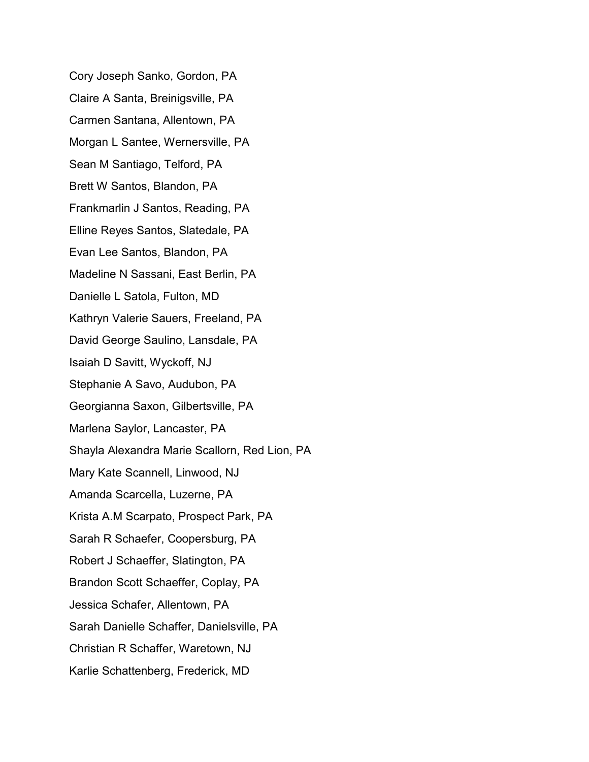Cory Joseph Sanko, Gordon, PA Claire A Santa, Breinigsville, PA Carmen Santana, Allentown, PA Morgan L Santee, Wernersville, PA Sean M Santiago, Telford, PA Brett W Santos, Blandon, PA Frankmarlin J Santos, Reading, PA Elline Reyes Santos, Slatedale, PA Evan Lee Santos, Blandon, PA Madeline N Sassani, East Berlin, PA Danielle L Satola, Fulton, MD Kathryn Valerie Sauers, Freeland, PA David George Saulino, Lansdale, PA Isaiah D Savitt, Wyckoff, NJ Stephanie A Savo, Audubon, PA Georgianna Saxon, Gilbertsville, PA Marlena Saylor, Lancaster, PA Shayla Alexandra Marie Scallorn, Red Lion, PA Mary Kate Scannell, Linwood, NJ Amanda Scarcella, Luzerne, PA Krista A.M Scarpato, Prospect Park, PA Sarah R Schaefer, Coopersburg, PA Robert J Schaeffer, Slatington, PA Brandon Scott Schaeffer, Coplay, PA Jessica Schafer, Allentown, PA Sarah Danielle Schaffer, Danielsville, PA Christian R Schaffer, Waretown, NJ Karlie Schattenberg, Frederick, MD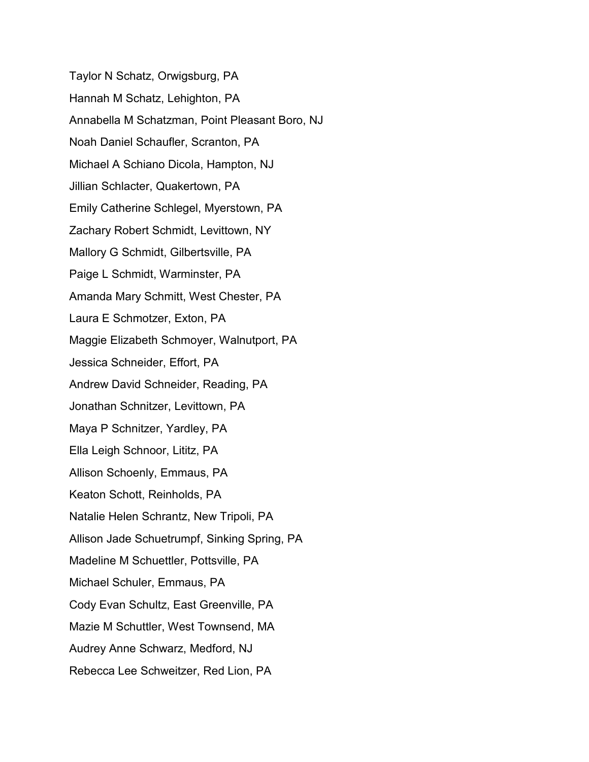Taylor N Schatz, Orwigsburg, PA Hannah M Schatz, Lehighton, PA Annabella M Schatzman, Point Pleasant Boro, NJ Noah Daniel Schaufler, Scranton, PA Michael A Schiano Dicola, Hampton, NJ Jillian Schlacter, Quakertown, PA Emily Catherine Schlegel, Myerstown, PA Zachary Robert Schmidt, Levittown, NY Mallory G Schmidt, Gilbertsville, PA Paige L Schmidt, Warminster, PA Amanda Mary Schmitt, West Chester, PA Laura E Schmotzer, Exton, PA Maggie Elizabeth Schmoyer, Walnutport, PA Jessica Schneider, Effort, PA Andrew David Schneider, Reading, PA Jonathan Schnitzer, Levittown, PA Maya P Schnitzer, Yardley, PA Ella Leigh Schnoor, Lititz, PA Allison Schoenly, Emmaus, PA Keaton Schott, Reinholds, PA Natalie Helen Schrantz, New Tripoli, PA Allison Jade Schuetrumpf, Sinking Spring, PA Madeline M Schuettler, Pottsville, PA Michael Schuler, Emmaus, PA Cody Evan Schultz, East Greenville, PA Mazie M Schuttler, West Townsend, MA Audrey Anne Schwarz, Medford, NJ Rebecca Lee Schweitzer, Red Lion, PA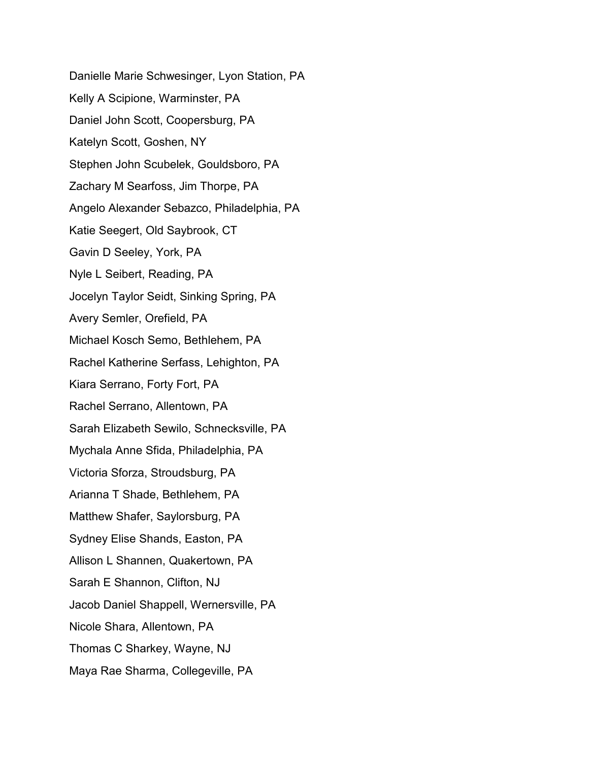Danielle Marie Schwesinger, Lyon Station, PA Kelly A Scipione, Warminster, PA Daniel John Scott, Coopersburg, PA Katelyn Scott, Goshen, NY Stephen John Scubelek, Gouldsboro, PA Zachary M Searfoss, Jim Thorpe, PA Angelo Alexander Sebazco, Philadelphia, PA Katie Seegert, Old Saybrook, CT Gavin D Seeley, York, PA Nyle L Seibert, Reading, PA Jocelyn Taylor Seidt, Sinking Spring, PA Avery Semler, Orefield, PA Michael Kosch Semo, Bethlehem, PA Rachel Katherine Serfass, Lehighton, PA Kiara Serrano, Forty Fort, PA Rachel Serrano, Allentown, PA Sarah Elizabeth Sewilo, Schnecksville, PA Mychala Anne Sfida, Philadelphia, PA Victoria Sforza, Stroudsburg, PA Arianna T Shade, Bethlehem, PA Matthew Shafer, Saylorsburg, PA Sydney Elise Shands, Easton, PA Allison L Shannen, Quakertown, PA Sarah E Shannon, Clifton, NJ Jacob Daniel Shappell, Wernersville, PA Nicole Shara, Allentown, PA Thomas C Sharkey, Wayne, NJ Maya Rae Sharma, Collegeville, PA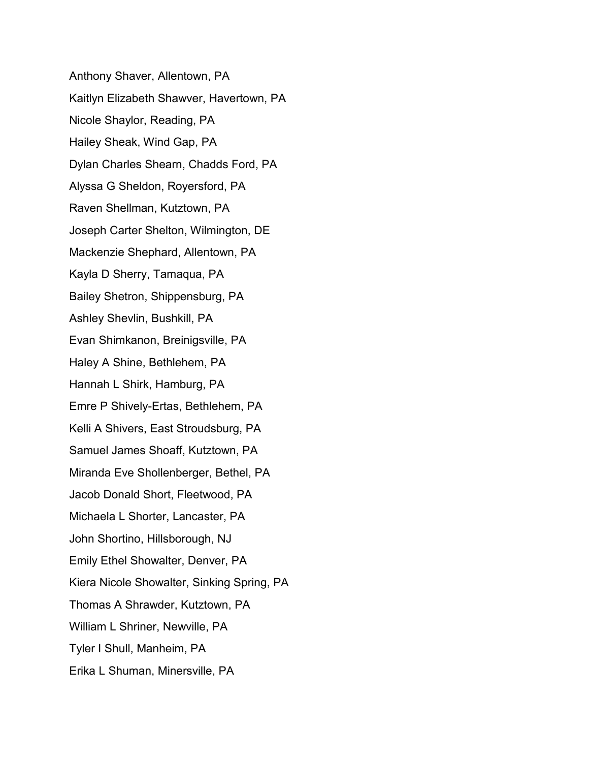Anthony Shaver, Allentown, PA Kaitlyn Elizabeth Shawver, Havertown, PA Nicole Shaylor, Reading, PA Hailey Sheak, Wind Gap, PA Dylan Charles Shearn, Chadds Ford, PA Alyssa G Sheldon, Royersford, PA Raven Shellman, Kutztown, PA Joseph Carter Shelton, Wilmington, DE Mackenzie Shephard, Allentown, PA Kayla D Sherry, Tamaqua, PA Bailey Shetron, Shippensburg, PA Ashley Shevlin, Bushkill, PA Evan Shimkanon, Breinigsville, PA Haley A Shine, Bethlehem, PA Hannah L Shirk, Hamburg, PA Emre P Shively-Ertas, Bethlehem, PA Kelli A Shivers, East Stroudsburg, PA Samuel James Shoaff, Kutztown, PA Miranda Eve Shollenberger, Bethel, PA Jacob Donald Short, Fleetwood, PA Michaela L Shorter, Lancaster, PA John Shortino, Hillsborough, NJ Emily Ethel Showalter, Denver, PA Kiera Nicole Showalter, Sinking Spring, PA Thomas A Shrawder, Kutztown, PA William L Shriner, Newville, PA Tyler I Shull, Manheim, PA Erika L Shuman, Minersville, PA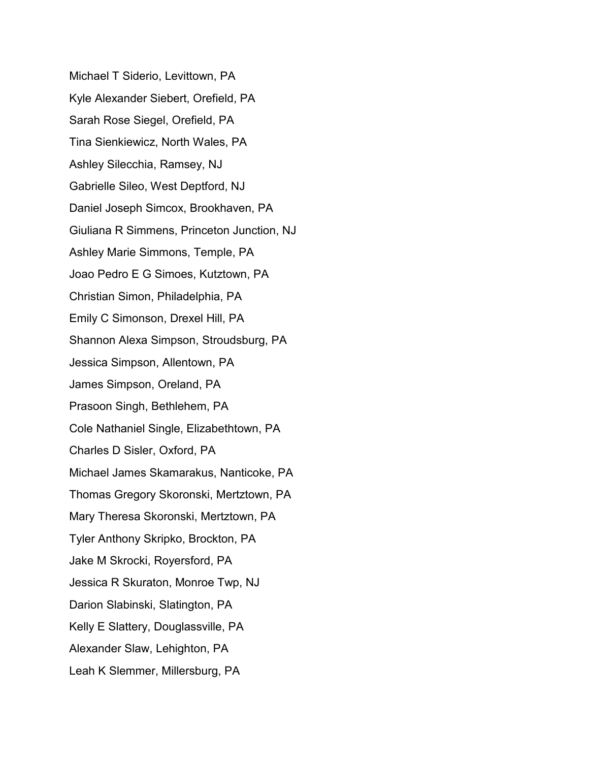Michael T Siderio, Levittown, PA Kyle Alexander Siebert, Orefield, PA Sarah Rose Siegel, Orefield, PA Tina Sienkiewicz, North Wales, PA Ashley Silecchia, Ramsey, NJ Gabrielle Sileo, West Deptford, NJ Daniel Joseph Simcox, Brookhaven, PA Giuliana R Simmens, Princeton Junction, NJ Ashley Marie Simmons, Temple, PA Joao Pedro E G Simoes, Kutztown, PA Christian Simon, Philadelphia, PA Emily C Simonson, Drexel Hill, PA Shannon Alexa Simpson, Stroudsburg, PA Jessica Simpson, Allentown, PA James Simpson, Oreland, PA Prasoon Singh, Bethlehem, PA Cole Nathaniel Single, Elizabethtown, PA Charles D Sisler, Oxford, PA Michael James Skamarakus, Nanticoke, PA Thomas Gregory Skoronski, Mertztown, PA Mary Theresa Skoronski, Mertztown, PA Tyler Anthony Skripko, Brockton, PA Jake M Skrocki, Royersford, PA Jessica R Skuraton, Monroe Twp, NJ Darion Slabinski, Slatington, PA Kelly E Slattery, Douglassville, PA Alexander Slaw, Lehighton, PA Leah K Slemmer, Millersburg, PA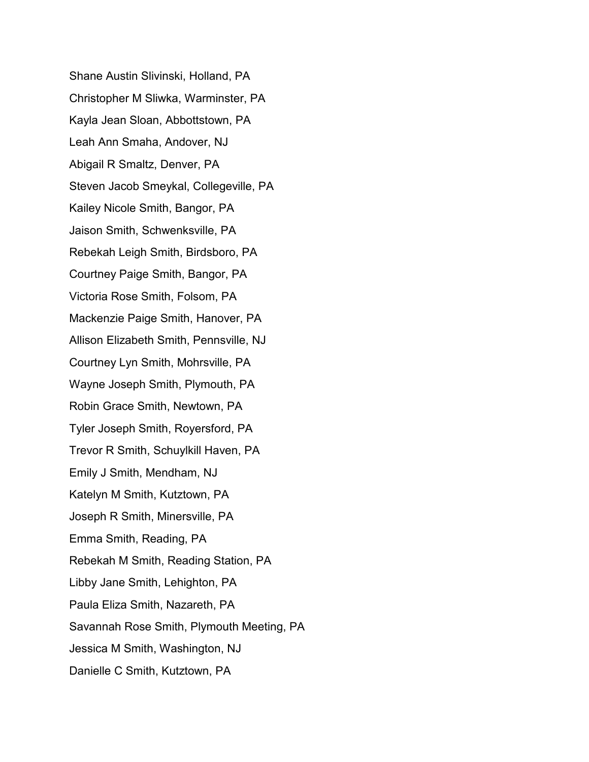Shane Austin Slivinski, Holland, PA Christopher M Sliwka, Warminster, PA Kayla Jean Sloan, Abbottstown, PA Leah Ann Smaha, Andover, NJ Abigail R Smaltz, Denver, PA Steven Jacob Smeykal, Collegeville, PA Kailey Nicole Smith, Bangor, PA Jaison Smith, Schwenksville, PA Rebekah Leigh Smith, Birdsboro, PA Courtney Paige Smith, Bangor, PA Victoria Rose Smith, Folsom, PA Mackenzie Paige Smith, Hanover, PA Allison Elizabeth Smith, Pennsville, NJ Courtney Lyn Smith, Mohrsville, PA Wayne Joseph Smith, Plymouth, PA Robin Grace Smith, Newtown, PA Tyler Joseph Smith, Royersford, PA Trevor R Smith, Schuylkill Haven, PA Emily J Smith, Mendham, NJ Katelyn M Smith, Kutztown, PA Joseph R Smith, Minersville, PA Emma Smith, Reading, PA Rebekah M Smith, Reading Station, PA Libby Jane Smith, Lehighton, PA Paula Eliza Smith, Nazareth, PA Savannah Rose Smith, Plymouth Meeting, PA Jessica M Smith, Washington, NJ Danielle C Smith, Kutztown, PA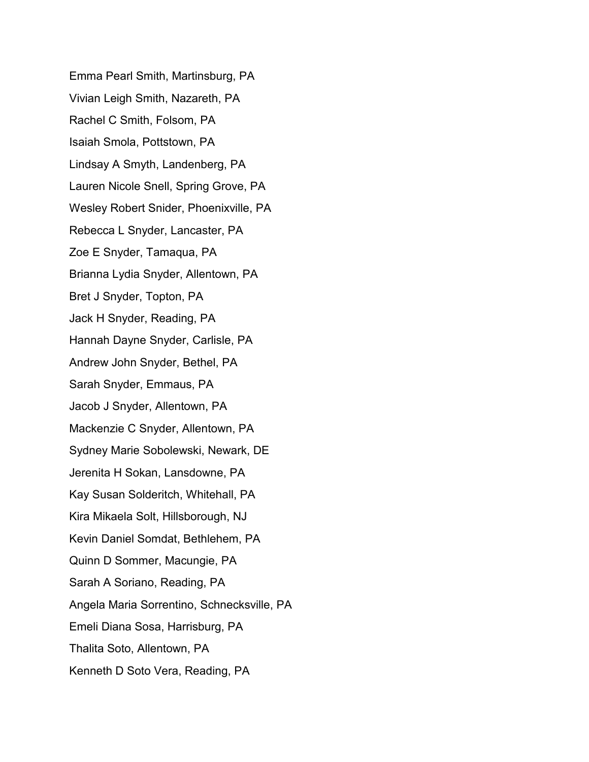Emma Pearl Smith, Martinsburg, PA Vivian Leigh Smith, Nazareth, PA Rachel C Smith, Folsom, PA Isaiah Smola, Pottstown, PA Lindsay A Smyth, Landenberg, PA Lauren Nicole Snell, Spring Grove, PA Wesley Robert Snider, Phoenixville, PA Rebecca L Snyder, Lancaster, PA Zoe E Snyder, Tamaqua, PA Brianna Lydia Snyder, Allentown, PA Bret J Snyder, Topton, PA Jack H Snyder, Reading, PA Hannah Dayne Snyder, Carlisle, PA Andrew John Snyder, Bethel, PA Sarah Snyder, Emmaus, PA Jacob J Snyder, Allentown, PA Mackenzie C Snyder, Allentown, PA Sydney Marie Sobolewski, Newark, DE Jerenita H Sokan, Lansdowne, PA Kay Susan Solderitch, Whitehall, PA Kira Mikaela Solt, Hillsborough, NJ Kevin Daniel Somdat, Bethlehem, PA Quinn D Sommer, Macungie, PA Sarah A Soriano, Reading, PA Angela Maria Sorrentino, Schnecksville, PA Emeli Diana Sosa, Harrisburg, PA Thalita Soto, Allentown, PA Kenneth D Soto Vera, Reading, PA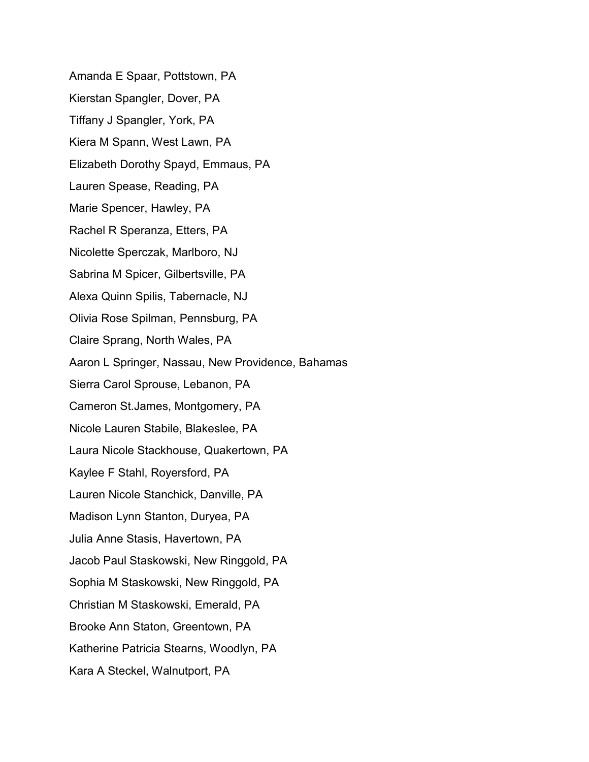Amanda E Spaar, Pottstown, PA Kierstan Spangler, Dover, PA Tiffany J Spangler, York, PA Kiera M Spann, West Lawn, PA Elizabeth Dorothy Spayd, Emmaus, PA Lauren Spease, Reading, PA Marie Spencer, Hawley, PA Rachel R Speranza, Etters, PA Nicolette Sperczak, Marlboro, NJ Sabrina M Spicer, Gilbertsville, PA Alexa Quinn Spilis, Tabernacle, NJ Olivia Rose Spilman, Pennsburg, PA Claire Sprang, North Wales, PA Aaron L Springer, Nassau, New Providence, Bahamas Sierra Carol Sprouse, Lebanon, PA Cameron St.James, Montgomery, PA Nicole Lauren Stabile, Blakeslee, PA Laura Nicole Stackhouse, Quakertown, PA Kaylee F Stahl, Royersford, PA Lauren Nicole Stanchick, Danville, PA Madison Lynn Stanton, Duryea, PA Julia Anne Stasis, Havertown, PA Jacob Paul Staskowski, New Ringgold, PA Sophia M Staskowski, New Ringgold, PA Christian M Staskowski, Emerald, PA Brooke Ann Staton, Greentown, PA Katherine Patricia Stearns, Woodlyn, PA Kara A Steckel, Walnutport, PA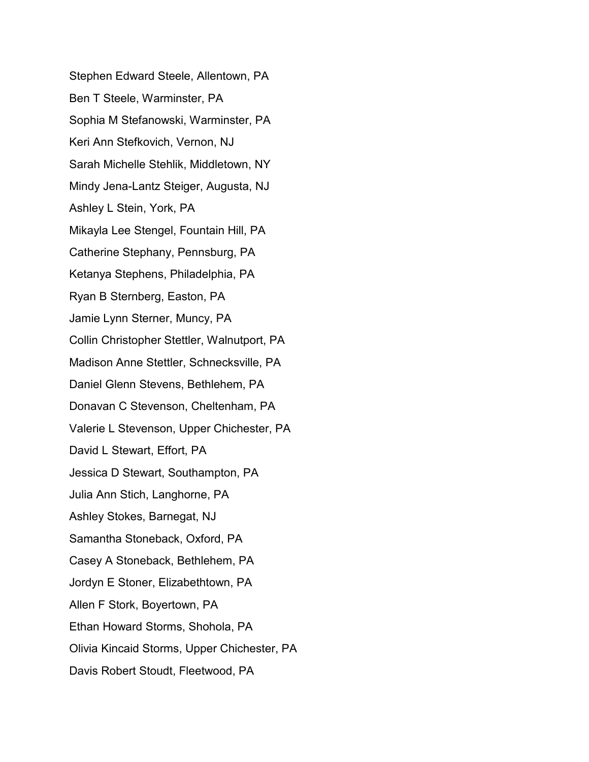Stephen Edward Steele, Allentown, PA Ben T Steele, Warminster, PA Sophia M Stefanowski, Warminster, PA Keri Ann Stefkovich, Vernon, NJ Sarah Michelle Stehlik, Middletown, NY Mindy Jena-Lantz Steiger, Augusta, NJ Ashley L Stein, York, PA Mikayla Lee Stengel, Fountain Hill, PA Catherine Stephany, Pennsburg, PA Ketanya Stephens, Philadelphia, PA Ryan B Sternberg, Easton, PA Jamie Lynn Sterner, Muncy, PA Collin Christopher Stettler, Walnutport, PA Madison Anne Stettler, Schnecksville, PA Daniel Glenn Stevens, Bethlehem, PA Donavan C Stevenson, Cheltenham, PA Valerie L Stevenson, Upper Chichester, PA David L Stewart, Effort, PA Jessica D Stewart, Southampton, PA Julia Ann Stich, Langhorne, PA Ashley Stokes, Barnegat, NJ Samantha Stoneback, Oxford, PA Casey A Stoneback, Bethlehem, PA Jordyn E Stoner, Elizabethtown, PA Allen F Stork, Boyertown, PA Ethan Howard Storms, Shohola, PA Olivia Kincaid Storms, Upper Chichester, PA Davis Robert Stoudt, Fleetwood, PA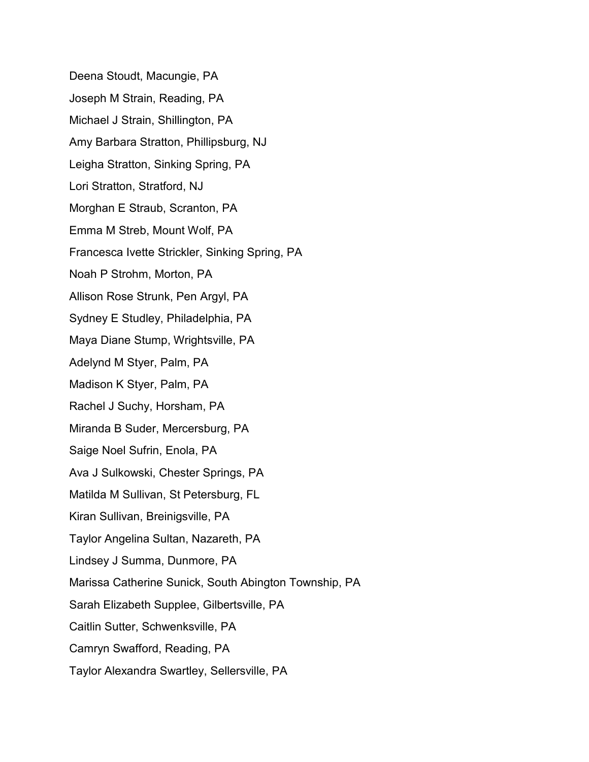Deena Stoudt, Macungie, PA Joseph M Strain, Reading, PA Michael J Strain, Shillington, PA Amy Barbara Stratton, Phillipsburg, NJ Leigha Stratton, Sinking Spring, PA Lori Stratton, Stratford, NJ Morghan E Straub, Scranton, PA Emma M Streb, Mount Wolf, PA Francesca Ivette Strickler, Sinking Spring, PA Noah P Strohm, Morton, PA Allison Rose Strunk, Pen Argyl, PA Sydney E Studley, Philadelphia, PA Maya Diane Stump, Wrightsville, PA Adelynd M Styer, Palm, PA Madison K Styer, Palm, PA Rachel J Suchy, Horsham, PA Miranda B Suder, Mercersburg, PA Saige Noel Sufrin, Enola, PA Ava J Sulkowski, Chester Springs, PA Matilda M Sullivan, St Petersburg, FL Kiran Sullivan, Breinigsville, PA Taylor Angelina Sultan, Nazareth, PA Lindsey J Summa, Dunmore, PA Marissa Catherine Sunick, South Abington Township, PA Sarah Elizabeth Supplee, Gilbertsville, PA Caitlin Sutter, Schwenksville, PA Camryn Swafford, Reading, PA Taylor Alexandra Swartley, Sellersville, PA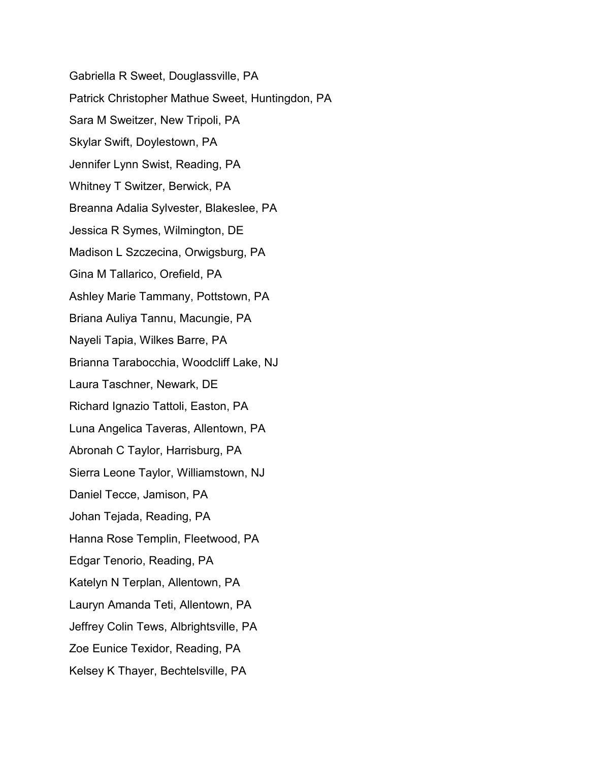Gabriella R Sweet, Douglassville, PA Patrick Christopher Mathue Sweet, Huntingdon, PA Sara M Sweitzer, New Tripoli, PA Skylar Swift, Doylestown, PA Jennifer Lynn Swist, Reading, PA Whitney T Switzer, Berwick, PA Breanna Adalia Sylvester, Blakeslee, PA Jessica R Symes, Wilmington, DE Madison L Szczecina, Orwigsburg, PA Gina M Tallarico, Orefield, PA Ashley Marie Tammany, Pottstown, PA Briana Auliya Tannu, Macungie, PA Nayeli Tapia, Wilkes Barre, PA Brianna Tarabocchia, Woodcliff Lake, NJ Laura Taschner, Newark, DE Richard Ignazio Tattoli, Easton, PA Luna Angelica Taveras, Allentown, PA Abronah C Taylor, Harrisburg, PA Sierra Leone Taylor, Williamstown, NJ Daniel Tecce, Jamison, PA Johan Tejada, Reading, PA Hanna Rose Templin, Fleetwood, PA Edgar Tenorio, Reading, PA Katelyn N Terplan, Allentown, PA Lauryn Amanda Teti, Allentown, PA Jeffrey Colin Tews, Albrightsville, PA Zoe Eunice Texidor, Reading, PA Kelsey K Thayer, Bechtelsville, PA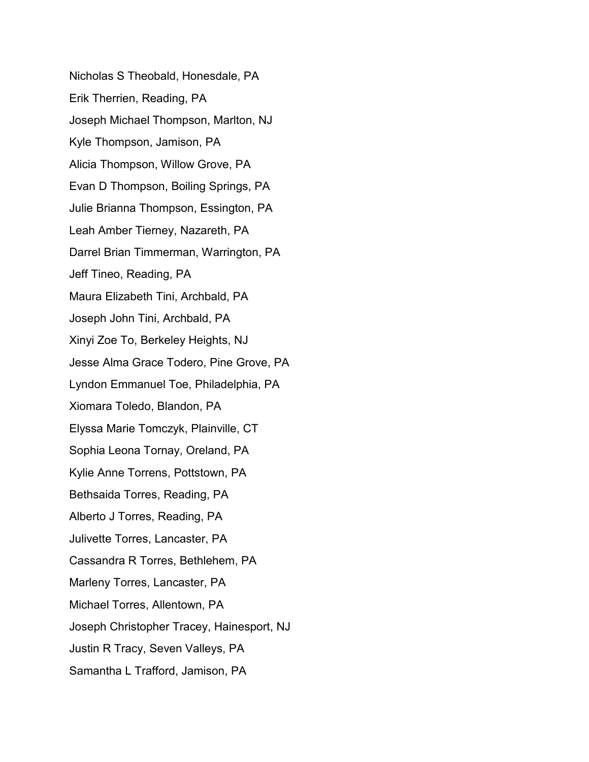Nicholas S Theobald, Honesdale, PA Erik Therrien, Reading, PA Joseph Michael Thompson, Marlton, NJ Kyle Thompson, Jamison, PA Alicia Thompson, Willow Grove, PA Evan D Thompson, Boiling Springs, PA Julie Brianna Thompson, Essington, PA Leah Amber Tierney, Nazareth, PA Darrel Brian Timmerman, Warrington, PA Jeff Tineo, Reading, PA Maura Elizabeth Tini, Archbald, PA Joseph John Tini, Archbald, PA Xinyi Zoe To, Berkeley Heights, NJ Jesse Alma Grace Todero, Pine Grove, PA Lyndon Emmanuel Toe, Philadelphia, PA Xiomara Toledo, Blandon, PA Elyssa Marie Tomczyk, Plainville, CT Sophia Leona Tornay, Oreland, PA Kylie Anne Torrens, Pottstown, PA Bethsaida Torres, Reading, PA Alberto J Torres, Reading, PA Julivette Torres, Lancaster, PA Cassandra R Torres, Bethlehem, PA Marleny Torres, Lancaster, PA Michael Torres, Allentown, PA Joseph Christopher Tracey, Hainesport, NJ Justin R Tracy, Seven Valleys, PA Samantha L Trafford, Jamison, PA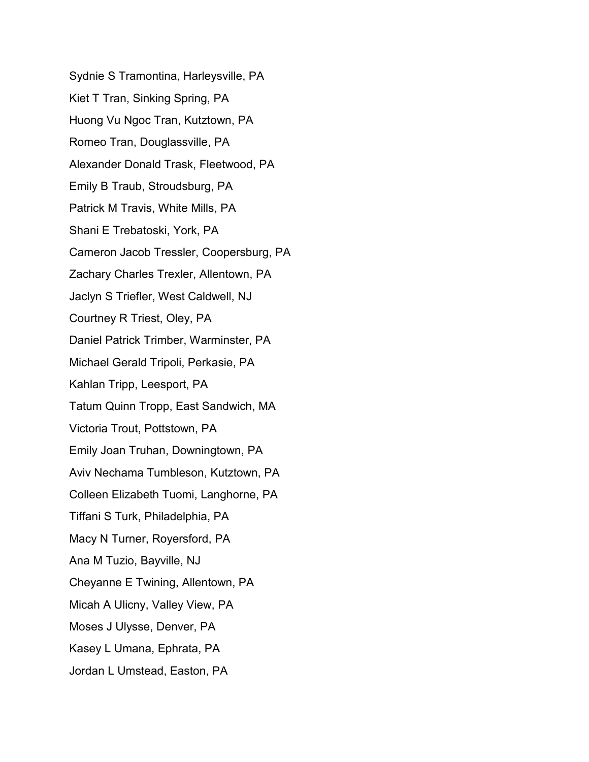Sydnie S Tramontina, Harleysville, PA Kiet T Tran, Sinking Spring, PA Huong Vu Ngoc Tran, Kutztown, PA Romeo Tran, Douglassville, PA Alexander Donald Trask, Fleetwood, PA Emily B Traub, Stroudsburg, PA Patrick M Travis, White Mills, PA Shani E Trebatoski, York, PA Cameron Jacob Tressler, Coopersburg, PA Zachary Charles Trexler, Allentown, PA Jaclyn S Triefler, West Caldwell, NJ Courtney R Triest, Oley, PA Daniel Patrick Trimber, Warminster, PA Michael Gerald Tripoli, Perkasie, PA Kahlan Tripp, Leesport, PA Tatum Quinn Tropp, East Sandwich, MA Victoria Trout, Pottstown, PA Emily Joan Truhan, Downingtown, PA Aviv Nechama Tumbleson, Kutztown, PA Colleen Elizabeth Tuomi, Langhorne, PA Tiffani S Turk, Philadelphia, PA Macy N Turner, Royersford, PA Ana M Tuzio, Bayville, NJ Cheyanne E Twining, Allentown, PA Micah A Ulicny, Valley View, PA Moses J Ulysse, Denver, PA Kasey L Umana, Ephrata, PA Jordan L Umstead, Easton, PA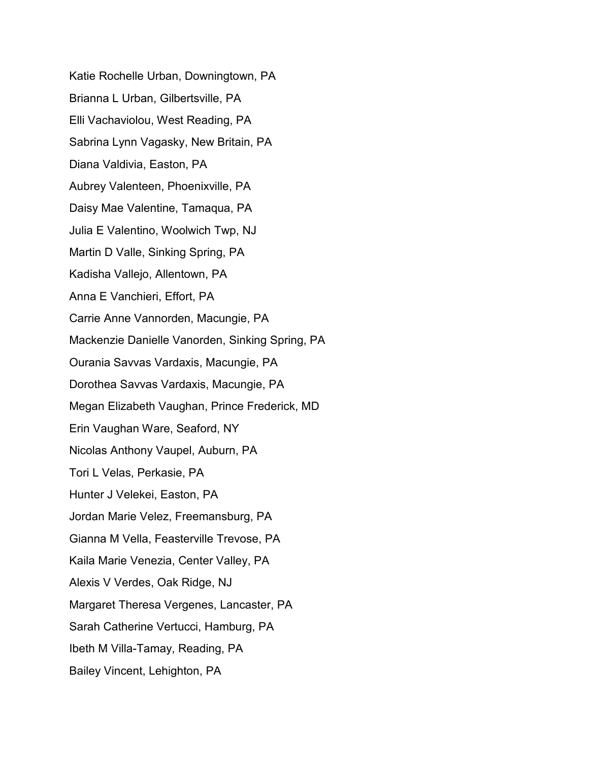Katie Rochelle Urban, Downingtown, PA Brianna L Urban, Gilbertsville, PA Elli Vachaviolou, West Reading, PA Sabrina Lynn Vagasky, New Britain, PA Diana Valdivia, Easton, PA Aubrey Valenteen, Phoenixville, PA Daisy Mae Valentine, Tamaqua, PA Julia E Valentino, Woolwich Twp, NJ Martin D Valle, Sinking Spring, PA Kadisha Vallejo, Allentown, PA Anna E Vanchieri, Effort, PA Carrie Anne Vannorden, Macungie, PA Mackenzie Danielle Vanorden, Sinking Spring, PA Ourania Savvas Vardaxis, Macungie, PA Dorothea Savvas Vardaxis, Macungie, PA Megan Elizabeth Vaughan, Prince Frederick, MD Erin Vaughan Ware, Seaford, NY Nicolas Anthony Vaupel, Auburn, PA Tori L Velas, Perkasie, PA Hunter J Velekei, Easton, PA Jordan Marie Velez, Freemansburg, PA Gianna M Vella, Feasterville Trevose, PA Kaila Marie Venezia, Center Valley, PA Alexis V Verdes, Oak Ridge, NJ Margaret Theresa Vergenes, Lancaster, PA Sarah Catherine Vertucci, Hamburg, PA Ibeth M Villa-Tamay, Reading, PA Bailey Vincent, Lehighton, PA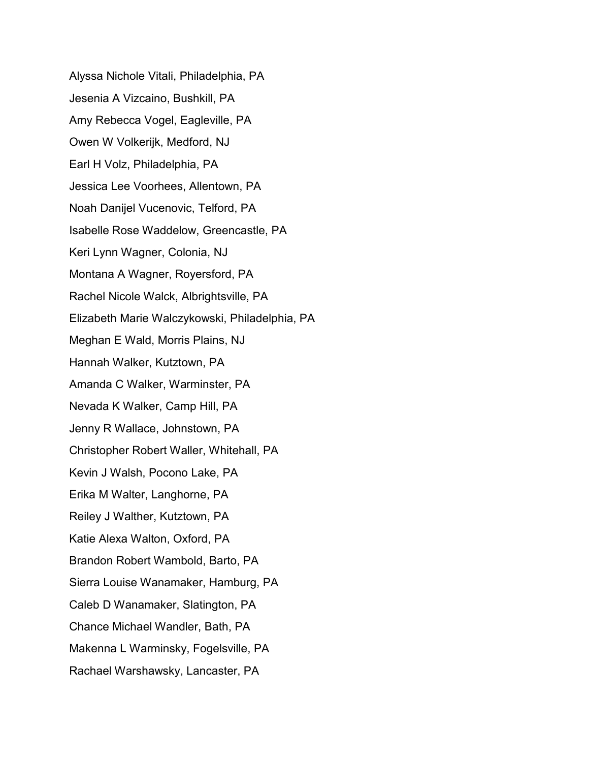Alyssa Nichole Vitali, Philadelphia, PA Jesenia A Vizcaino, Bushkill, PA Amy Rebecca Vogel, Eagleville, PA Owen W Volkerijk, Medford, NJ Earl H Volz, Philadelphia, PA Jessica Lee Voorhees, Allentown, PA Noah Danijel Vucenovic, Telford, PA Isabelle Rose Waddelow, Greencastle, PA Keri Lynn Wagner, Colonia, NJ Montana A Wagner, Royersford, PA Rachel Nicole Walck, Albrightsville, PA Elizabeth Marie Walczykowski, Philadelphia, PA Meghan E Wald, Morris Plains, NJ Hannah Walker, Kutztown, PA Amanda C Walker, Warminster, PA Nevada K Walker, Camp Hill, PA Jenny R Wallace, Johnstown, PA Christopher Robert Waller, Whitehall, PA Kevin J Walsh, Pocono Lake, PA Erika M Walter, Langhorne, PA Reiley J Walther, Kutztown, PA Katie Alexa Walton, Oxford, PA Brandon Robert Wambold, Barto, PA Sierra Louise Wanamaker, Hamburg, PA Caleb D Wanamaker, Slatington, PA Chance Michael Wandler, Bath, PA Makenna L Warminsky, Fogelsville, PA Rachael Warshawsky, Lancaster, PA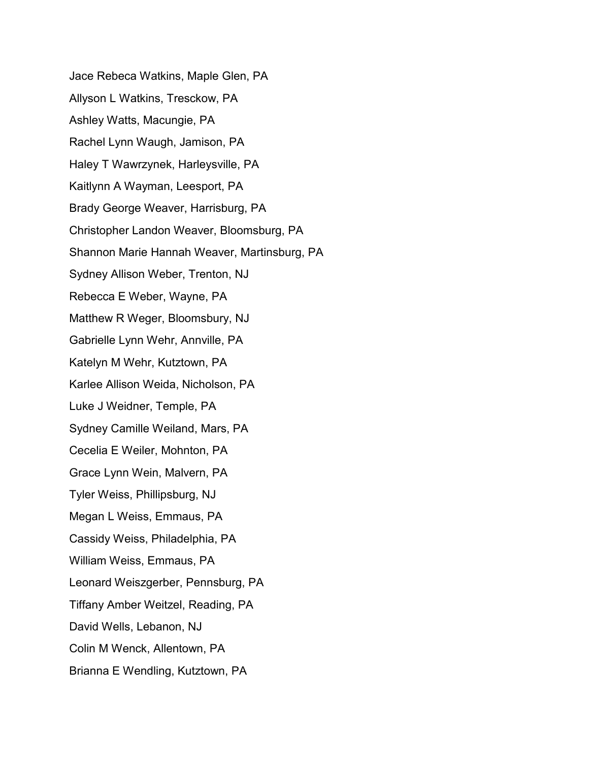Jace Rebeca Watkins, Maple Glen, PA Allyson L Watkins, Tresckow, PA Ashley Watts, Macungie, PA Rachel Lynn Waugh, Jamison, PA Haley T Wawrzynek, Harleysville, PA Kaitlynn A Wayman, Leesport, PA Brady George Weaver, Harrisburg, PA Christopher Landon Weaver, Bloomsburg, PA Shannon Marie Hannah Weaver, Martinsburg, PA Sydney Allison Weber, Trenton, NJ Rebecca E Weber, Wayne, PA Matthew R Weger, Bloomsbury, NJ Gabrielle Lynn Wehr, Annville, PA Katelyn M Wehr, Kutztown, PA Karlee Allison Weida, Nicholson, PA Luke J Weidner, Temple, PA Sydney Camille Weiland, Mars, PA Cecelia E Weiler, Mohnton, PA Grace Lynn Wein, Malvern, PA Tyler Weiss, Phillipsburg, NJ Megan L Weiss, Emmaus, PA Cassidy Weiss, Philadelphia, PA William Weiss, Emmaus, PA Leonard Weiszgerber, Pennsburg, PA Tiffany Amber Weitzel, Reading, PA David Wells, Lebanon, NJ Colin M Wenck, Allentown, PA Brianna E Wendling, Kutztown, PA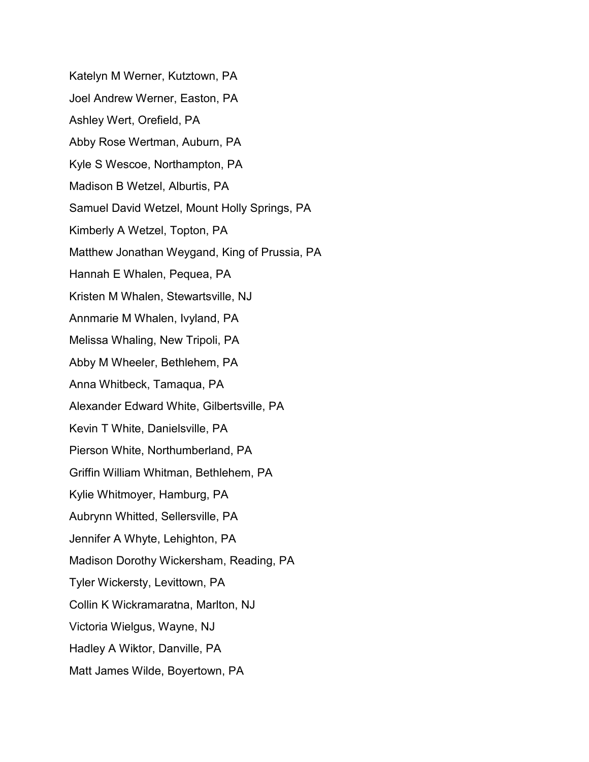Katelyn M Werner, Kutztown, PA Joel Andrew Werner, Easton, PA Ashley Wert, Orefield, PA Abby Rose Wertman, Auburn, PA Kyle S Wescoe, Northampton, PA Madison B Wetzel, Alburtis, PA Samuel David Wetzel, Mount Holly Springs, PA Kimberly A Wetzel, Topton, PA Matthew Jonathan Weygand, King of Prussia, PA Hannah E Whalen, Pequea, PA Kristen M Whalen, Stewartsville, NJ Annmarie M Whalen, Ivyland, PA Melissa Whaling, New Tripoli, PA Abby M Wheeler, Bethlehem, PA Anna Whitbeck, Tamaqua, PA Alexander Edward White, Gilbertsville, PA Kevin T White, Danielsville, PA Pierson White, Northumberland, PA Griffin William Whitman, Bethlehem, PA Kylie Whitmoyer, Hamburg, PA Aubrynn Whitted, Sellersville, PA Jennifer A Whyte, Lehighton, PA Madison Dorothy Wickersham, Reading, PA Tyler Wickersty, Levittown, PA Collin K Wickramaratna, Marlton, NJ Victoria Wielgus, Wayne, NJ Hadley A Wiktor, Danville, PA Matt James Wilde, Boyertown, PA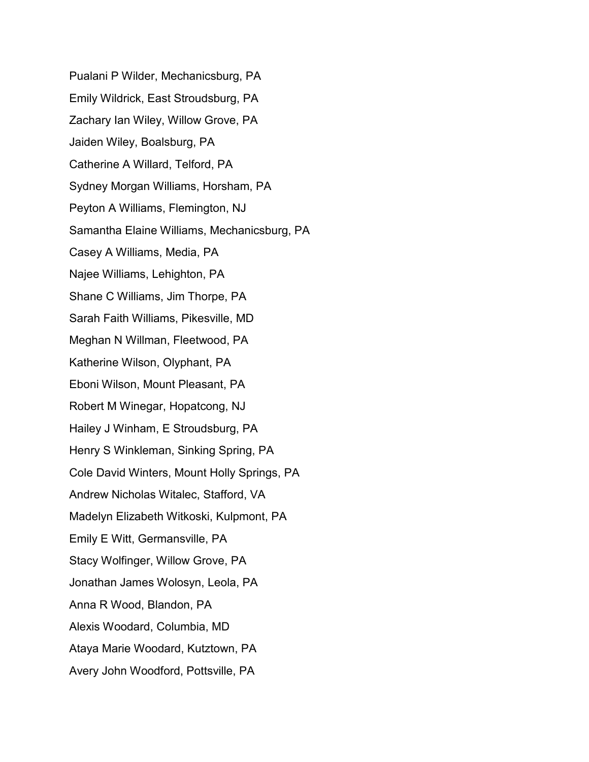Pualani P Wilder, Mechanicsburg, PA Emily Wildrick, East Stroudsburg, PA Zachary Ian Wiley, Willow Grove, PA Jaiden Wiley, Boalsburg, PA Catherine A Willard, Telford, PA Sydney Morgan Williams, Horsham, PA Peyton A Williams, Flemington, NJ Samantha Elaine Williams, Mechanicsburg, PA Casey A Williams, Media, PA Najee Williams, Lehighton, PA Shane C Williams, Jim Thorpe, PA Sarah Faith Williams, Pikesville, MD Meghan N Willman, Fleetwood, PA Katherine Wilson, Olyphant, PA Eboni Wilson, Mount Pleasant, PA Robert M Winegar, Hopatcong, NJ Hailey J Winham, E Stroudsburg, PA Henry S Winkleman, Sinking Spring, PA Cole David Winters, Mount Holly Springs, PA Andrew Nicholas Witalec, Stafford, VA Madelyn Elizabeth Witkoski, Kulpmont, PA Emily E Witt, Germansville, PA Stacy Wolfinger, Willow Grove, PA Jonathan James Wolosyn, Leola, PA Anna R Wood, Blandon, PA Alexis Woodard, Columbia, MD Ataya Marie Woodard, Kutztown, PA Avery John Woodford, Pottsville, PA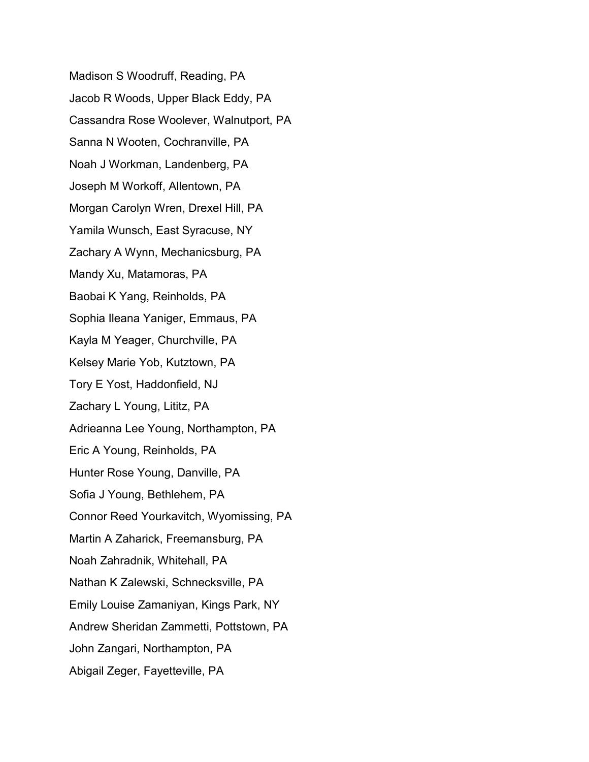Madison S Woodruff, Reading, PA Jacob R Woods, Upper Black Eddy, PA Cassandra Rose Woolever, Walnutport, PA Sanna N Wooten, Cochranville, PA Noah J Workman, Landenberg, PA Joseph M Workoff, Allentown, PA Morgan Carolyn Wren, Drexel Hill, PA Yamila Wunsch, East Syracuse, NY Zachary A Wynn, Mechanicsburg, PA Mandy Xu, Matamoras, PA Baobai K Yang, Reinholds, PA Sophia Ileana Yaniger, Emmaus, PA Kayla M Yeager, Churchville, PA Kelsey Marie Yob, Kutztown, PA Tory E Yost, Haddonfield, NJ Zachary L Young, Lititz, PA Adrieanna Lee Young, Northampton, PA Eric A Young, Reinholds, PA Hunter Rose Young, Danville, PA Sofia J Young, Bethlehem, PA Connor Reed Yourkavitch, Wyomissing, PA Martin A Zaharick, Freemansburg, PA Noah Zahradnik, Whitehall, PA Nathan K Zalewski, Schnecksville, PA Emily Louise Zamaniyan, Kings Park, NY Andrew Sheridan Zammetti, Pottstown, PA John Zangari, Northampton, PA Abigail Zeger, Fayetteville, PA